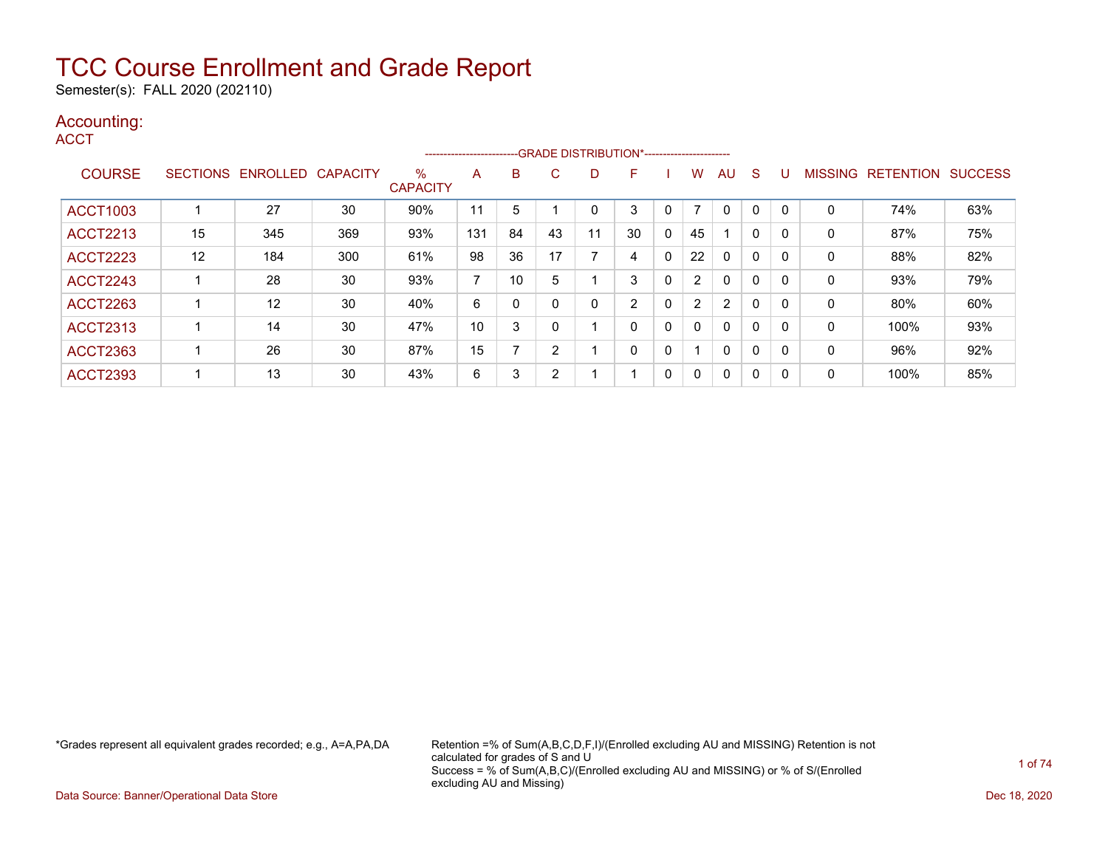Semester(s): FALL 2020 (202110)

### Accounting:

**ACCT** 

|                 |    |                   |                 |                         | ------------------------ |    |    | --- GRADE DISTRIBUTION*------------------------ |    |              |                          |                |              |          |                |                  |                |
|-----------------|----|-------------------|-----------------|-------------------------|--------------------------|----|----|-------------------------------------------------|----|--------------|--------------------------|----------------|--------------|----------|----------------|------------------|----------------|
| <b>COURSE</b>   |    | SECTIONS ENROLLED | <b>CAPACITY</b> | $\%$<br><b>CAPACITY</b> | A                        | B  | C. | D                                               | F  |              | w                        | AU.            | <sub>S</sub> |          | <b>MISSING</b> | <b>RETENTION</b> | <b>SUCCESS</b> |
|                 |    |                   |                 |                         |                          |    |    |                                                 |    |              |                          |                |              |          |                |                  |                |
| <b>ACCT1003</b> |    | 27                | 30              | 90%                     | 11                       | 5  |    |                                                 | 3  |              | $\overline{\phantom{0}}$ | 0              | 0            |          | 0              | 74%              | 63%            |
| <b>ACCT2213</b> | 15 | 345               | 369             | 93%                     | 131                      | 84 | 43 | 11                                              | 30 | 0            | 45                       |                | $\mathbf{0}$ | $\Omega$ | 0              | 87%              | 75%            |
| <b>ACCT2223</b> | 12 | 184               | 300             | 61%                     | 98                       | 36 | 17 | ⇁                                               | 4  | 0            | 22                       | $\mathbf{0}$   | 0            | 0        | 0              | 88%              | 82%            |
| <b>ACCT2243</b> |    | 28                | 30              | 93%                     | $\overline{\phantom{a}}$ | 10 |    |                                                 | 3  | $\mathbf{0}$ | $\overline{2}$           | $\mathbf{0}$   | $\mathbf{0}$ |          | 0              | 93%              | 79%            |
| <b>ACCT2263</b> |    | $12 \,$           | 30              | 40%                     | 6                        | 0  |    | 0                                               | 2  | 0            | $\overline{2}$           | $\overline{2}$ | $\Omega$     |          | 0              | 80%              | 60%            |
| <b>ACCT2313</b> |    | 14                | 30              | 47%                     | 10                       | 3  |    |                                                 | 0  | 0            | 0                        | $\mathbf{0}$   | $\mathbf{0}$ | $\Omega$ | 0              | 100%             | 93%            |
| <b>ACCT2363</b> |    | 26                | 30              | 87%                     | 15                       | –  | ົ  |                                                 | 0  | 0            |                          | $\mathbf{0}$   | $\mathbf{0}$ |          | 0              | 96%              | 92%            |
| <b>ACCT2393</b> |    | 13                | 30              | 43%                     | 6                        | 3  | ົ  |                                                 |    | 0            | 0                        | $\mathbf{0}$   | 0            |          | 0              | 100%             | 85%            |

\*Grades represent all equivalent grades recorded; e.g., A=A,PA,DA Retention =% of Sum(A,B,C,D,F,I)/(Enrolled excluding AU and MISSING) Retention is not calculated for grades of S and U Success = % of Sum(A,B,C)/(Enrolled excluding AU and MISSING) or % of S/(Enrolled excluding AU and Missing)

Data Source: Banner/Operational Data Store Dec 18, 2020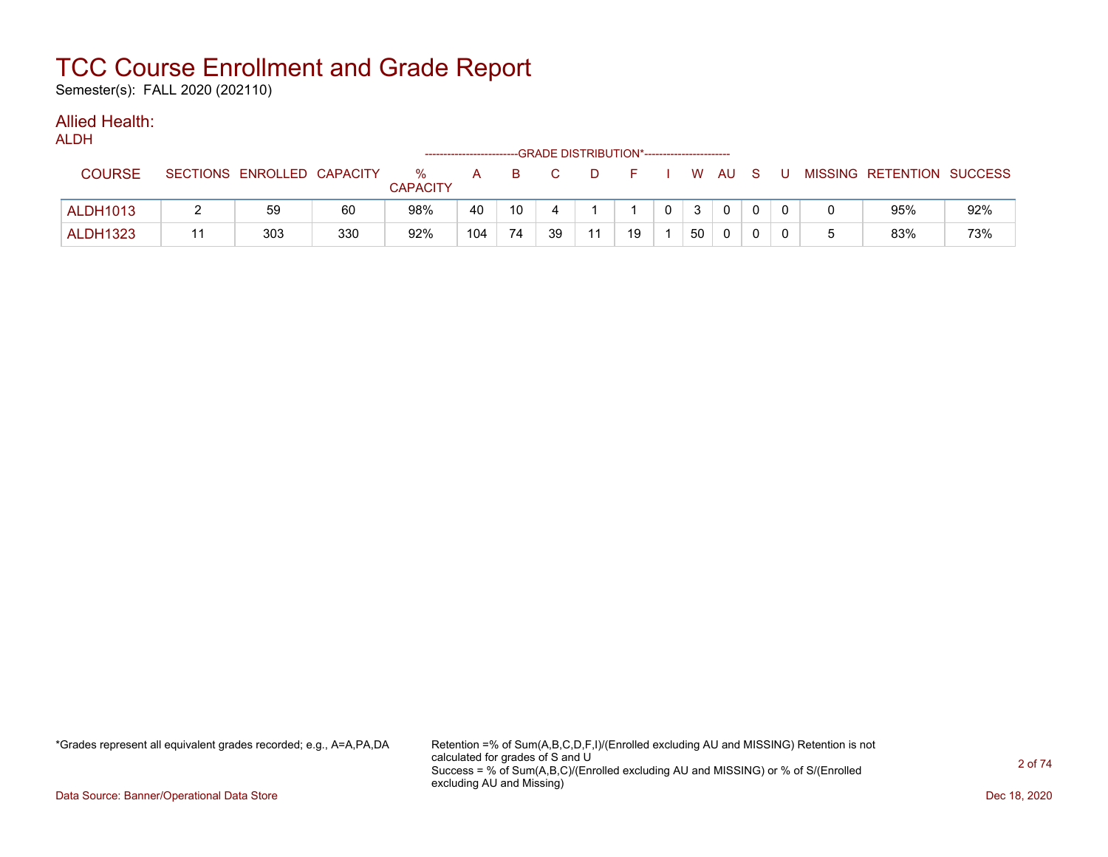Semester(s): FALL 2020 (202110)

#### Allied Health: ALDH

| ALDN            |                            |     |                         |     |    | --GRADE DISTRIBUTION*------------------------ |    |    |              |                |              |          |  |                           |     |
|-----------------|----------------------------|-----|-------------------------|-----|----|-----------------------------------------------|----|----|--------------|----------------|--------------|----------|--|---------------------------|-----|
| <b>COURSE</b>   | SECTIONS ENROLLED CAPACITY |     | $\%$<br><b>CAPACITY</b> | A   | B. |                                               | D  | н. |              | w AU           |              |          |  | MISSING RETENTION SUCCESS |     |
| <b>ALDH1013</b> | 59                         | 60  | 98%                     | 40  | 10 | 4                                             |    |    | $\mathbf{0}$ | 3 <sup>1</sup> | $\mathbf{0}$ | $\Omega$ |  | 95%                       | 92% |
| <b>ALDH1323</b> | 303                        | 330 | 92%                     | 104 | 74 | 39                                            | 11 | 19 |              | 50             | $\mathbf 0$  |          |  | 83%                       | 73% |

\*Grades represent all equivalent grades recorded; e.g., A=A,PA,DA Retention =% of Sum(A,B,C,D,F,I)/(Enrolled excluding AU and MISSING) Retention is not calculated for grades of S and U Success = % of Sum(A,B,C)/(Enrolled excluding AU and MISSING) or % of S/(Enrolled excluding AU and Missing)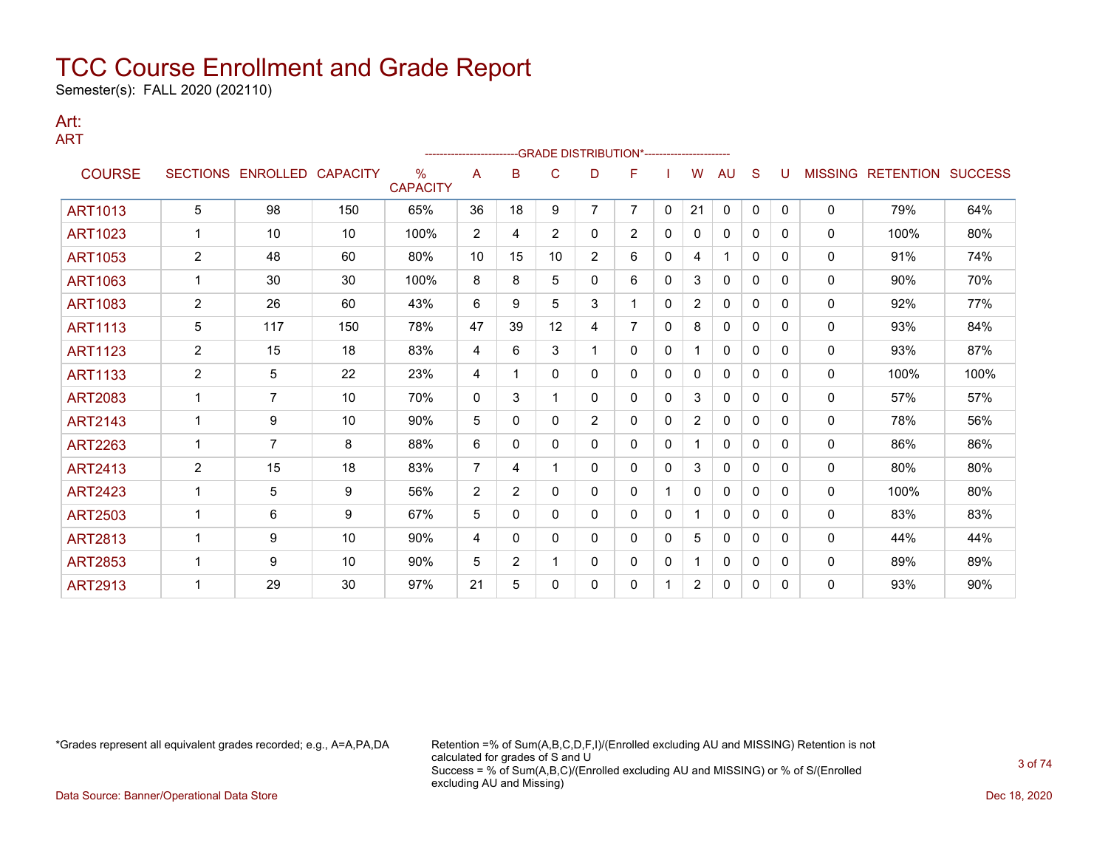Semester(s): FALL 2020 (202110)

#### Art: ART

|                |                |                   |                 |                         |                |                |                |                | -GRADE DISTRIBUTION*---------------------- |              |                |              |              |          |              |                                  |      |
|----------------|----------------|-------------------|-----------------|-------------------------|----------------|----------------|----------------|----------------|--------------------------------------------|--------------|----------------|--------------|--------------|----------|--------------|----------------------------------|------|
| <b>COURSE</b>  |                | SECTIONS ENROLLED | <b>CAPACITY</b> | $\%$<br><b>CAPACITY</b> | A              | B              | C              | D              | F                                          |              | w              | AU           | S            | U        |              | <b>MISSING RETENTION SUCCESS</b> |      |
| <b>ART1013</b> | 5              | 98                | 150             | 65%                     | 36             | 18             | 9              | $\overline{7}$ | $\overline{7}$                             | $\mathbf{0}$ | 21             | $\mathbf 0$  | $\mathbf{0}$ | $\Omega$ | $\mathbf{0}$ | 79%                              | 64%  |
| <b>ART1023</b> | 1              | 10                | 10              | 100%                    | 2              | 4              | $\overline{2}$ | 0              | 2                                          | $\mathbf 0$  | 0              | $\mathbf{0}$ | $\mathbf{0}$ | 0        | $\mathbf{0}$ | 100%                             | 80%  |
| <b>ART1053</b> | $\overline{c}$ | 48                | 60              | 80%                     | 10             | 15             | 10             | $\overline{2}$ | 6                                          | $\Omega$     | 4              | 1            | $\Omega$     | 0        | $\mathbf{0}$ | 91%                              | 74%  |
| <b>ART1063</b> | $\mathbf{1}$   | 30                | 30              | 100%                    | 8              | 8              | 5              | 0              | 6                                          | 0            | 3              | $\mathbf{0}$ | $\Omega$     | 0        | $\mathbf{0}$ | 90%                              | 70%  |
| <b>ART1083</b> | $\overline{2}$ | 26                | 60              | 43%                     | 6              | 9              | 5              | 3              |                                            | 0            | $\overline{2}$ | 0            | $\mathbf{0}$ | 0        | 0            | 92%                              | 77%  |
| <b>ART1113</b> | 5              | 117               | 150             | 78%                     | 47             | 39             | 12             | 4              | $\overline{7}$                             | $\Omega$     | 8              | $\mathbf{0}$ | $\mathbf{0}$ | 0        | 0            | 93%                              | 84%  |
| <b>ART1123</b> | $\overline{c}$ | 15                | 18              | 83%                     | 4              | 6              | 3              |                | 0                                          | $\Omega$     |                | $\mathbf{0}$ | $\mathbf{0}$ | 0        | 0            | 93%                              | 87%  |
| <b>ART1133</b> | $\overline{c}$ | 5                 | 22              | 23%                     | 4              | 1              | 0              | 0              | 0                                          | 0            | 0              | $\mathbf{0}$ | 0            | 0        | 0            | 100%                             | 100% |
| <b>ART2083</b> | 1              | $\overline{7}$    | 10              | 70%                     | 0              | 3              | 1              | 0              | 0                                          | $\Omega$     | 3              | $\mathbf{0}$ | $\Omega$     | 0        | 0            | 57%                              | 57%  |
| <b>ART2143</b> | 1              | 9                 | 10              | 90%                     | 5              | 0              | 0              | $\overline{2}$ | 0                                          | $\mathbf{0}$ | $\overline{2}$ | 0            | 0            | 0        | 0            | 78%                              | 56%  |
| <b>ART2263</b> |                | 7                 | 8               | 88%                     | 6              | 0              | $\mathbf{0}$   | 0              | 0                                          | 0            |                | $\mathbf{0}$ | $\Omega$     | 0        | 0            | 86%                              | 86%  |
| <b>ART2413</b> | $\overline{c}$ | 15                | 18              | 83%                     | 7              | 4              | 1              | 0              | 0                                          | 0            | 3              | 0            | 0            | 0        | 0            | 80%                              | 80%  |
| <b>ART2423</b> |                | 5                 | 9               | 56%                     | $\overline{2}$ | $\overline{2}$ | $\mathbf{0}$   | 0              | 0                                          |              | 0              | $\mathbf{0}$ | $\Omega$     | $\Omega$ | 0            | 100%                             | 80%  |
| <b>ART2503</b> |                | 6                 | 9               | 67%                     | 5              | 0              | $\mathbf{0}$   | 0              | 0                                          | 0            |                | $\mathbf{0}$ | 0            | 0        | $\mathbf{0}$ | 83%                              | 83%  |
| <b>ART2813</b> | 1              | 9                 | 10              | 90%                     | 4              | 0              | $\Omega$       | 0              | 0                                          | $\Omega$     | 5              | $\mathbf{0}$ | 0            | 0        | $\mathbf{0}$ | 44%                              | 44%  |
| <b>ART2853</b> |                | 9                 | 10              | 90%                     | 5              | $\overline{2}$ |                | 0              | 0                                          | 0            |                | 0            | 0            | 0        | $\mathbf{0}$ | 89%                              | 89%  |
| <b>ART2913</b> |                | 29                | 30              | 97%                     | 21             | 5              | $\mathbf{0}$   | 0              | 0                                          |              | $\overline{2}$ | 0            | 0            | 0        | 0            | 93%                              | 90%  |

\*Grades represent all equivalent grades recorded; e.g., A=A,PA,DA Retention =% of Sum(A,B,C,D,F,I)/(Enrolled excluding AU and MISSING) Retention is not calculated for grades of S and U Success = % of Sum(A,B,C)/(Enrolled excluding AU and MISSING) or % of S/(Enrolled excluding AU and Missing)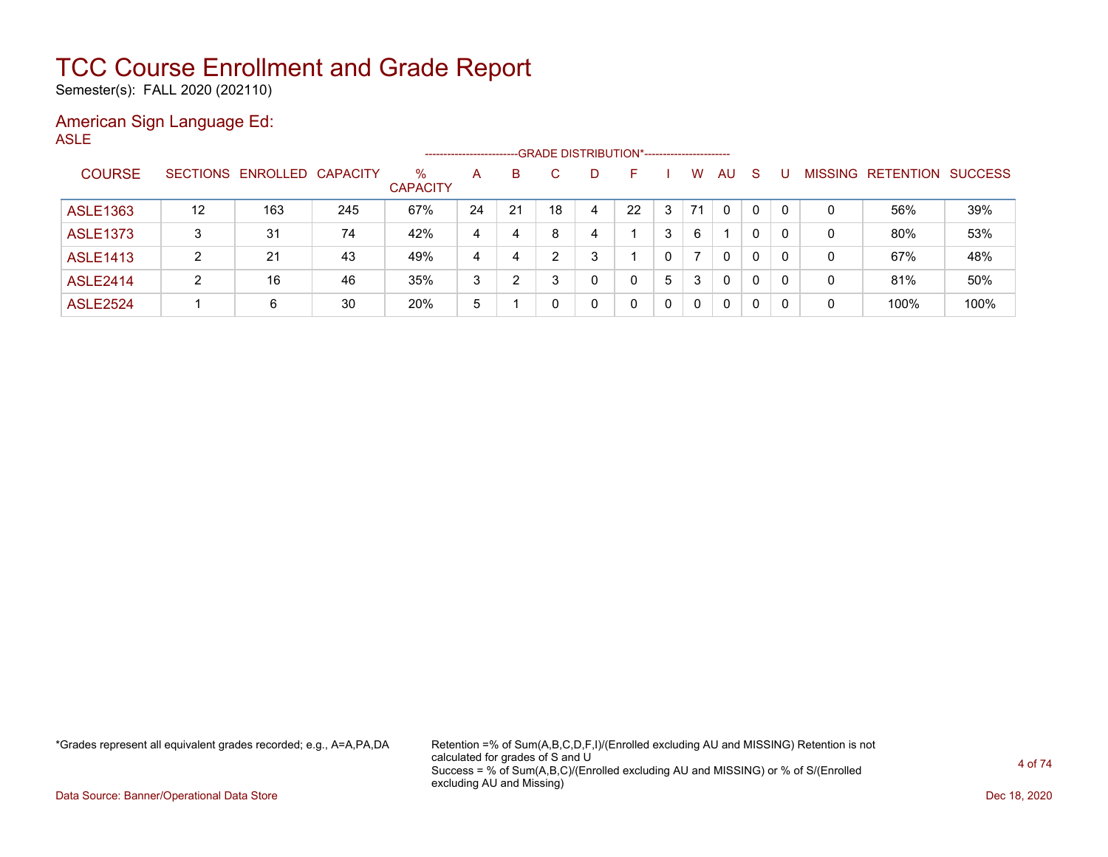Semester(s): FALL 2020 (202110)

### American Sign Language Ed: ASLE

|                 |                 |                   |     |                         | ------------------- |    | --GRADE DISTRIBUTION*----------------------- |   |    |   |    |              |              |   |                |                  |                |
|-----------------|-----------------|-------------------|-----|-------------------------|---------------------|----|----------------------------------------------|---|----|---|----|--------------|--------------|---|----------------|------------------|----------------|
| <b>COURSE</b>   | <b>SECTIONS</b> | ENROLLED CAPACITY |     | $\%$<br><b>CAPACITY</b> | A                   | B  |                                              | D |    |   | W  | AU           | -S           |   | <b>MISSING</b> | <b>RETENTION</b> | <b>SUCCESS</b> |
| <b>ASLE1363</b> | 12              | 163               | 245 | 67%                     | 24                  | 21 | 18                                           | 4 | 22 | 3 | 71 | $\Omega$     | 0            | 0 | 0              | 56%              | 39%            |
| <b>ASLE1373</b> | 3               | 31                | 74  | 42%                     | 4                   | 4  | 8                                            | 4 |    | 3 | 6  |              |              | 0 | 0              | 80%              | 53%            |
| <b>ASLE1413</b> | 2               | 21                | 43  | 49%                     | 4                   | 4  | ົ                                            | 3 |    | 0 |    | $\Omega$     | $\Omega$     | 0 | 0              | 67%              | 48%            |
| <b>ASLE2414</b> | າ               | 16                | 46  | 35%                     | 3                   | 2  | 3                                            | 0 | 0  | 5 | 3  | $\Omega$     | $\mathbf{0}$ | 0 | 0              | 81%              | 50%            |
| <b>ASLE2524</b> |                 | 6                 | 30  | 20%                     | 5                   |    |                                              | 0 |    | 0 | 0  | $\mathbf{0}$ |              |   | 0              | 100%             | 100%           |

\*Grades represent all equivalent grades recorded; e.g., A=A,PA,DA Retention =% of Sum(A,B,C,D,F,I)/(Enrolled excluding AU and MISSING) Retention is not calculated for grades of S and U Success = % of Sum(A,B,C)/(Enrolled excluding AU and MISSING) or % of S/(Enrolled excluding AU and Missing)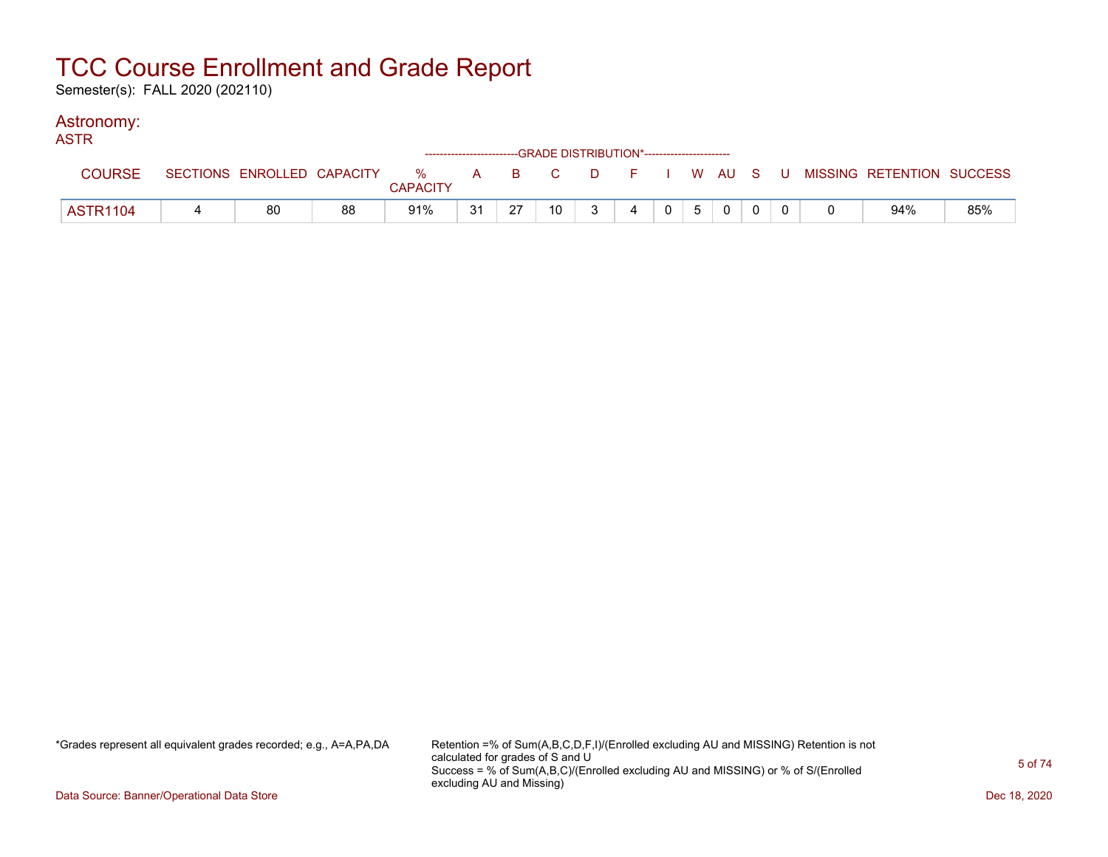Semester(s): FALL 2020 (202110)

### Astronomy:

| <b>ASTR</b>     |                            |    |                 |    |    | ------------------------GRADE DISTRIBUTION*----------------------- |              |   |                |   |  |  |                                                  |     |
|-----------------|----------------------------|----|-----------------|----|----|--------------------------------------------------------------------|--------------|---|----------------|---|--|--|--------------------------------------------------|-----|
| <b>COURSE</b>   | SECTIONS ENROLLED CAPACITY |    | <b>CAPACITY</b> |    |    |                                                                    |              |   |                |   |  |  | % A B C D F I W AU S U MISSING RETENTION SUCCESS |     |
| <b>ASTR1104</b> | 80                         | 88 | 91%             | 31 | 27 | 10                                                                 | $\mathbf{3}$ | 4 | 0 <sup>1</sup> | 5 |  |  | 94%                                              | 85% |

\*Grades represent all equivalent grades recorded; e.g., A=A,PA,DA Retention =% of Sum(A,B,C,D,F,I)/(Enrolled excluding AU and MISSING) Retention is not calculated for grades of S and U Success = % of Sum(A,B,C)/(Enrolled excluding AU and MISSING) or % of S/(Enrolled excluding AU and Missing)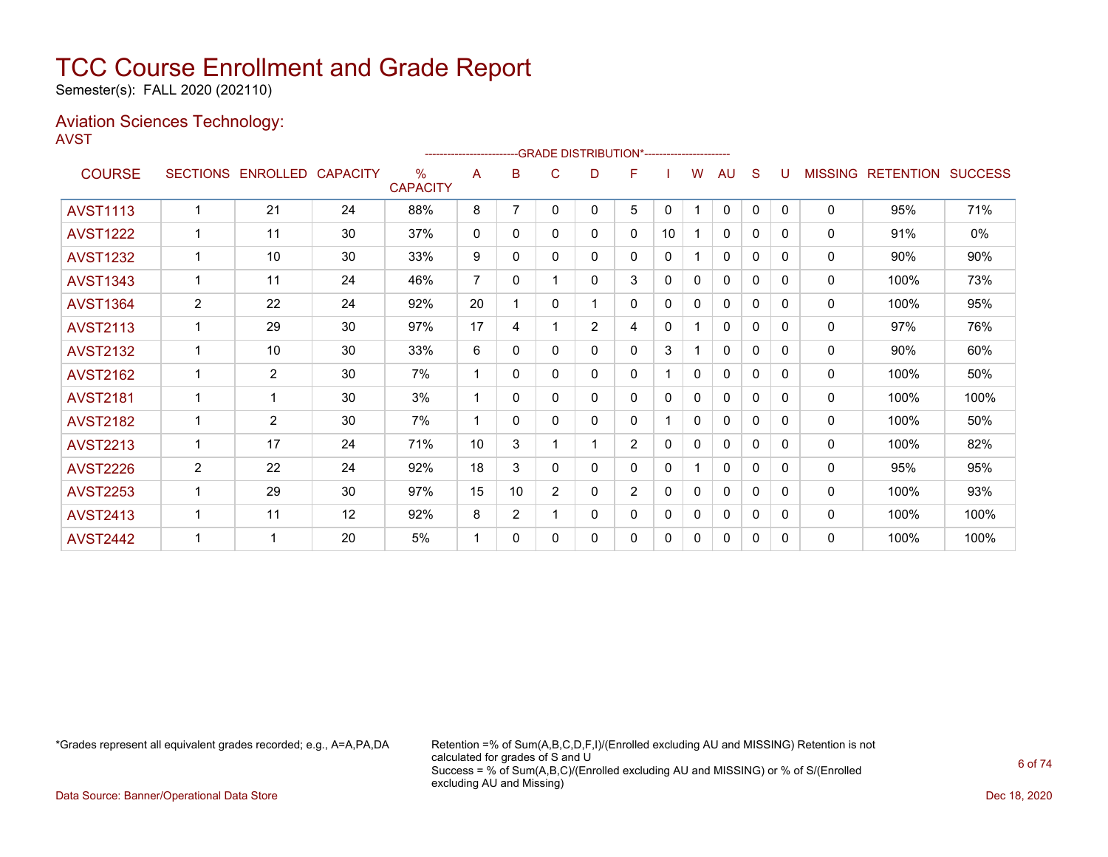Semester(s): FALL 2020 (202110)

### Aviation Sciences Technology: AVST

|                 |                 |                 |                 |                         |                |                |                | -- GRADE DISTRIBUTION*----------------------- |                |              |   |              |          |              |                |                  |                |
|-----------------|-----------------|-----------------|-----------------|-------------------------|----------------|----------------|----------------|-----------------------------------------------|----------------|--------------|---|--------------|----------|--------------|----------------|------------------|----------------|
| <b>COURSE</b>   | <b>SECTIONS</b> | <b>ENROLLED</b> | <b>CAPACITY</b> | $\%$<br><b>CAPACITY</b> | A              | B              | C              | D                                             | F              |              | w | AU           | S        |              | <b>MISSING</b> | <b>RETENTION</b> | <b>SUCCESS</b> |
| <b>AVST1113</b> |                 | 21              | 24              | 88%                     | 8              | 7              | 0              | 0                                             | 5              | $\mathbf{0}$ | 1 | 0            | 0        | $\mathbf{0}$ | 0              | 95%              | 71%            |
| <b>AVST1222</b> | 1               | 11              | 30              | 37%                     | 0              | 0              | 0              | 0                                             | 0              | 10           | 1 | 0            | 0        | 0            | 0              | 91%              | 0%             |
| <b>AVST1232</b> | 1               | 10              | 30              | 33%                     | 9              | $\Omega$       | 0              | $\mathbf{0}$                                  | $\Omega$       | 0            |   | $\mathbf{0}$ | $\Omega$ | $\Omega$     | 0              | 90%              | 90%            |
| <b>AVST1343</b> |                 | 11              | 24              | 46%                     | $\overline{7}$ | $\Omega$       |                | $\mathbf{0}$                                  | 3              | 0            | 0 | 0            | $\Omega$ | $\Omega$     | 0              | 100%             | 73%            |
| <b>AVST1364</b> | 2               | 22              | 24              | 92%                     | 20             |                | 0              |                                               | 0              | 0            | 0 | 0            | 0        | 0            | 0              | 100%             | 95%            |
| <b>AVST2113</b> | 1               | 29              | 30              | 97%                     | 17             | 4              |                | $\overline{2}$                                | 4              | 0            | 1 | 0            | 0        | $\Omega$     | $\mathbf{0}$   | 97%              | 76%            |
| <b>AVST2132</b> |                 | 10              | 30              | 33%                     | 6              | $\Omega$       | 0              | 0                                             | $\Omega$       | 3            |   | $\Omega$     | 0        | 0            | 0              | 90%              | 60%            |
| <b>AVST2162</b> | 1               | $\overline{2}$  | 30              | 7%                      | -1             | 0              | 0              | $\mathbf{0}$                                  | 0              |              | 0 | 0            | 0        | 0            | $\mathbf 0$    | 100%             | 50%            |
| <b>AVST2181</b> | 1               | 1               | 30              | 3%                      | -1             | 0              | 0              | 0                                             | 0              | $\Omega$     | 0 | $\mathbf{0}$ | 0        | 0            | $\mathbf{0}$   | 100%             | 100%           |
| <b>AVST2182</b> | 1               | $\overline{2}$  | 30              | 7%                      |                | 0              | 0              | 0                                             | 0              |              | 0 | 0            | 0        | $\Omega$     | 0              | 100%             | 50%            |
| <b>AVST2213</b> | 1               | 17              | 24              | 71%                     | 10             | 3              |                |                                               | $\overline{2}$ | 0            | 0 | 0            | 0        | 0            | 0              | 100%             | 82%            |
| <b>AVST2226</b> | $\overline{2}$  | 22              | 24              | 92%                     | 18             | 3              | 0              | $\mathbf{0}$                                  | 0              | 0            | 1 | $\mathbf{0}$ | $\Omega$ | $\Omega$     | $\mathbf{0}$   | 95%              | 95%            |
| <b>AVST2253</b> |                 | 29              | 30              | 97%                     | 15             | 10             | $\overline{2}$ | 0                                             | $\overline{2}$ | 0            | 0 | 0            | 0        | $\Omega$     | 0              | 100%             | 93%            |
| <b>AVST2413</b> | 1               | 11              | 12              | 92%                     | 8              | $\overline{2}$ |                | $\mathbf{0}$                                  | 0              | 0            | 0 | 0            | 0        | 0            | 0              | 100%             | 100%           |
| <b>AVST2442</b> | 1               | 1               | 20              | 5%                      | -1             | 0              | 0              | 0                                             | 0              | 0            | 0 | 0            | $\Omega$ | $\Omega$     | 0              | 100%             | 100%           |
|                 |                 |                 |                 |                         |                |                |                |                                               |                |              |   |              |          |              |                |                  |                |

\*Grades represent all equivalent grades recorded; e.g., A=A,PA,DA Retention =% of Sum(A,B,C,D,F,I)/(Enrolled excluding AU and MISSING) Retention is not calculated for grades of S and U Success = % of Sum(A,B,C)/(Enrolled excluding AU and MISSING) or % of S/(Enrolled excluding AU and Missing)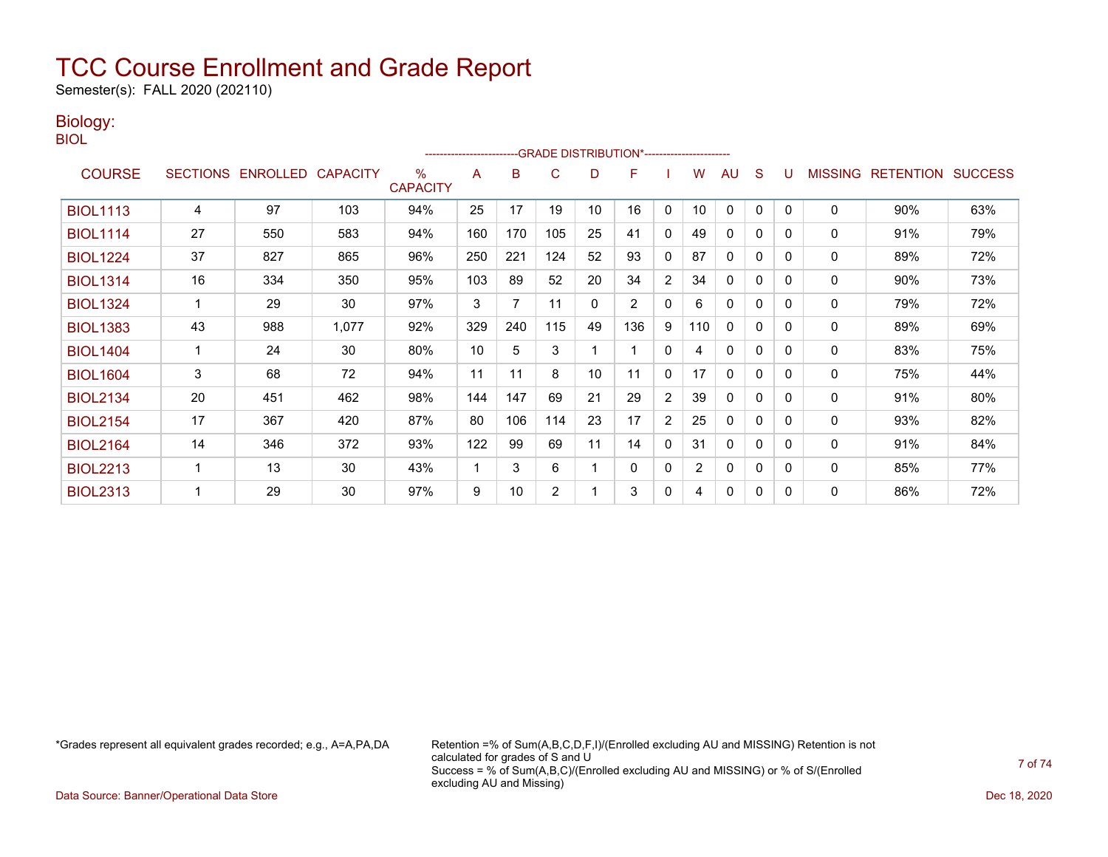Semester(s): FALL 2020 (202110)

### Biology:

BIOL

|                 |                 |                   |       |                         | ------------------------ |     |                |    | -GRADE DISTRIBUTION*----------------------- |                |                |              |          |          |                |                          |     |
|-----------------|-----------------|-------------------|-------|-------------------------|--------------------------|-----|----------------|----|---------------------------------------------|----------------|----------------|--------------|----------|----------|----------------|--------------------------|-----|
| <b>COURSE</b>   | <b>SECTIONS</b> | ENROLLED CAPACITY |       | $\%$<br><b>CAPACITY</b> | Α                        | в   | C              | D  | F                                           |                | w              | AU           | S        |          | <b>MISSING</b> | <b>RETENTION SUCCESS</b> |     |
| <b>BIOL1113</b> | 4               | 97                | 103   | 94%                     | 25                       | 17  | 19             | 10 | 16                                          | 0              | 10             | $\mathbf{0}$ | 0        | $\Omega$ | 0              | 90%                      | 63% |
| <b>BIOL1114</b> | 27              | 550               | 583   | 94%                     | 160                      | 170 | 105            | 25 | 41                                          | $\Omega$       | 49             | $\mathbf{0}$ | 0        | $\Omega$ | $\mathbf{0}$   | 91%                      | 79% |
| <b>BIOL1224</b> | 37              | 827               | 865   | 96%                     | 250                      | 221 | 124            | 52 | 93                                          | $\mathbf{0}$   | 87             | $\mathbf{0}$ | 0        | $\Omega$ | $\mathbf{0}$   | 89%                      | 72% |
| <b>BIOL1314</b> | 16              | 334               | 350   | 95%                     | 103                      | 89  | 52             | 20 | 34                                          | $\overline{2}$ | 34             | $\mathbf{0}$ | $\Omega$ | $\Omega$ | 0              | 90%                      | 73% |
| <b>BIOL1324</b> |                 | 29                | 30    | 97%                     | 3                        | 7   | 11             | 0  | $\overline{2}$                              | 0              | 6              | $\Omega$     | 0        | $\Omega$ | $\mathbf{0}$   | 79%                      | 72% |
| <b>BIOL1383</b> | 43              | 988               | 1,077 | 92%                     | 329                      | 240 | 115            | 49 | 136                                         | 9              | 110            | $\Omega$     | $\Omega$ | $\Omega$ | $\mathbf 0$    | 89%                      | 69% |
| <b>BIOL1404</b> |                 | 24                | 30    | 80%                     | 10                       | 5   | 3              |    |                                             | $\mathbf{0}$   | 4              | $\Omega$     | 0        | $\Omega$ | $\mathbf{0}$   | 83%                      | 75% |
| <b>BIOL1604</b> | 3               | 68                | 72    | 94%                     | 11                       | 11  | 8              | 10 | 11                                          | 0              | 17             | 0            | 0        | $\Omega$ | 0              | 75%                      | 44% |
| <b>BIOL2134</b> | 20              | 451               | 462   | 98%                     | 144                      | 147 | 69             | 21 | 29                                          | 2              | 39             | $\mathbf{0}$ | 0        | $\Omega$ | 0              | 91%                      | 80% |
| <b>BIOL2154</b> | 17              | 367               | 420   | 87%                     | 80                       | 106 | 114            | 23 | 17                                          | $\overline{2}$ | 25             | 0            | $\Omega$ | 0        | 0              | 93%                      | 82% |
| <b>BIOL2164</b> | 14              | 346               | 372   | 93%                     | 122                      | 99  | 69             | 11 | 14                                          | 0              | 31             | $\mathbf{0}$ | 0        | $\Omega$ | 0              | 91%                      | 84% |
| <b>BIOL2213</b> |                 | 13                | 30    | 43%                     | 1                        | 3   | 6              |    | 0                                           | 0              | $\overline{2}$ | $\mathbf{0}$ | 0        | $\Omega$ | $\mathbf 0$    | 85%                      | 77% |
| <b>BIOL2313</b> |                 | 29                | 30    | 97%                     | 9                        | 10  | $\overline{2}$ |    | 3                                           | 0              | 4              | $\mathbf{0}$ | 0        | $\Omega$ | $\mathbf 0$    | 86%                      | 72% |

\*Grades represent all equivalent grades recorded; e.g., A=A,PA,DA Retention =% of Sum(A,B,C,D,F,I)/(Enrolled excluding AU and MISSING) Retention is not calculated for grades of S and U Success = % of Sum(A,B,C)/(Enrolled excluding AU and MISSING) or % of S/(Enrolled excluding AU and Missing)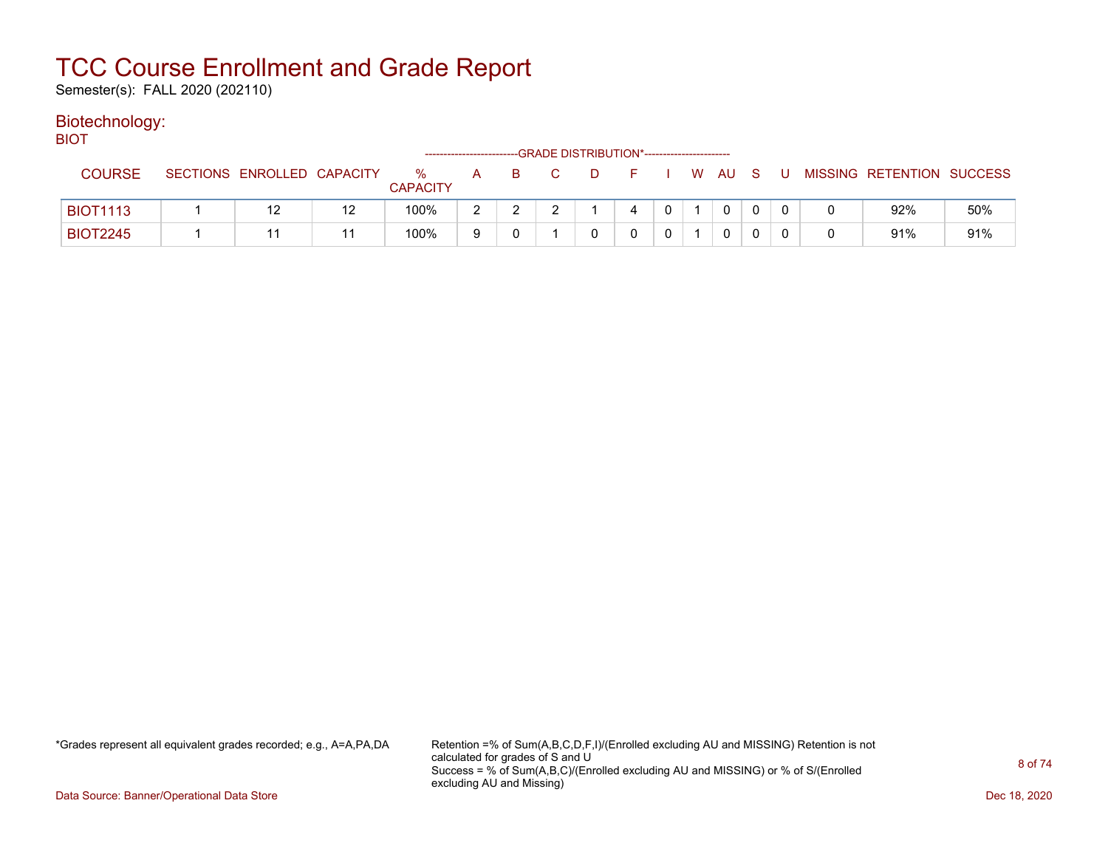Semester(s): FALL 2020 (202110)

#### Biotechnology: BIOT

| ו שוכ           |                            |    |                      | ----------------------- |    | --GRADE DISTRIBUTION*----------------------- |    |  |      |     |   |                           |     |
|-----------------|----------------------------|----|----------------------|-------------------------|----|----------------------------------------------|----|--|------|-----|---|---------------------------|-----|
| <b>COURSE</b>   | SECTIONS ENROLLED CAPACITY |    | %<br><b>CAPACITY</b> | A                       | -B | $\mathbf{D}$                                 | н. |  | W AU | - S | U | MISSING RETENTION SUCCESS |     |
| <b>BIOT1113</b> |                            | 12 | 100%                 |                         |    |                                              |    |  | 0    |     |   | 92%                       | 50% |
| <b>BIOT2245</b> |                            |    | 100%                 |                         |    |                                              |    |  | 0    |     |   | 91%                       | 91% |

\*Grades represent all equivalent grades recorded; e.g., A=A,PA,DA Retention =% of Sum(A,B,C,D,F,I)/(Enrolled excluding AU and MISSING) Retention is not calculated for grades of S and U Success = % of Sum(A,B,C)/(Enrolled excluding AU and MISSING) or % of S/(Enrolled excluding AU and Missing)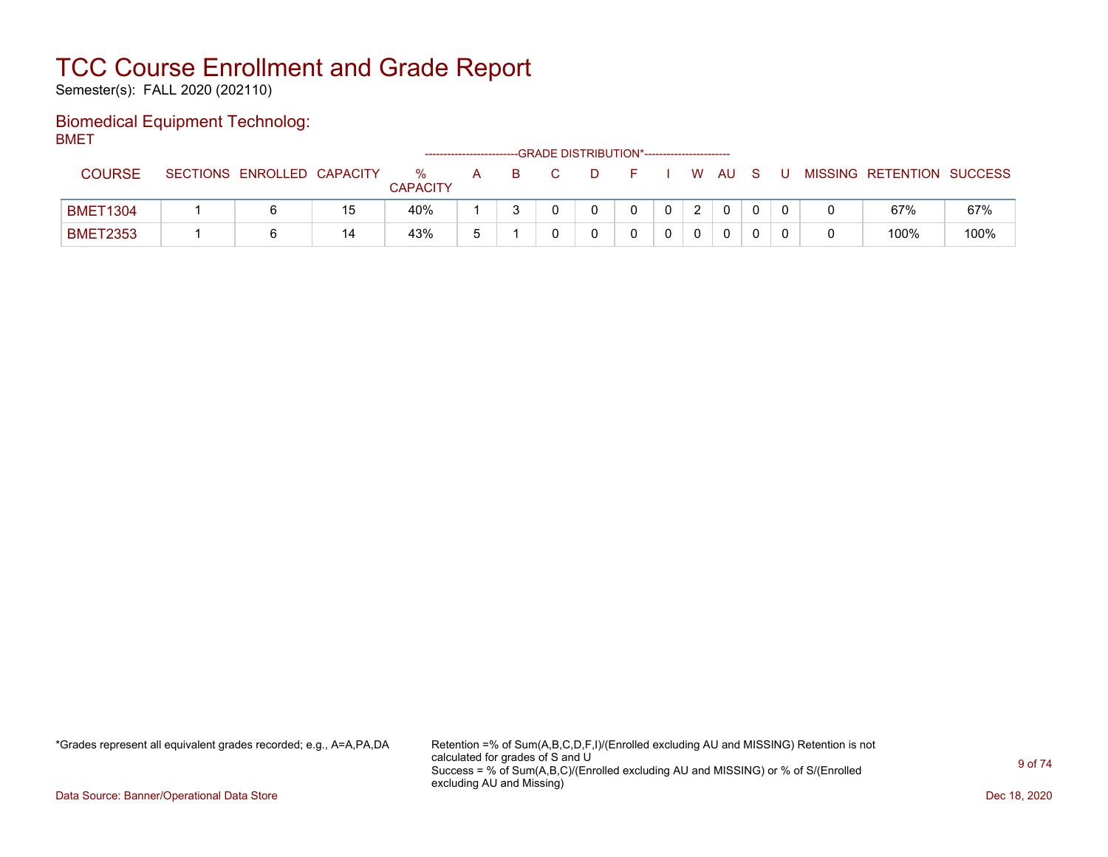Semester(s): FALL 2020 (202110)

### Biomedical Equipment Technolog: BMET

| ------          |                            |    |                      | ----------------------- |  | --- GRADE DISTRIBUTION*----------------------- |  |             |     |    |                           |      |
|-----------------|----------------------------|----|----------------------|-------------------------|--|------------------------------------------------|--|-------------|-----|----|---------------------------|------|
| <b>COURSE</b>   | SECTIONS ENROLLED CAPACITY |    | %<br><b>CAPACITY</b> | A                       |  |                                                |  | W AU        | - S | -U | MISSING RETENTION SUCCESS |      |
| <b>BMET1304</b> |                            | 15 | 40%                  |                         |  |                                                |  | $\mathbf 0$ |     |    | 67%                       | 67%  |
| <b>BMET2353</b> |                            | 14 | 43%                  |                         |  |                                                |  | 0           |     |    | 100%                      | 100% |

\*Grades represent all equivalent grades recorded; e.g., A=A,PA,DA Retention =% of Sum(A,B,C,D,F,I)/(Enrolled excluding AU and MISSING) Retention is not calculated for grades of S and U Success = % of Sum(A,B,C)/(Enrolled excluding AU and MISSING) or % of S/(Enrolled excluding AU and Missing)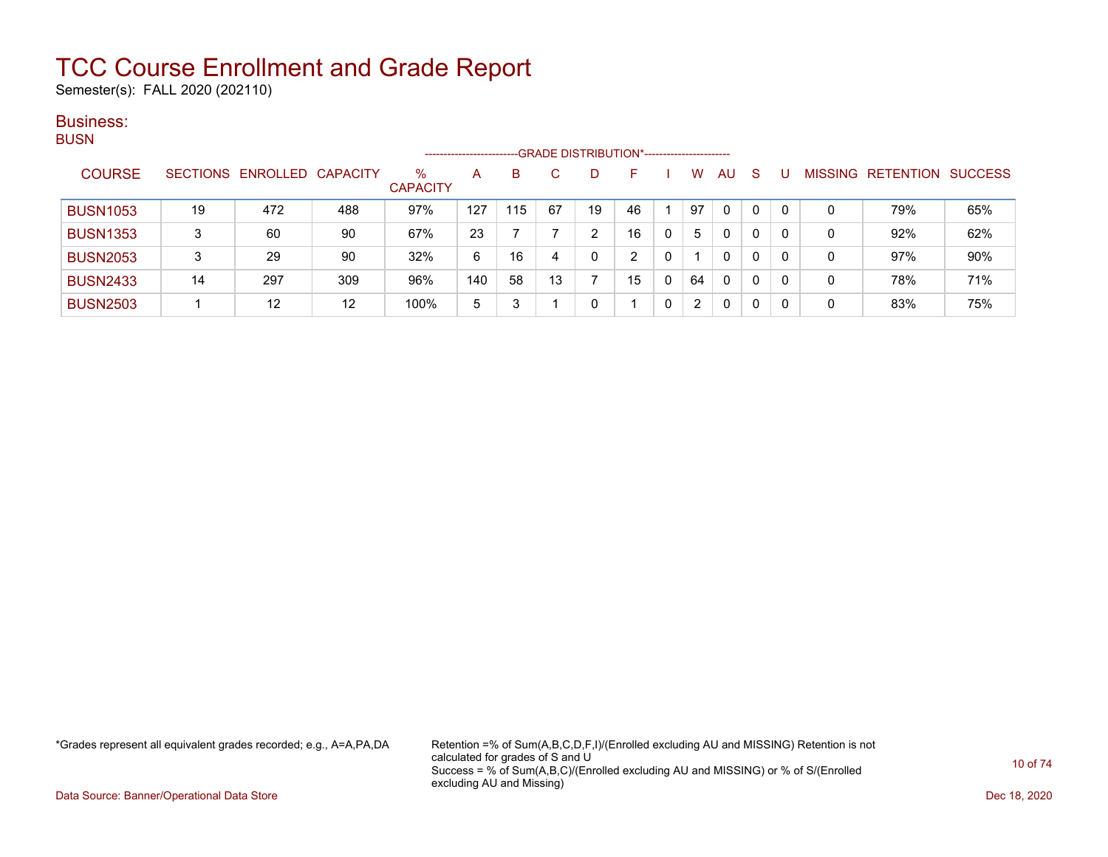Semester(s): FALL 2020 (202110)

#### Business: **BUSN**

| ----            |    |                            |     |                      | ---------------------- |     |    | -GRADE DISTRIBUTION*---------------------- |    |    |     |    |   |   |                           |     |
|-----------------|----|----------------------------|-----|----------------------|------------------------|-----|----|--------------------------------------------|----|----|-----|----|---|---|---------------------------|-----|
| <b>COURSE</b>   |    | SECTIONS ENROLLED CAPACITY |     | %<br><b>CAPACITY</b> | A                      | B   |    |                                            | н. | w  | AU. | -S |   |   | MISSING RETENTION SUCCESS |     |
| <b>BUSN1053</b> | 19 | 472                        | 488 | 97%                  | 127                    | 115 | 67 | 19                                         | 46 | 97 | 0   | 0  | 0 | 0 | 79%                       | 65% |
| <b>BUSN1353</b> | 3  | 60                         | 90  | 67%                  | 23                     |     |    |                                            | 16 | 5  | 0   | 0  | 0 | 0 | 92%                       | 62% |
| <b>BUSN2053</b> | 3  | 29                         | 90  | 32%                  | 6                      | 16  | 4  |                                            | ົ  |    | 0   | 0  | 0 | 0 | 97%                       | 90% |
| <b>BUSN2433</b> | 14 | 297                        | 309 | 96%                  | 140                    | 58  | 13 |                                            | 15 | 64 | 0   | 0  | 0 | 0 | 78%                       | 71% |
| <b>BUSN2503</b> |    | 12                         | 12  | 100%                 | 5                      | 3   |    |                                            |    | 2  | 0   | 0  | 0 | 0 | 83%                       | 75% |

\*Grades represent all equivalent grades recorded; e.g., A=A,PA,DA Retention =% of Sum(A,B,C,D,F,I)/(Enrolled excluding AU and MISSING) Retention is not calculated for grades of S and U Success = % of Sum(A,B,C)/(Enrolled excluding AU and MISSING) or % of S/(Enrolled excluding AU and Missing)

Data Source: Banner/Operational Data Store Dec 18, 2020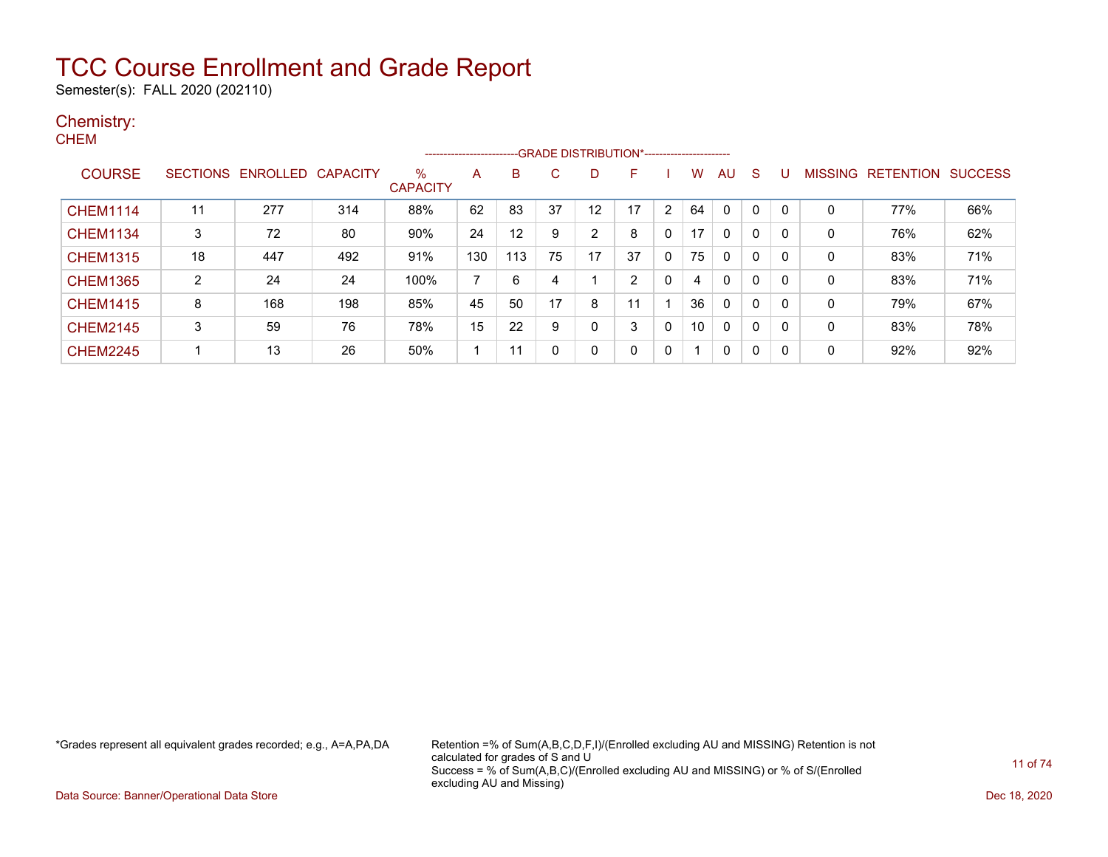Semester(s): FALL 2020 (202110)

#### Chemistry: **CHEM**

| -----           |                |                            |     |                         | ---------------------- |     |    |    |    |              |    |              |    |   |              |                           |     |
|-----------------|----------------|----------------------------|-----|-------------------------|------------------------|-----|----|----|----|--------------|----|--------------|----|---|--------------|---------------------------|-----|
| <b>COURSE</b>   |                | SECTIONS ENROLLED CAPACITY |     | $\%$<br><b>CAPACITY</b> | A                      | B   | C  | D. | F  |              | w  | AU.          | -S | U |              | MISSING RETENTION SUCCESS |     |
| <b>CHEM1114</b> | 11             | 277                        | 314 | 88%                     | 62                     | 83  | 37 | 12 | 17 | $\mathbf{2}$ | 64 | 0            | 0  | 0 | $\Omega$     | 77%                       | 66% |
| <b>CHEM1134</b> | 3              | 72                         | 80  | 90%                     | 24                     | 12  | 9  | 2  | 8  | $\Omega$     | 17 | $\mathbf{0}$ | 0  | 0 | $\mathbf{0}$ | 76%                       | 62% |
| <b>CHEM1315</b> | 18             | 447                        | 492 | 91%                     | 130                    | 113 | 75 | 17 | 37 | $\Omega$     | 75 | 0            | 0  | 0 | 0            | 83%                       | 71% |
| <b>CHEM1365</b> | $\overline{2}$ | 24                         | 24  | 100%                    | 7                      | 6   | 4  |    | 2  | $\Omega$     | 4  | $\mathbf{0}$ | 0  | 0 | 0            | 83%                       | 71% |
| <b>CHEM1415</b> | 8              | 168                        | 198 | 85%                     | 45                     | 50  | 17 | 8  | 11 |              | 36 | 0            | 0  | 0 | 0            | 79%                       | 67% |
| <b>CHEM2145</b> | 3              | 59                         | 76  | 78%                     | 15                     | 22  | 9  | 0  | 3  | $\Omega$     | 10 | $\mathbf{0}$ | 0  | 0 | $\Omega$     | 83%                       | 78% |
| <b>CHEM2245</b> |                | 13                         | 26  | 50%                     |                        | 11  | 0  | 0  | 0  | $\Omega$     | -1 | 0            | 0  | 0 | 0            | 92%                       | 92% |

\*Grades represent all equivalent grades recorded; e.g., A=A,PA,DA Retention =% of Sum(A,B,C,D,F,I)/(Enrolled excluding AU and MISSING) Retention is not calculated for grades of S and U Success = % of Sum(A,B,C)/(Enrolled excluding AU and MISSING) or % of S/(Enrolled excluding AU and Missing)

Data Source: Banner/Operational Data Store Dec 18, 2020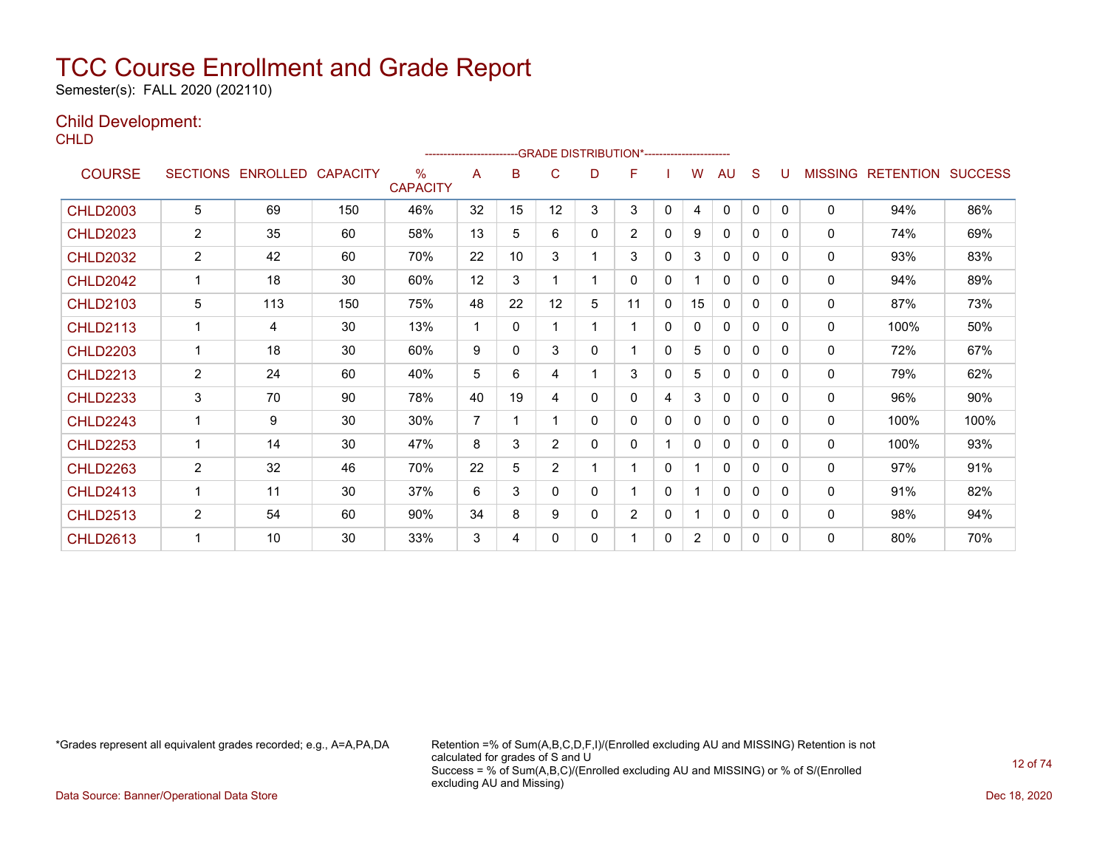Semester(s): FALL 2020 (202110)

### Child Development:

**CHLD** 

|                 |                 |                 |                 |                         |                |    |                |    | ------------------------GRADE                DISTRIBUTION*---------------------- |   |                |              |              |              |                |                  |                |
|-----------------|-----------------|-----------------|-----------------|-------------------------|----------------|----|----------------|----|----------------------------------------------------------------------------------|---|----------------|--------------|--------------|--------------|----------------|------------------|----------------|
| <b>COURSE</b>   | <b>SECTIONS</b> | <b>ENROLLED</b> | <b>CAPACITY</b> | $\%$<br><b>CAPACITY</b> | A              | B  | C              | D  | F                                                                                |   | W              | AU           | S            | U            | <b>MISSING</b> | <b>RETENTION</b> | <b>SUCCESS</b> |
| <b>CHLD2003</b> | 5               | 69              | 150             | 46%                     | 32             | 15 | 12             | 3  | 3                                                                                | 0 | 4              | $\mathbf{0}$ | $\mathbf{0}$ | $\mathbf{0}$ | $\mathbf{0}$   | 94%              | 86%            |
| <b>CHLD2023</b> | $\overline{2}$  | 35              | 60              | 58%                     | 13             | 5  | 6              | 0  | $\overline{2}$                                                                   | 0 | 9              | $\mathbf{0}$ | 0            | 0            | $\mathbf{0}$   | 74%              | 69%            |
| <b>CHLD2032</b> | 2               | 42              | 60              | 70%                     | 22             | 10 | 3              | 1  | 3                                                                                | 0 | 3              | $\mathbf{0}$ | 0            | $\Omega$     | $\mathbf{0}$   | 93%              | 83%            |
| <b>CHLD2042</b> |                 | 18              | 30              | 60%                     | 12             | 3  |                | 1  | 0                                                                                | 0 |                | 0            | 0            | 0            | $\mathbf{0}$   | 94%              | 89%            |
| <b>CHLD2103</b> | 5               | 113             | 150             | 75%                     | 48             | 22 | 12             | 5  | 11                                                                               | 0 | 15             | 0            | 0            | 0            | $\mathbf{0}$   | 87%              | 73%            |
| <b>CHLD2113</b> |                 | 4               | 30              | 13%                     | 1              | 0  |                | 1  | 1                                                                                | 0 | 0              | $\mathbf{0}$ | 0            | $\Omega$     | $\mathbf{0}$   | 100%             | 50%            |
| <b>CHLD2203</b> | 1               | 18              | 30              | 60%                     | 9              | 0  | 3              | 0  | 1                                                                                | 0 | 5              | 0            | 0            | $\Omega$     | 0              | 72%              | 67%            |
| <b>CHLD2213</b> | $\overline{2}$  | 24              | 60              | 40%                     | 5              | 6  | 4              | 1  | 3                                                                                | 0 | 5              | $\mathbf{0}$ | $\mathbf{0}$ | $\Omega$     | $\mathbf{0}$   | 79%              | 62%            |
| <b>CHLD2233</b> | 3               | 70              | 90              | 78%                     | 40             | 19 | 4              | 0  | 0                                                                                | 4 | 3              | $\mathbf{0}$ | 0            | 0            | $\mathbf{0}$   | 96%              | 90%            |
| <b>CHLD2243</b> | 1               | 9               | 30              | 30%                     | $\overline{7}$ |    |                | 0  | 0                                                                                | 0 | 0              | $\mathbf{0}$ | 0            | 0            | $\mathbf{0}$   | 100%             | 100%           |
| <b>CHLD2253</b> |                 | 14              | 30              | 47%                     | 8              | 3  | $\overline{2}$ | 0  | $\mathbf{0}$                                                                     |   | 0              | $\mathbf{0}$ | 0            | 0            | $\mathbf{0}$   | 100%             | 93%            |
| <b>CHLD2263</b> | 2               | 32              | 46              | 70%                     | 22             | 5  | $\overline{2}$ | 1. |                                                                                  | 0 |                | $\mathbf 0$  | 0            | 0            | $\mathbf{0}$   | 97%              | 91%            |
| <b>CHLD2413</b> | 1               | 11              | 30              | 37%                     | 6              | 3  | $\Omega$       | 0  |                                                                                  | 0 |                | $\mathbf{0}$ | $\Omega$     | $\Omega$     | $\mathbf{0}$   | 91%              | 82%            |
| <b>CHLD2513</b> | $\overline{2}$  | 54              | 60              | 90%                     | 34             | 8  | 9              | 0  | $\overline{2}$                                                                   | 0 | 1              | $\mathbf{0}$ | 0            | $\Omega$     | $\mathbf{0}$   | 98%              | 94%            |
| <b>CHLD2613</b> | 1               | 10              | 30              | 33%                     | 3              | 4  | 0              | 0  |                                                                                  | 0 | $\overline{2}$ | 0            | 0            | $\Omega$     | 0              | 80%              | 70%            |

\*Grades represent all equivalent grades recorded; e.g., A=A,PA,DA Retention =% of Sum(A,B,C,D,F,I)/(Enrolled excluding AU and MISSING) Retention is not calculated for grades of S and U Success = % of Sum(A,B,C)/(Enrolled excluding AU and MISSING) or % of S/(Enrolled excluding AU and Missing)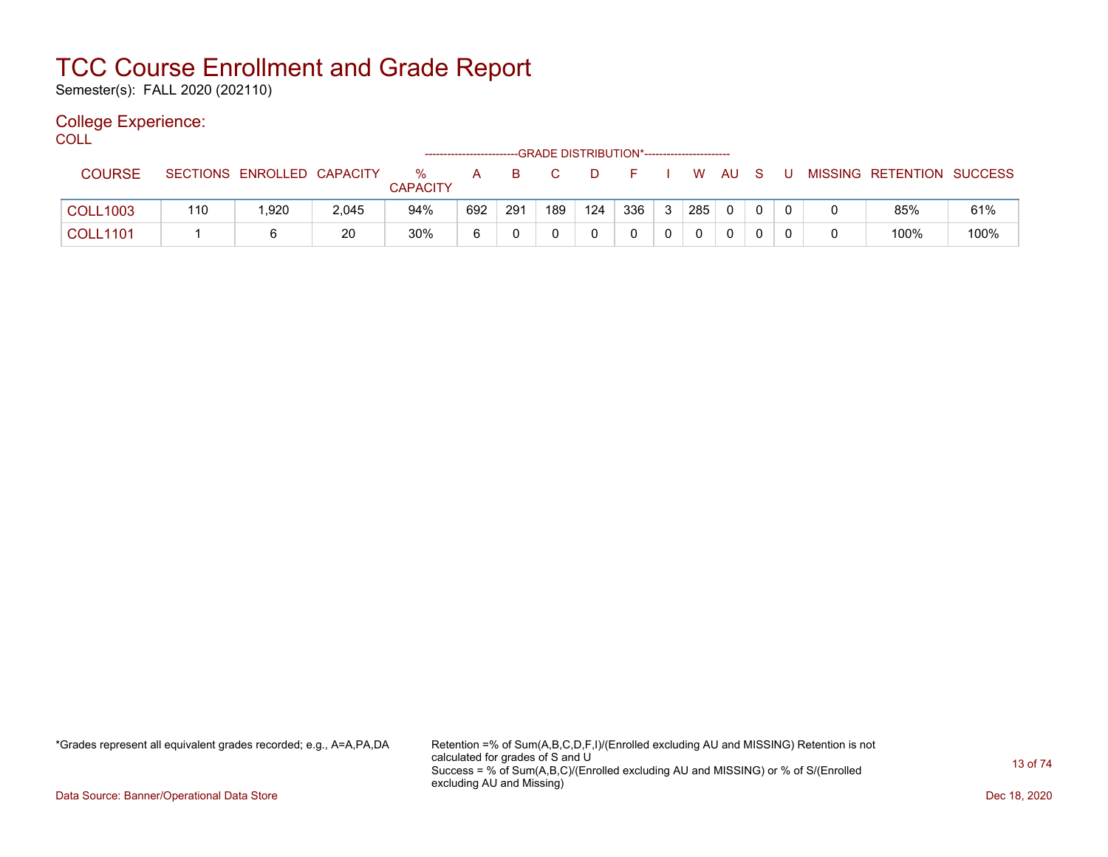Semester(s): FALL 2020 (202110)

### College Experience:

COLL<sup>'</sup>

|                 |     |                            |       |                      |     |     |     | -GRADE DISTRIBUTION*----------------------- |     |   |     |     |              |  |                           |      |
|-----------------|-----|----------------------------|-------|----------------------|-----|-----|-----|---------------------------------------------|-----|---|-----|-----|--------------|--|---------------------------|------|
| <b>COURSE</b>   |     | SECTIONS ENROLLED CAPACITY |       | ℅<br><b>CAPACITY</b> | A   | B   | C.  |                                             |     |   | W   | AU. | -S           |  | MISSING RETENTION SUCCESS |      |
| <b>COLL1003</b> | 110 | 1,920                      | 2,045 | 94%                  | 692 | 291 | 189 | 124                                         | 336 | 3 | 285 | 0   | $\mathbf{0}$ |  | 85%                       | 61%  |
| <b>COLL1101</b> |     | 6                          | 20    | 30%                  | 6   |     |     |                                             |     | 0 |     |     |              |  | 100%                      | 100% |

\*Grades represent all equivalent grades recorded; e.g., A=A,PA,DA Retention =% of Sum(A,B,C,D,F,I)/(Enrolled excluding AU and MISSING) Retention is not calculated for grades of S and U Success = % of Sum(A,B,C)/(Enrolled excluding AU and MISSING) or % of S/(Enrolled excluding AU and Missing)

Data Source: Banner/Operational Data Store Dec 18, 2020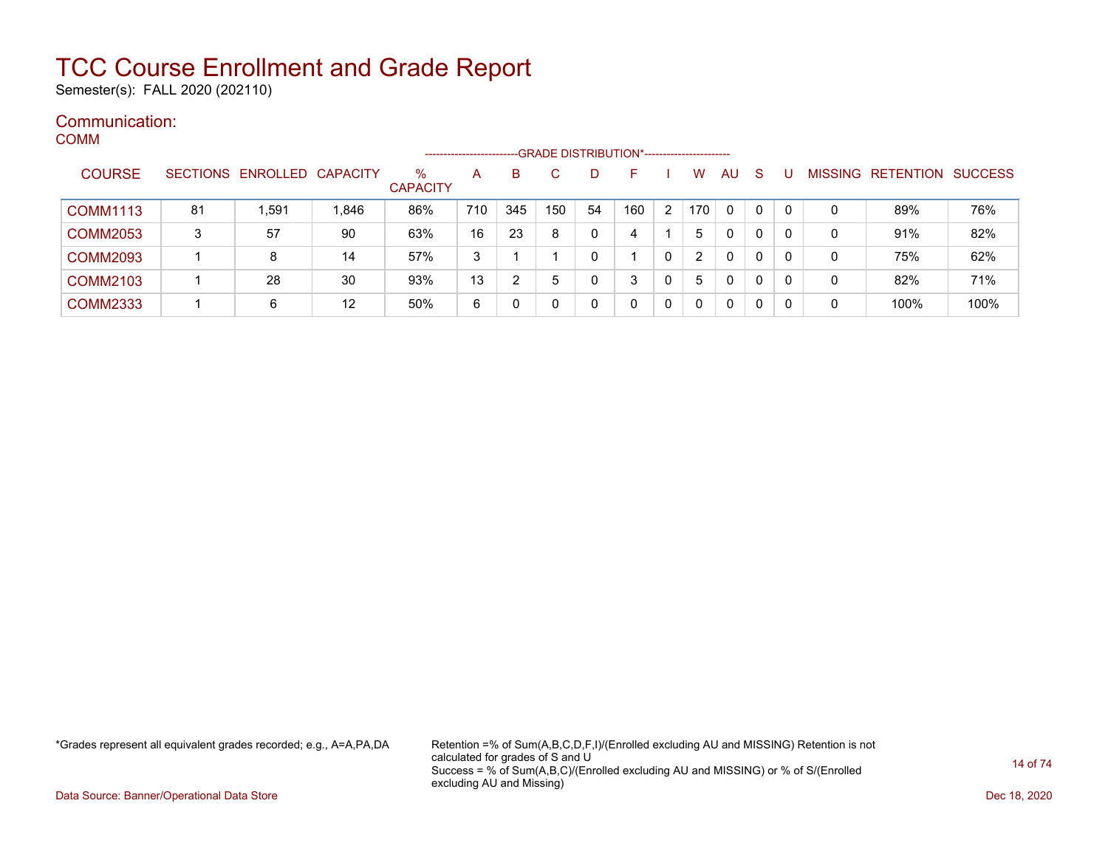Semester(s): FALL 2020 (202110)

#### Communication: COMM

|                 |    |                            |       |                      | -------------------- |     |     |             | -GRADE DISTRIBUTION*----------------------- |   |                       |              |              |              |   |                                  |      |
|-----------------|----|----------------------------|-------|----------------------|----------------------|-----|-----|-------------|---------------------------------------------|---|-----------------------|--------------|--------------|--------------|---|----------------------------------|------|
| <b>COURSE</b>   |    | SECTIONS ENROLLED CAPACITY |       | %<br><b>CAPACITY</b> | A                    | в   |     | D           | F                                           |   | W                     | AU           | <sub>S</sub> |              |   | <b>MISSING RETENTION SUCCESS</b> |      |
| <b>COMM1113</b> | 81 | .591                       | 1,846 | 86%                  | 710                  | 345 | 150 | 54          | 160                                         | 2 | 170                   | $\Omega$     | 0            | $\Omega$     | 0 | 89%                              | 76%  |
| <b>COMM2053</b> | 3  | 57                         | 90    | 63%                  | 16                   | 23  | 8   | 0           | 4                                           |   | 5.                    | $\mathbf{0}$ | 0            | 0            | 0 | 91%                              | 82%  |
| <b>COMM2093</b> |    | 8                          | 14    | 57%                  | 3                    |     |     | $\Omega$    |                                             | 0 | $\mathbf{2}^{\prime}$ | 0            | $\mathbf{0}$ | $\mathbf{0}$ | 0 | 75%                              | 62%  |
| <b>COMM2103</b> |    | 28                         | 30    | 93%                  | 13                   | 2   | 5   | $\mathbf 0$ |                                             |   | 5                     | $\mathbf{0}$ | 0            |              | 0 | 82%                              | 71%  |
| <b>COMM2333</b> |    | 6                          | 12    | 50%                  | 6                    | 0   |     | 0           |                                             |   |                       | $\Omega$     | $\mathbf{0}$ |              | 0 | 100%                             | 100% |

\*Grades represent all equivalent grades recorded; e.g., A=A,PA,DA Retention =% of Sum(A,B,C,D,F,I)/(Enrolled excluding AU and MISSING) Retention is not calculated for grades of S and U Success = % of Sum(A,B,C)/(Enrolled excluding AU and MISSING) or % of S/(Enrolled excluding AU and Missing)

Data Source: Banner/Operational Data Store Dec 18, 2020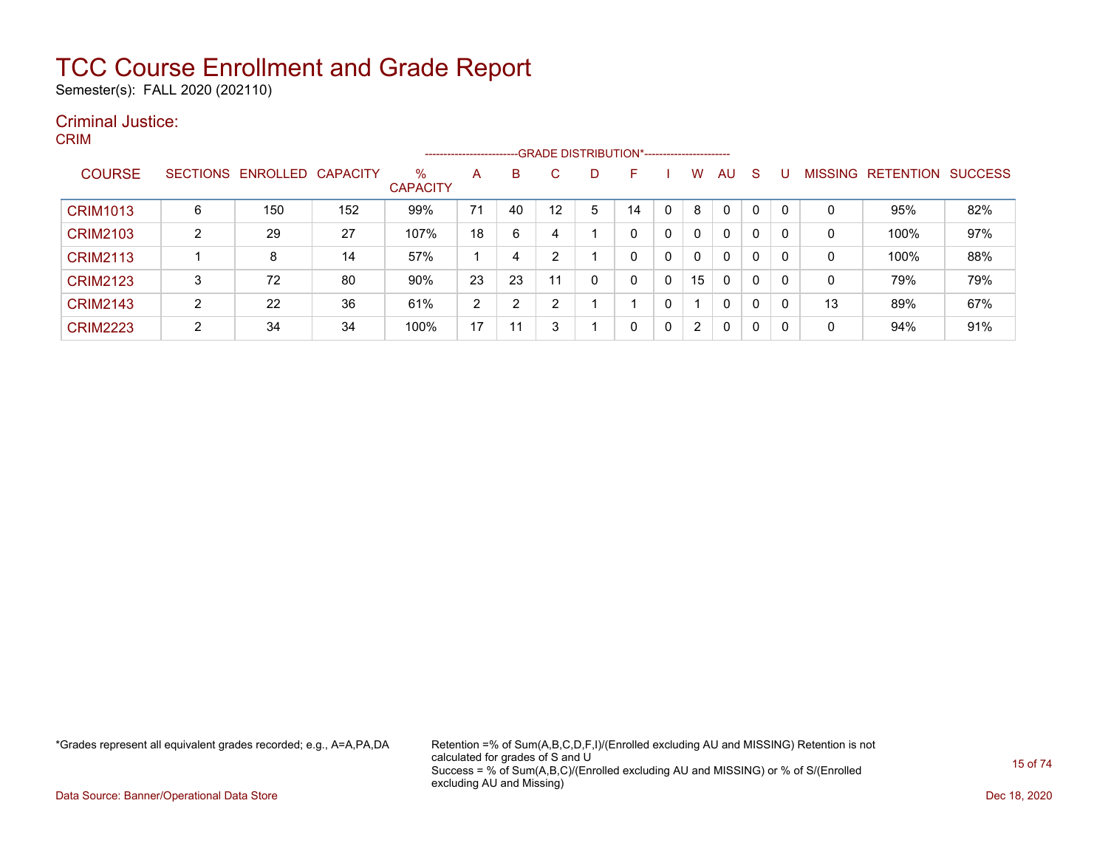Semester(s): FALL 2020 (202110)

### Criminal Justice: CRIM

|                 |   |                   |                 |                         | ----------------------- |    |    |   | --GRADE DISTRIBUTION*---------------------- |              |                      |              |   |          |                |                  |                |
|-----------------|---|-------------------|-----------------|-------------------------|-------------------------|----|----|---|---------------------------------------------|--------------|----------------------|--------------|---|----------|----------------|------------------|----------------|
| <b>COURSE</b>   |   | SECTIONS ENROLLED | <b>CAPACITY</b> | $\%$<br><b>CAPACITY</b> | A                       | B  | C. | D | н                                           |              | W                    | AU           | S |          | <b>MISSING</b> | <b>RETENTION</b> | <b>SUCCESS</b> |
| <b>CRIM1013</b> | 6 | 150               | 152             | 99%                     | 71                      | 40 | 12 | 5 | 14                                          |              | 8                    | $\Omega$     | 0 |          | 0              | 95%              | 82%            |
| <b>CRIM2103</b> | ົ | 29                | 27              | 107%                    | 18                      | 6  |    |   | 0                                           | $\mathbf 0$  | 0                    | $\mathbf{0}$ | 0 | $\Omega$ | 0              | 100%             | 97%            |
| <b>CRIM2113</b> |   | 8                 | 14              | 57%                     |                         | 4  |    |   | 0                                           | $\mathbf{0}$ | 0                    | 0            | 0 | $\Omega$ | 0              | 100%             | 88%            |
| <b>CRIM2123</b> | 3 | 72                | 80              | 90%                     | 23                      | 23 | 11 |   | 0                                           |              | 15                   | 0            | 0 | $\Omega$ | 0              | 79%              | 79%            |
| <b>CRIM2143</b> | 2 | 22                | 36              | 61%                     | 2                       | າ  |    |   |                                             |              |                      | $\mathbf{0}$ | 0 |          | 13             | 89%              | 67%            |
| <b>CRIM2223</b> | ົ | 34                | 34              | 100%                    | 17                      | 11 |    |   | 0                                           |              | $\mathbf{2}^{\circ}$ | $\mathbf{0}$ | 0 | -0       | 0              | 94%              | 91%            |

\*Grades represent all equivalent grades recorded; e.g., A=A,PA,DA Retention =% of Sum(A,B,C,D,F,I)/(Enrolled excluding AU and MISSING) Retention is not calculated for grades of S and U Success = % of Sum(A,B,C)/(Enrolled excluding AU and MISSING) or % of S/(Enrolled excluding AU and Missing)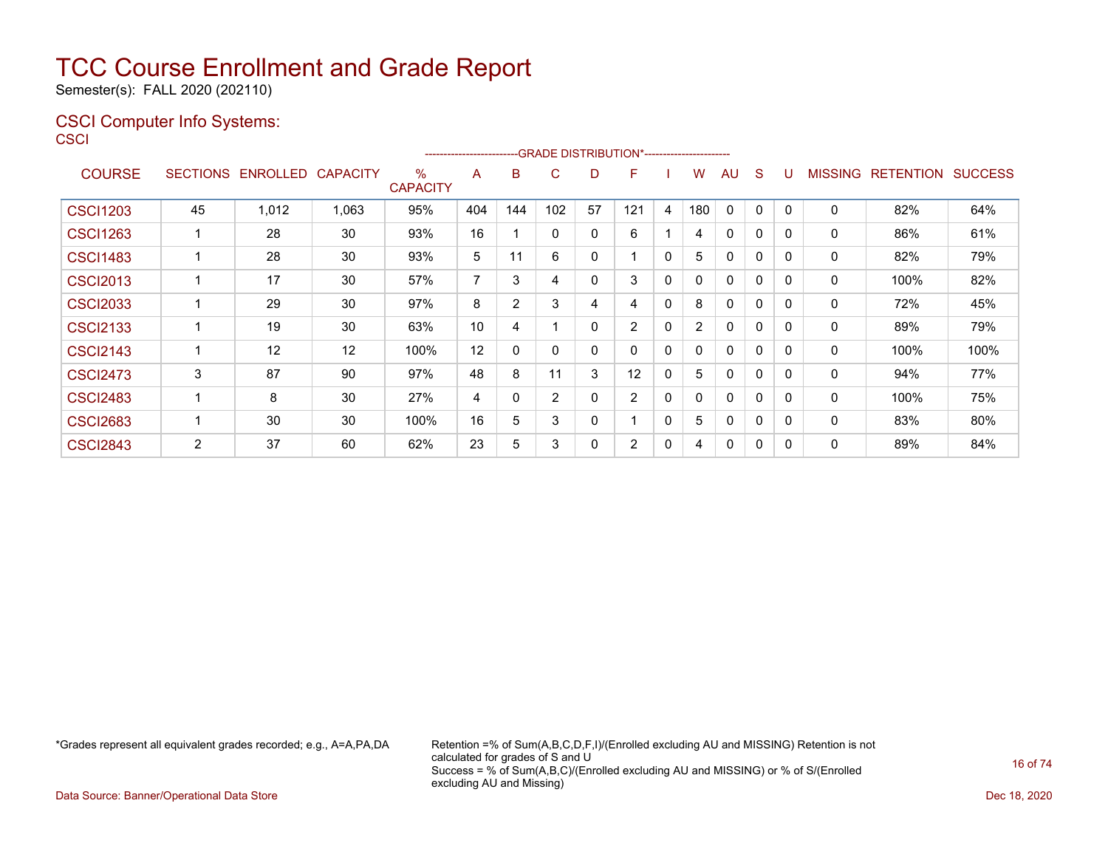Semester(s): FALL 2020 (202110)

### CSCI Computer Info Systems: **CS**

| <b>SECTIONS</b> |       | <b>CAPACITY</b> | $\%$<br><b>CAPACITY</b> | A              | B            | C                     | D  | F            |              | W              | AU           | S                                              | U            |              |      | <b>SUCCESS</b>                     |
|-----------------|-------|-----------------|-------------------------|----------------|--------------|-----------------------|----|--------------|--------------|----------------|--------------|------------------------------------------------|--------------|--------------|------|------------------------------------|
| 45              | 1,012 | 1,063           | 95%                     | 404            | 144          | 102                   | 57 | 121          | 4            | 180            | $\mathbf{0}$ | $\Omega$                                       | $\mathbf{0}$ | $\mathbf{0}$ | 82%  | 64%                                |
|                 | 28    | 30              | 93%                     | 16             |              | 0                     | 0  | 6            |              | 4              | $\mathbf 0$  | 0                                              | $\Omega$     | $\mathbf 0$  | 86%  | 61%                                |
|                 | 28    | 30              | 93%                     | 5              | 11           | 6                     | 0  |              | 0            | 5              | 0            | 0                                              | 0            | 0            | 82%  | 79%                                |
|                 | 17    | 30              | 57%                     | 7              | 3            | 4                     | 0  | 3            | 0            | 0              | $\mathbf 0$  | 0                                              | $\Omega$     | $\mathbf 0$  | 100% | 82%                                |
|                 | 29    | 30              | 97%                     | 8              | 2            | 3                     | 4  | 4            | 0            | 8              | 0            | 0                                              | 0            | $\mathbf 0$  | 72%  | 45%                                |
|                 | 19    | 30              | 63%                     | 10             | 4            |                       | 0  | 2            | 0            | $\overline{2}$ | 0            | 0                                              | $\Omega$     | 0            | 89%  | 79%                                |
|                 | 12    | 12              | 100%                    | 12             | $\mathbf{0}$ | $\mathbf{0}$          | 0  | $\mathbf{0}$ | $\mathbf{0}$ | 0              | $\mathbf{0}$ | $\Omega$                                       | $\Omega$     | $\mathbf{0}$ | 100% | 100%                               |
| 3               | 87    | 90              | 97%                     | 48             | 8            | 11                    | 3  | 12           | 0            | 5              | $\mathbf 0$  | 0                                              | 0            | $\mathbf 0$  | 94%  | 77%                                |
|                 | 8     | 30              | 27%                     | $\overline{4}$ | 0            | 2                     | 0  | 2            | 0            | 0              | $\mathbf 0$  | 0                                              | 0            | $\mathbf 0$  | 100% | 75%                                |
|                 | 30    | 30              | 100%                    | 16             | 5            | 3                     | 0  |              | 0            | 5              | 0            | 0                                              | 0            | $\mathbf 0$  | 83%  | 80%                                |
| 2               | 37    | 60              | 62%                     | 23             | 5            | 3                     | 0  | 2            | 0            | 4              | 0            | 0                                              | 0            | 0            | 89%  | 84%                                |
|                 |       |                 | ENROLLED                |                |              | --------------------- |    |              |              |                |              | -- GRADE DISTRIBUTION*------------------------ |              |              |      | <b>MISSING</b><br><b>RETENTION</b> |

\*Grades represent all equivalent grades recorded; e.g., A=A,PA,DA Retention =% of Sum(A,B,C,D,F,I)/(Enrolled excluding AU and MISSING) Retention is not calculated for grades of S and U Success = % of Sum(A,B,C)/(Enrolled excluding AU and MISSING) or % of S/(Enrolled excluding AU and Missing)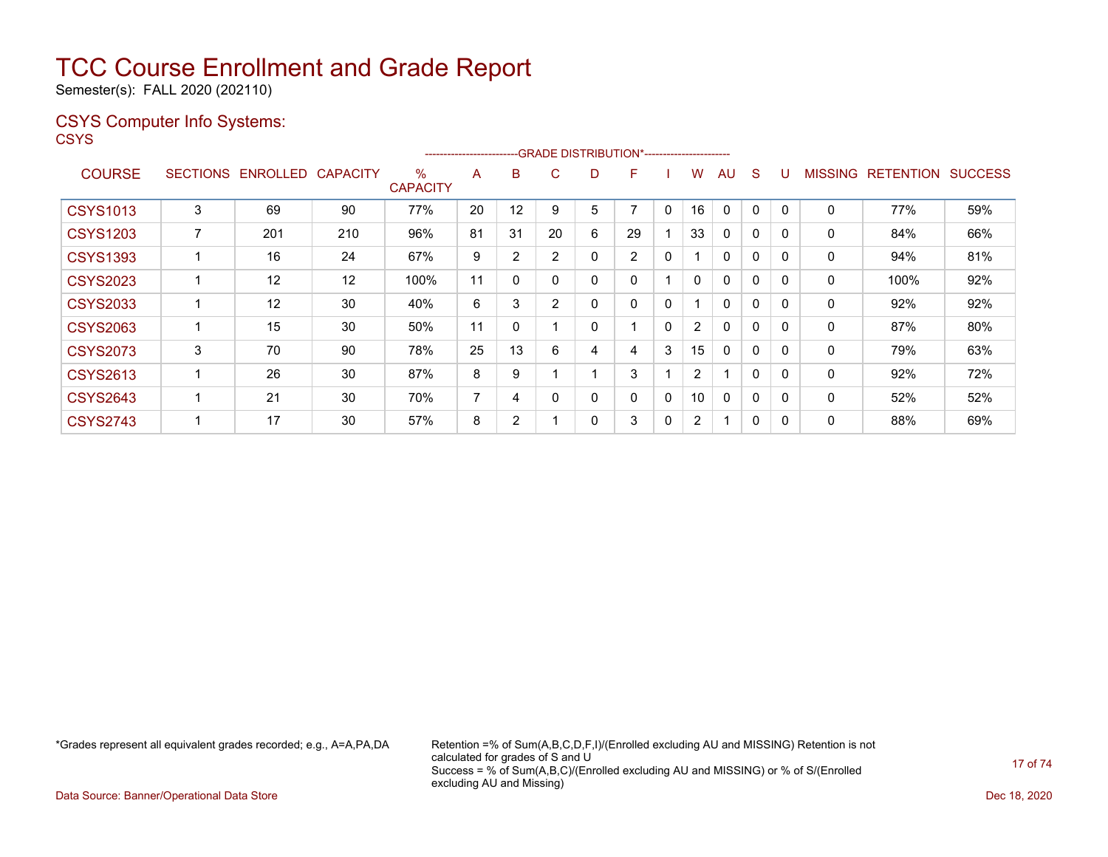Semester(s): FALL 2020 (202110)

### CSYS Computer Info Systems:

**CSYS** 

|                 |                 |                 |                 |                         | ----------------------- |                | --GRADE DISTRIBUTION*----------------------- |   |                |              |                       |              |              |              |                |                  |                |
|-----------------|-----------------|-----------------|-----------------|-------------------------|-------------------------|----------------|----------------------------------------------|---|----------------|--------------|-----------------------|--------------|--------------|--------------|----------------|------------------|----------------|
| <b>COURSE</b>   | <b>SECTIONS</b> | <b>ENROLLED</b> | <b>CAPACITY</b> | $\%$<br><b>CAPACITY</b> | A                       | B              | С                                            | D | F              |              | W                     | AU           | <sub>S</sub> | U            | <b>MISSING</b> | <b>RETENTION</b> | <b>SUCCESS</b> |
| <b>CSYS1013</b> | 3               | 69              | 90              | 77%                     | 20                      | 12             | 9                                            | 5 | $\overline{ }$ | 0            | 16                    | $\mathbf{0}$ | $\Omega$     | 0            | 0              | 77%              | 59%            |
| <b>CSYS1203</b> |                 | 201             | 210             | 96%                     | 81                      | 31             | 20                                           | 6 | 29             |              | 33                    | $\mathbf{0}$ | $\mathbf{0}$ | $\mathbf{0}$ | $\mathbf 0$    | 84%              | 66%            |
| <b>CSYS1393</b> |                 | 16              | 24              | 67%                     | 9                       | $\overline{2}$ | 2                                            | 0 | $\overline{2}$ | 0            |                       | $\mathbf{0}$ | $\Omega$     | $\Omega$     | 0              | 94%              | 81%            |
| <b>CSYS2023</b> |                 | 12              | 12              | 100%                    | 11                      | 0              |                                              | 0 | 0              |              | 0                     | $\mathbf{0}$ | $\Omega$     | $\mathbf{0}$ | 0              | 100%             | 92%            |
| <b>CSYS2033</b> |                 | 12              | 30              | 40%                     | 6                       | 3              | 2                                            | 0 | 0              | 0            |                       | $\mathbf{0}$ | 0            | $\mathbf{0}$ | $\mathbf{0}$   | 92%              | 92%            |
| <b>CSYS2063</b> |                 | 15              | 30              | 50%                     | 11                      | $\mathbf{0}$   |                                              | 0 |                | 0            | $\overline{2}$        | $\mathbf{0}$ | $\mathbf{0}$ | $\mathbf{0}$ | $\mathbf{0}$   | 87%              | 80%            |
| <b>CSYS2073</b> | 3               | 70              | 90              | 78%                     | 25                      | 13             | 6                                            | 4 | 4              | 3            | 15                    | $\Omega$     | $\Omega$     | $\Omega$     | 0              | 79%              | 63%            |
| <b>CSYS2613</b> |                 | 26              | 30              | 87%                     | 8                       | 9              |                                              |   | 3              |              | $\mathbf{2}^{\prime}$ | ٠            | $\Omega$     | $\Omega$     | $\mathbf{0}$   | 92%              | 72%            |
| <b>CSYS2643</b> |                 | 21              | 30              | 70%                     | $\overline{ }$          | 4              |                                              | 0 | 0              | $\mathbf{0}$ | 10                    | $\mathbf{0}$ | $\mathbf{0}$ | 0            | 0              | 52%              | 52%            |
| <b>CSYS2743</b> |                 | 17              | 30              | 57%                     | 8                       | $\overline{2}$ |                                              | 0 | 3              | 0            | $\overline{2}$        |              | 0            | 0            | 0              | 88%              | 69%            |

\*Grades represent all equivalent grades recorded; e.g., A=A,PA,DA Retention =% of Sum(A,B,C,D,F,I)/(Enrolled excluding AU and MISSING) Retention is not calculated for grades of S and U Success = % of Sum(A,B,C)/(Enrolled excluding AU and MISSING) or % of S/(Enrolled excluding AU and Missing)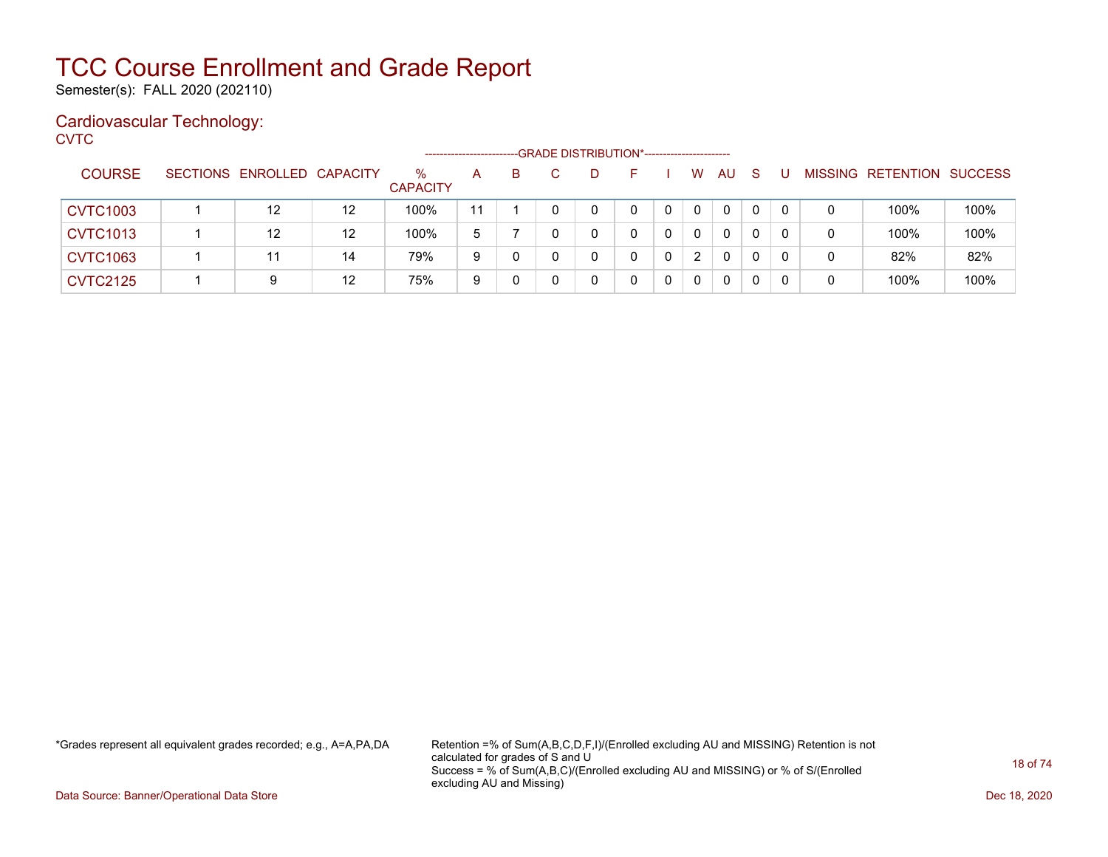Semester(s): FALL 2020 (202110)

### Cardiovascular Technology:

**CVTC** 

|                 |                            |    |                         | ---------------------- |    |  | -- GRADE DISTRIBUTION*------------------------ |   |              |              |              |  |                           |      |
|-----------------|----------------------------|----|-------------------------|------------------------|----|--|------------------------------------------------|---|--------------|--------------|--------------|--|---------------------------|------|
| <b>COURSE</b>   | SECTIONS ENROLLED CAPACITY |    | $\%$<br><b>CAPACITY</b> | A                      | B. |  |                                                |   | W            | AU           | -S           |  | MISSING RETENTION SUCCESS |      |
| <b>CVTC1003</b> | 12                         | 12 | 100%                    | 11                     |    |  | 0                                              |   | $\mathbf 0$  | $\mathbf{0}$ | 0            |  | 100%                      | 100% |
| <b>CVTC1013</b> | 12                         | 12 | 100%                    | 5                      |    |  |                                                | 0 | $\mathbf{0}$ | $\mathbf{0}$ | $\mathbf{0}$ |  | 100%                      | 100% |
| <b>CVTC1063</b> | 11                         | 14 | 79%                     | 9                      |    |  |                                                | 0 | 2            | $\mathbf{0}$ | 0            |  | 82%                       | 82%  |
| <b>CVTC2125</b> | 9                          | 12 | 75%                     | 9                      |    |  |                                                |   | $\mathbf 0$  | $\mathbf{0}$ |              |  | 100%                      | 100% |

\*Grades represent all equivalent grades recorded; e.g., A=A,PA,DA Retention =% of Sum(A,B,C,D,F,I)/(Enrolled excluding AU and MISSING) Retention is not calculated for grades of S and U Success = % of Sum(A,B,C)/(Enrolled excluding AU and MISSING) or % of S/(Enrolled excluding AU and Missing)

Data Source: Banner/Operational Data Store Dec 18, 2020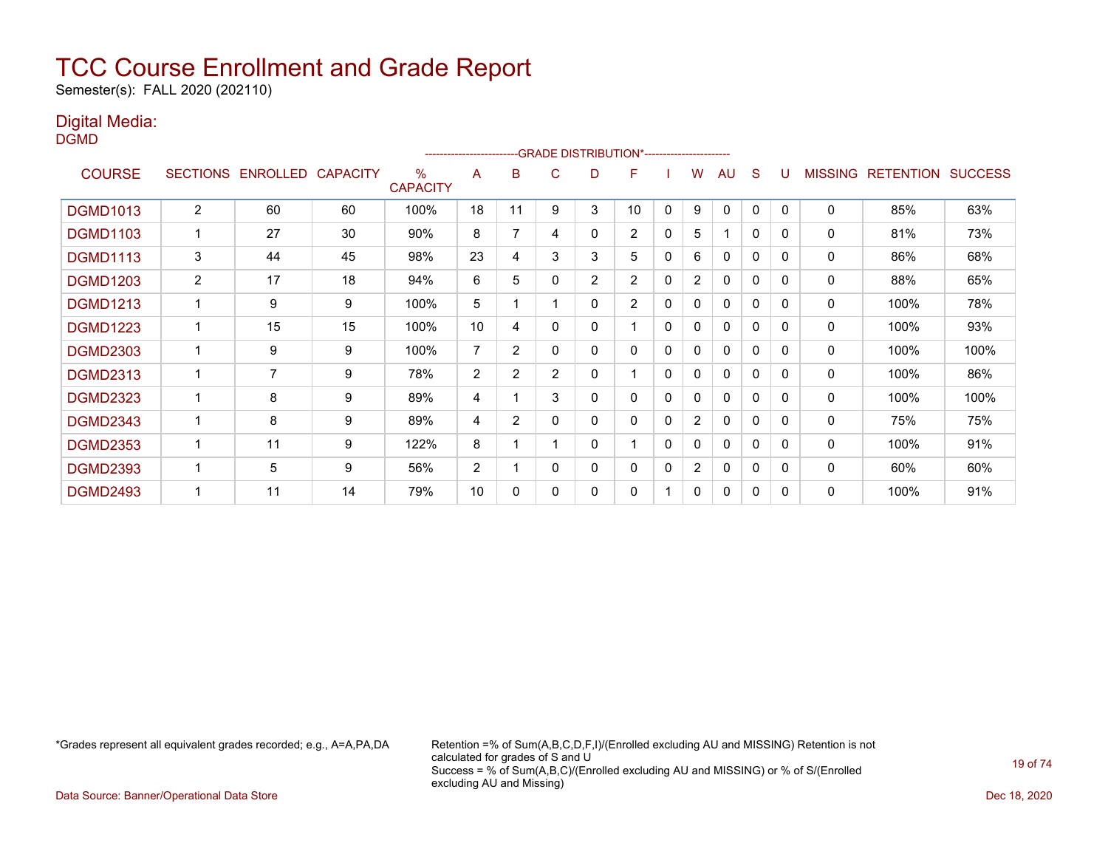Semester(s): FALL 2020 (202110)

### Digital Media:

DGMD

|                 |                |                   |                 |                         | ------------------------ |                |                | --GRADE DISTRIBUTION*---------------------- |                |              |                |              |              |          |                |                  |                |
|-----------------|----------------|-------------------|-----------------|-------------------------|--------------------------|----------------|----------------|---------------------------------------------|----------------|--------------|----------------|--------------|--------------|----------|----------------|------------------|----------------|
| <b>COURSE</b>   |                | SECTIONS ENROLLED | <b>CAPACITY</b> | $\%$<br><b>CAPACITY</b> | A                        | в              | C.             | D                                           | F              |              | w              | AU           | S            |          | <b>MISSING</b> | <b>RETENTION</b> | <b>SUCCESS</b> |
| <b>DGMD1013</b> | $\overline{2}$ | 60                | 60              | 100%                    | 18                       | 11             | 9              | 3                                           | 10             | 0            | 9              | 0            | 0            | $\Omega$ | 0              | 85%              | 63%            |
| <b>DGMD1103</b> |                | 27                | 30              | 90%                     | 8                        | 7              | 4              | 0                                           | $\overline{2}$ | 0            | 5              | ٠            | 0            | 0        | 0              | 81%              | 73%            |
| <b>DGMD1113</b> | 3              | 44                | 45              | 98%                     | 23                       | 4              | 3              | 3                                           | 5              | 0            | 6              | 0            | 0            | $\Omega$ | 0              | 86%              | 68%            |
| <b>DGMD1203</b> | $\overline{2}$ | 17                | 18              | 94%                     | 6                        | 5              | 0              | $\overline{c}$                              | $\overline{2}$ | 0            | $\overline{2}$ | $\mathbf{0}$ | 0            | $\Omega$ | 0              | 88%              | 65%            |
| <b>DGMD1213</b> |                | 9                 | 9               | 100%                    | 5                        |                |                | 0                                           | $\overline{2}$ | 0            | 0              | $\mathbf{0}$ | $\mathbf{0}$ | $\Omega$ | 0              | 100%             | 78%            |
| <b>DGMD1223</b> |                | 15                | 15              | 100%                    | 10                       | 4              | 0              | 0                                           |                | 0            | 0              | 0            | $\mathbf{0}$ | 0        | 0              | 100%             | 93%            |
| <b>DGMD2303</b> |                | 9                 | 9               | 100%                    | $\overline{7}$           | 2              |                | 0                                           | 0              | 0            | 0              | $\mathbf{0}$ | $\mathbf{0}$ | $\Omega$ | 0              | 100%             | 100%           |
| <b>DGMD2313</b> |                | 7                 | 9               | 78%                     | $\overline{c}$           | $\overline{2}$ | $\overline{2}$ | 0                                           |                | $\mathbf 0$  | 0              | $\mathbf{0}$ | $\mathbf{0}$ | 0        | 0              | 100%             | 86%            |
| <b>DGMD2323</b> |                | 8                 | 9               | 89%                     | 4                        |                | 3              | 0                                           | 0              | $\mathbf 0$  | 0              | $\mathbf{0}$ | $\mathbf{0}$ | $\Omega$ | 0              | 100%             | 100%           |
| <b>DGMD2343</b> |                | 8                 | 9               | 89%                     | 4                        | $\overline{2}$ | 0              | 0                                           | 0              | $\mathbf{0}$ | 2              | 0            | $\mathbf{0}$ | 0        | 0              | 75%              | 75%            |
| <b>DGMD2353</b> |                | 11                | 9               | 122%                    | 8                        |                |                | 0                                           |                | $\mathbf{0}$ | 0              | $\mathbf{0}$ | $\mathbf{0}$ | $\Omega$ | 0              | 100%             | 91%            |
| <b>DGMD2393</b> |                | 5                 | 9               | 56%                     | $\overline{2}$           |                | $\Omega$       | 0                                           | 0              | 0            | $\overline{2}$ | 0            | 0            | $\Omega$ | 0              | 60%              | 60%            |
| <b>DGMD2493</b> |                | 11                | 14              | 79%                     | 10                       | 0              |                | 0                                           | 0              |              | 0              | $\mathbf{0}$ | 0            | $\Omega$ | 0              | 100%             | 91%            |

\*Grades represent all equivalent grades recorded; e.g., A=A,PA,DA Retention =% of Sum(A,B,C,D,F,I)/(Enrolled excluding AU and MISSING) Retention is not calculated for grades of S and U Success = % of Sum(A,B,C)/(Enrolled excluding AU and MISSING) or % of S/(Enrolled excluding AU and Missing)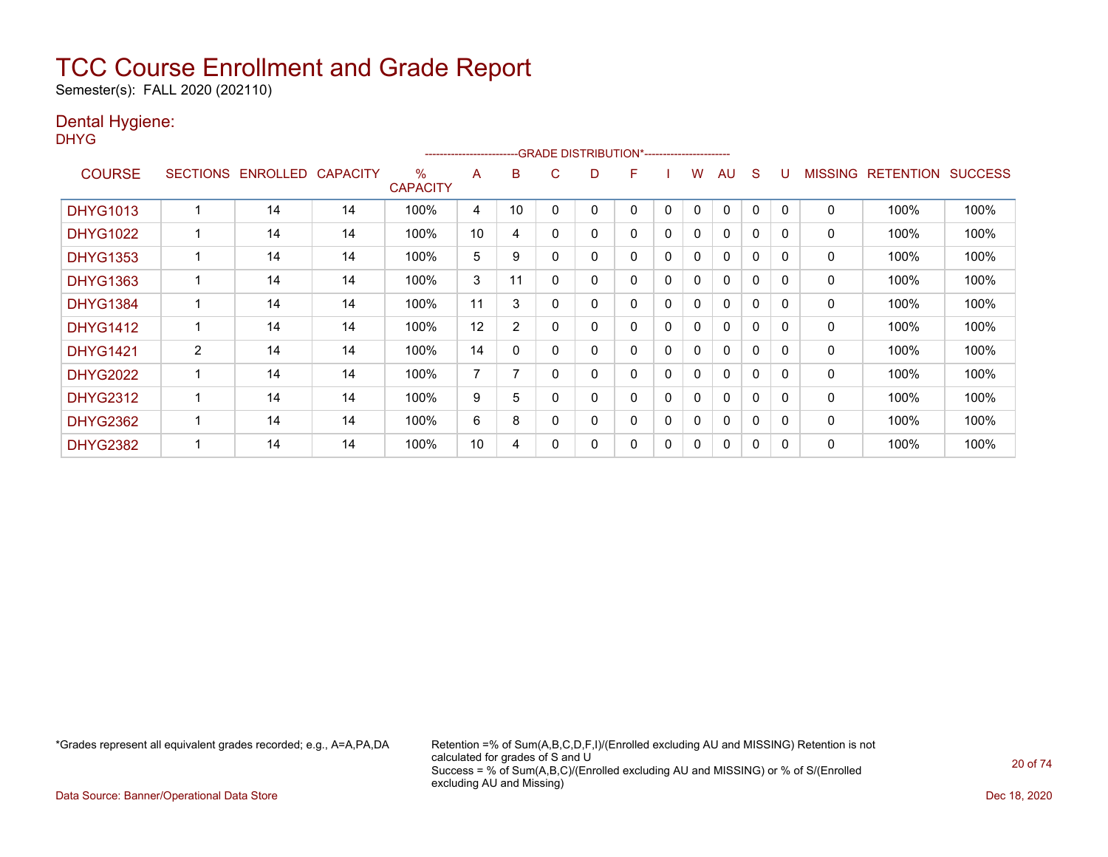Semester(s): FALL 2020 (202110)

### Dental Hygiene:

DHYG

|                 |                |                   |                 |                      | ---------------------- |                |   | --GRADE DISTRIBUTION*----------------------- |   |              |              |              |              |          |                |                  |                |
|-----------------|----------------|-------------------|-----------------|----------------------|------------------------|----------------|---|----------------------------------------------|---|--------------|--------------|--------------|--------------|----------|----------------|------------------|----------------|
| <b>COURSE</b>   |                | SECTIONS ENROLLED | <b>CAPACITY</b> | %<br><b>CAPACITY</b> | A                      | в              | C | D                                            | F |              | w            | AU           | S            |          | <b>MISSING</b> | <b>RETENTION</b> | <b>SUCCESS</b> |
| <b>DHYG1013</b> |                | 14                | 14              | 100%                 | 4                      | 10             |   | 0                                            | 0 | 0            | 0            | $\Omega$     | 0            |          | 0              | 100%             | 100%           |
| <b>DHYG1022</b> |                | 14                | 14              | 100%                 | 10                     | 4              |   | 0                                            | 0 | 0            | 0            | $\mathbf{0}$ | $\Omega$     | $\Omega$ | 0              | 100%             | 100%           |
| <b>DHYG1353</b> |                | 14                | 14              | 100%                 | 5                      | 9              |   | 0                                            | 0 | 0            | $\mathbf{0}$ | $\mathbf{0}$ | $\Omega$     | $\Omega$ | 0              | 100%             | 100%           |
| <b>DHYG1363</b> |                | 14                | 14              | 100%                 | 3                      | 11             |   | 0                                            | 0 | 0            | $\mathbf{0}$ | $\mathbf{0}$ | $\mathbf{0}$ | $\Omega$ | 0              | 100%             | 100%           |
| <b>DHYG1384</b> |                | 14                | 14              | 100%                 | 11                     | 3              |   | 0                                            | 0 | 0            | 0            | $\mathbf{0}$ | $\mathbf{0}$ | $\Omega$ | 0              | 100%             | 100%           |
| <b>DHYG1412</b> |                | 14                | 14              | 100%                 | 12                     | $\overline{2}$ |   | 0                                            | 0 | 0            | 0            | $\mathbf{0}$ | 0            |          | 0              | 100%             | 100%           |
| <b>DHYG1421</b> | $\overline{2}$ | 14                | 14              | 100%                 | 14                     | 0              |   | 0                                            | 0 | 0            | 0            | $\mathbf{0}$ | 0            | $\Omega$ | 0              | 100%             | 100%           |
| <b>DHYG2022</b> |                | 14                | 14              | 100%                 | 7                      |                |   | 0                                            | 0 | 0            | 0            | $\mathbf{0}$ | $\Omega$     |          | 0              | 100%             | 100%           |
| <b>DHYG2312</b> |                | 14                | 14              | 100%                 | 9                      | 5              |   | 0                                            | 0 | $\mathbf{0}$ | 0            | $\mathbf{0}$ | $\Omega$     | $\Omega$ | 0              | 100%             | 100%           |
| <b>DHYG2362</b> |                | 14                | 14              | 100%                 | 6                      | 8              |   | 0                                            | 0 | 0            | $\mathbf{0}$ | $\mathbf{0}$ | $\Omega$     | $\Omega$ | $\Omega$       | 100%             | 100%           |
| <b>DHYG2382</b> |                | 14                | 14              | 100%                 | 10                     | 4              |   | 0                                            | 0 | 0            | 0            | $\mathbf{0}$ | 0            |          | 0              | 100%             | 100%           |

\*Grades represent all equivalent grades recorded; e.g., A=A,PA,DA Retention =% of Sum(A,B,C,D,F,I)/(Enrolled excluding AU and MISSING) Retention is not calculated for grades of S and U Success = % of Sum(A,B,C)/(Enrolled excluding AU and MISSING) or % of S/(Enrolled excluding AU and Missing)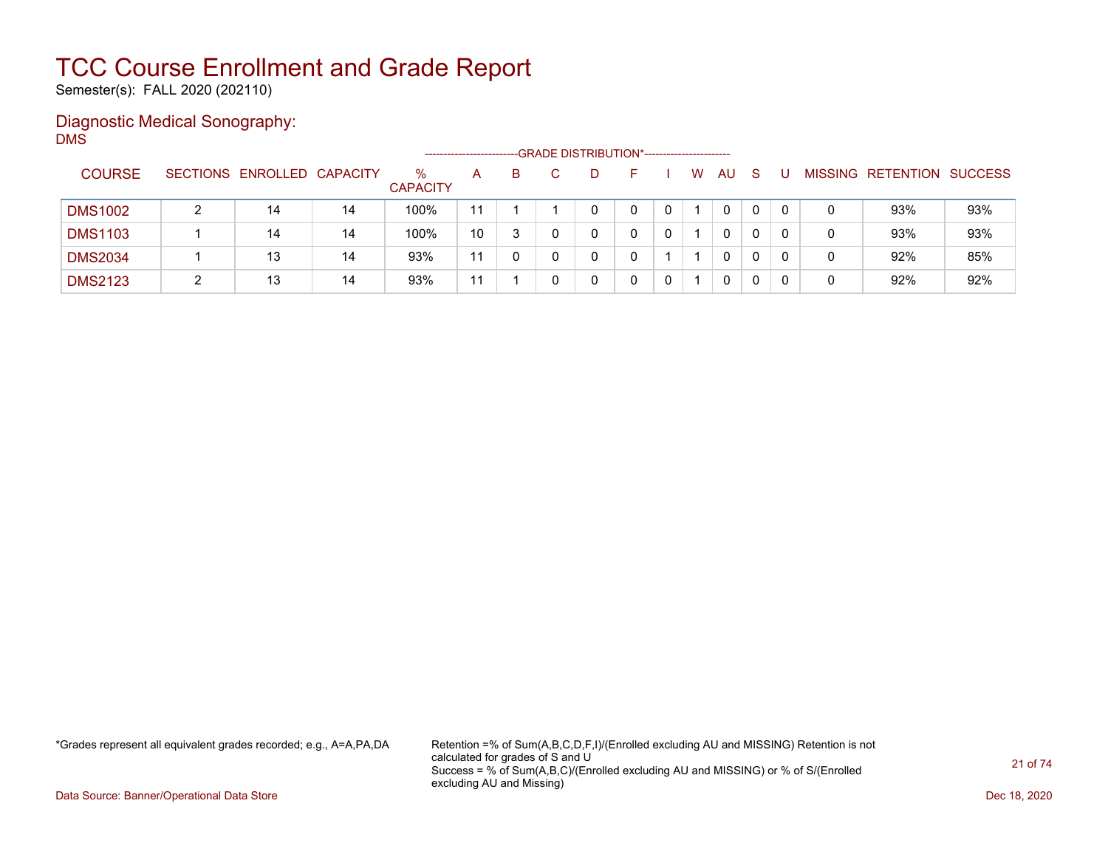Semester(s): FALL 2020 (202110)

### Diagnostic Medical Sonography: DMS

|                |                            |    |                         |    |    |    | -- GRADE DISTRIBUTION*------------------------ |   |    |              |   |                           |     |
|----------------|----------------------------|----|-------------------------|----|----|----|------------------------------------------------|---|----|--------------|---|---------------------------|-----|
| <b>COURSE</b>  | SECTIONS ENROLLED CAPACITY |    | $\%$<br><b>CAPACITY</b> | A  | B. | D. | н.                                             | W | AU | <sub>S</sub> |   | MISSING RETENTION SUCCESS |     |
| <b>DMS1002</b> | 14                         | 14 | 100%                    | 11 |    |    |                                                |   | 0  | 0            |   | 93%                       | 93% |
| <b>DMS1103</b> | 14                         | 14 | 100%                    | 10 |    |    |                                                |   | 0  | 0            |   | 93%                       | 93% |
| <b>DMS2034</b> | 13                         | 14 | 93%                     | 11 |    |    |                                                |   | 0  | 0            |   | 92%                       | 85% |
| <b>DMS2123</b> | 13                         | 14 | 93%                     | 11 |    |    |                                                |   | 0  | 0            | C | 92%                       | 92% |

\*Grades represent all equivalent grades recorded; e.g., A=A,PA,DA Retention =% of Sum(A,B,C,D,F,I)/(Enrolled excluding AU and MISSING) Retention is not calculated for grades of S and U Success = % of Sum(A,B,C)/(Enrolled excluding AU and MISSING) or % of S/(Enrolled excluding AU and Missing)

Data Source: Banner/Operational Data Store Dec 18, 2020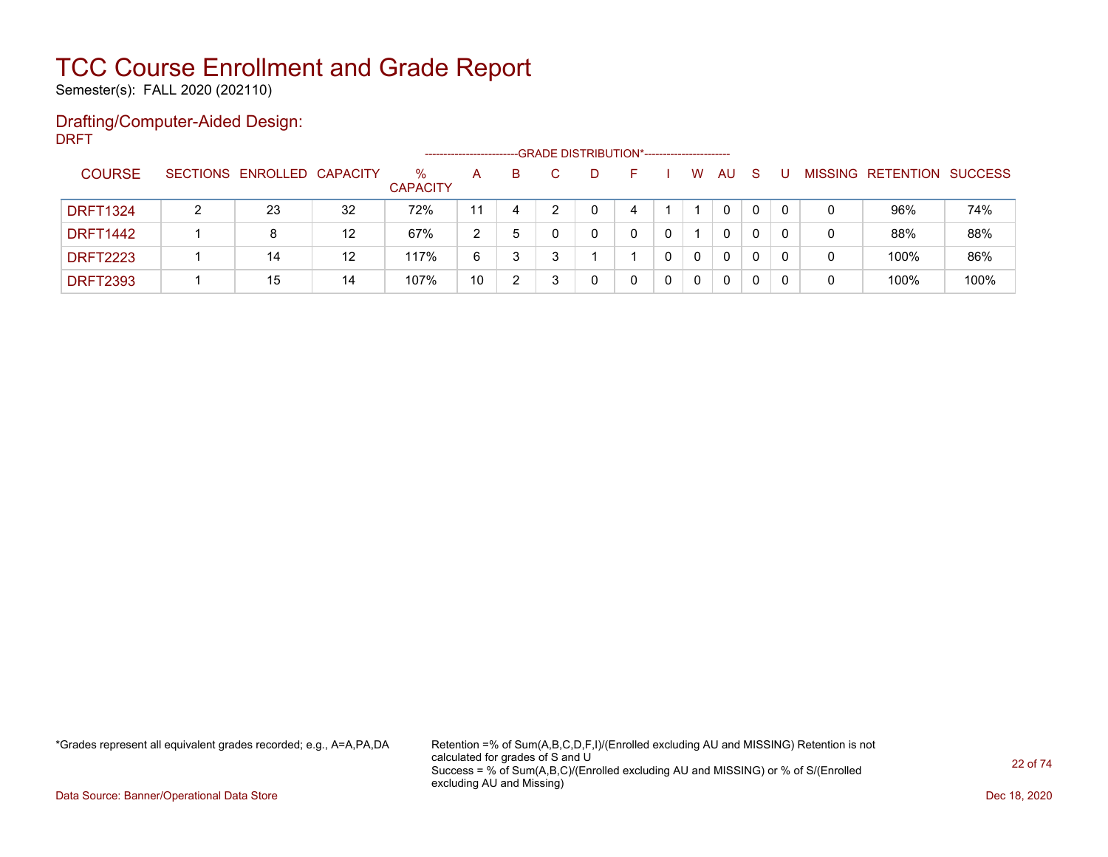Semester(s): FALL 2020 (202110)

### Drafting/Computer-Aided Design: DRFT

|                 |                            |    |                         |    |    |    | -- GRADE DISTRIBUTION*------------------------ |             |          |              |   |                           |      |
|-----------------|----------------------------|----|-------------------------|----|----|----|------------------------------------------------|-------------|----------|--------------|---|---------------------------|------|
| <b>COURSE</b>   | SECTIONS ENROLLED CAPACITY |    | $\%$<br><b>CAPACITY</b> | A  | B. | D. |                                                | W           | AU       | <sub>S</sub> |   | MISSING RETENTION SUCCESS |      |
| <b>DRFT1324</b> | 23                         | 32 | 72%                     | 11 | 4  |    |                                                |             | 0        | 0            |   | 96%                       | 74%  |
| <b>DRFT1442</b> | 8                          | 12 | 67%                     | 2  | 5  |    |                                                |             | 0        | 0            | 0 | 88%                       | 88%  |
| <b>DRFT2223</b> | 14                         | 12 | 117%                    | 6  |    |    |                                                | $\mathbf 0$ | $\Omega$ | 0            |   | 100%                      | 86%  |
| <b>DRFT2393</b> | 15                         | 14 | 107%                    | 10 |    |    |                                                | 0           | 0        |              |   | 100%                      | 100% |

\*Grades represent all equivalent grades recorded; e.g., A=A,PA,DA Retention =% of Sum(A,B,C,D,F,I)/(Enrolled excluding AU and MISSING) Retention is not calculated for grades of S and U Success = % of Sum(A,B,C)/(Enrolled excluding AU and MISSING) or % of S/(Enrolled excluding AU and Missing)

Data Source: Banner/Operational Data Store Dec 18, 2020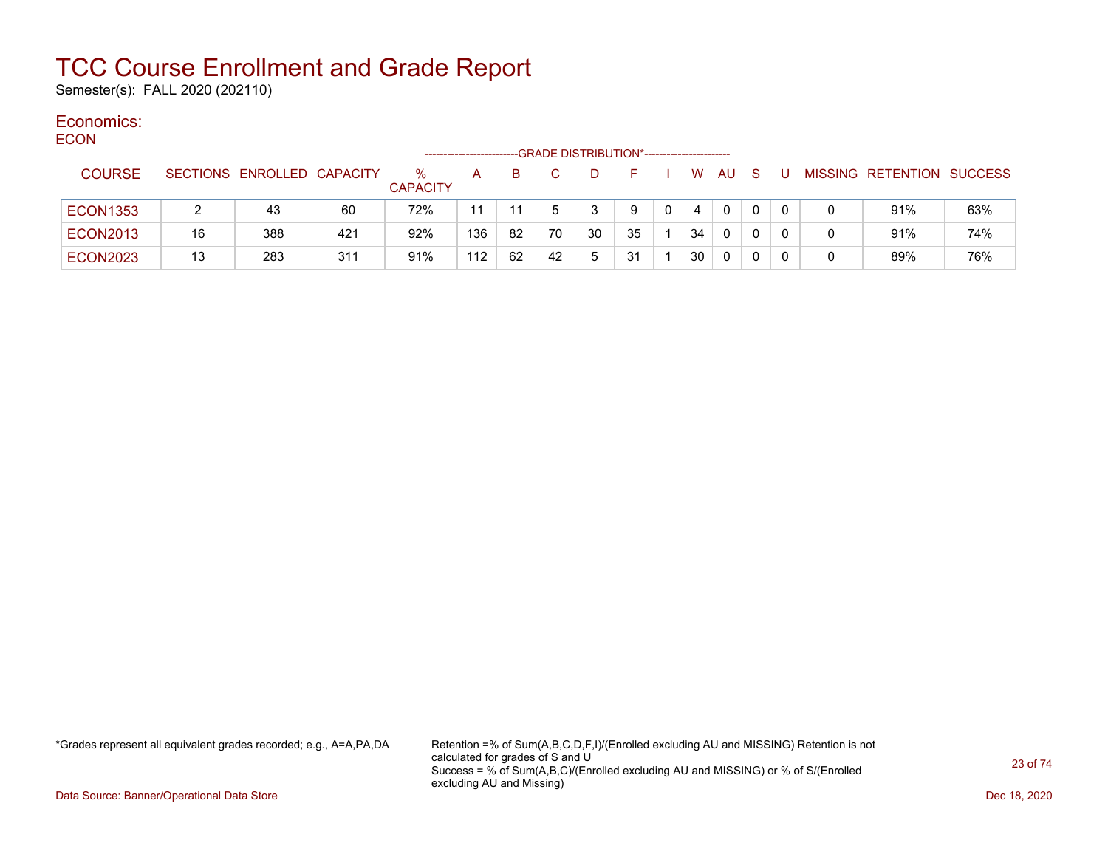Semester(s): FALL 2020 (202110)

#### Economics: ECON

| EUUN            |    |                            |     | -------------------     |              |    | -GRADE DISTRIBUTION*---------------------- |    |    |   |    |     |     |          |   |                           |     |
|-----------------|----|----------------------------|-----|-------------------------|--------------|----|--------------------------------------------|----|----|---|----|-----|-----|----------|---|---------------------------|-----|
| <b>COURSE</b>   |    | SECTIONS ENROLLED CAPACITY |     | $\%$<br><b>CAPACITY</b> | $\mathsf{A}$ | B. |                                            | D  | F. |   | W. | AU. | - S | J.       |   | MISSING RETENTION SUCCESS |     |
| <b>ECON1353</b> |    | 43                         | 60  | 72%                     | 11           |    |                                            |    | 9  | 0 | 4  | 0   |     |          |   | 91%                       | 63% |
| <b>ECON2013</b> | 16 | 388                        | 421 | 92%                     | 136          | 82 | 70                                         | 30 | 35 |   | 34 | 0   |     | $\Omega$ | 0 | 91%                       | 74% |
| <b>ECON2023</b> | 13 | 283                        | 311 | 91%                     | 112          | 62 | 42                                         | 5  | 31 |   | 30 | 0   |     | 0        | 0 | 89%                       | 76% |

\*Grades represent all equivalent grades recorded; e.g., A=A,PA,DA Retention =% of Sum(A,B,C,D,F,I)/(Enrolled excluding AU and MISSING) Retention is not calculated for grades of S and U Success = % of Sum(A,B,C)/(Enrolled excluding AU and MISSING) or % of S/(Enrolled excluding AU and Missing)

Data Source: Banner/Operational Data Store Dec 18, 2020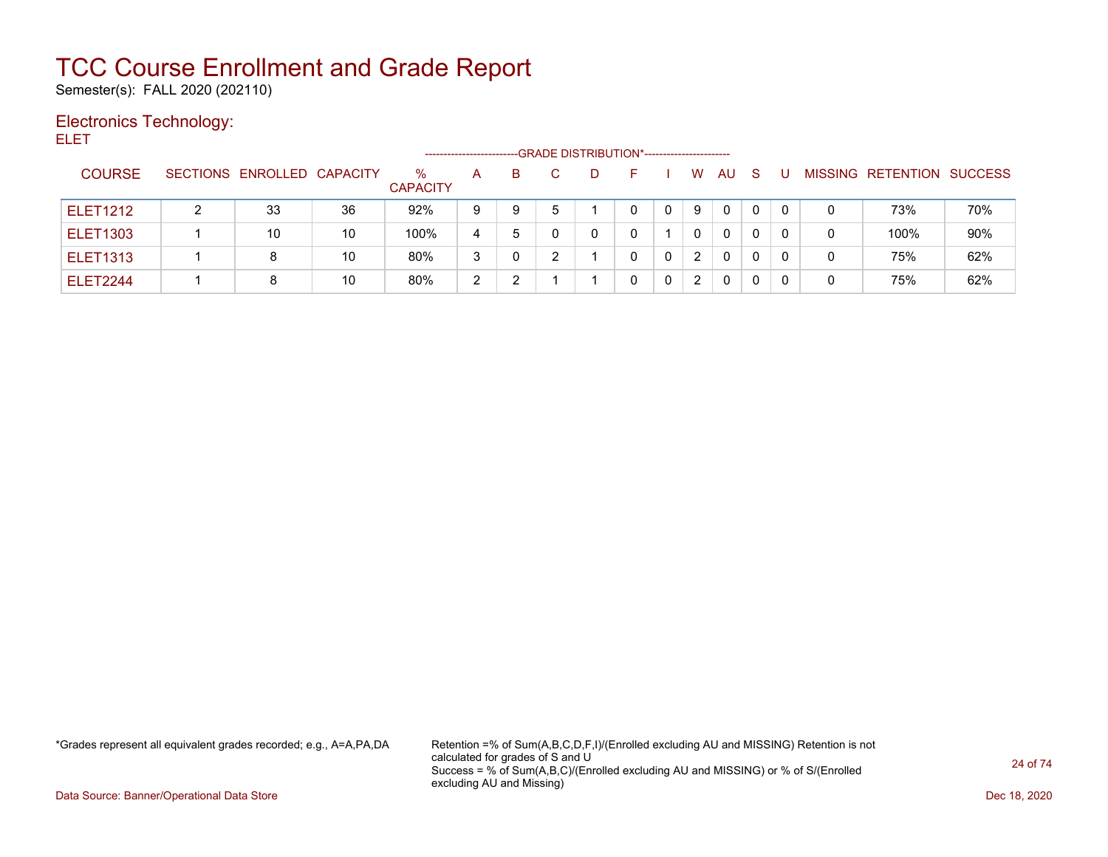Semester(s): FALL 2020 (202110)

### Electronics Technology:

ELET

|                 |                            |    |                      | ---------------------- |    | --GRADE DISTRIBUTION*----------------------- |   |   |              |              |   |   |                           |     |
|-----------------|----------------------------|----|----------------------|------------------------|----|----------------------------------------------|---|---|--------------|--------------|---|---|---------------------------|-----|
| <b>COURSE</b>   | SECTIONS ENROLLED CAPACITY |    | %<br><b>CAPACITY</b> | A                      | B. |                                              |   | W | <b>AU</b>    | <sub>S</sub> |   |   | MISSING RETENTION SUCCESS |     |
| <b>ELET1212</b> | 33                         | 36 | 92%                  | 9                      | 9  |                                              |   | 9 | $\mathbf{0}$ |              |   |   | 73%                       | 70% |
| <b>ELET1303</b> | 10                         | 10 | 100%                 | 4                      | 5  | 0                                            |   | 0 | $\mathbf{0}$ |              |   | 0 | 100%                      | 90% |
| <b>ELET1313</b> | 8                          | 10 | 80%                  | 3                      |    |                                              |   | 2 | $\mathbf{0}$ | $\Omega$     | 0 | 0 | 75%                       | 62% |
| <b>ELET2244</b> | 8                          | 10 | 80%                  | າ                      |    |                                              | 0 | 2 | 0            | 0            |   | 0 | 75%                       | 62% |

\*Grades represent all equivalent grades recorded; e.g., A=A,PA,DA Retention =% of Sum(A,B,C,D,F,I)/(Enrolled excluding AU and MISSING) Retention is not calculated for grades of S and U Success = % of Sum(A,B,C)/(Enrolled excluding AU and MISSING) or % of S/(Enrolled excluding AU and Missing)

Data Source: Banner/Operational Data Store Dec 18, 2020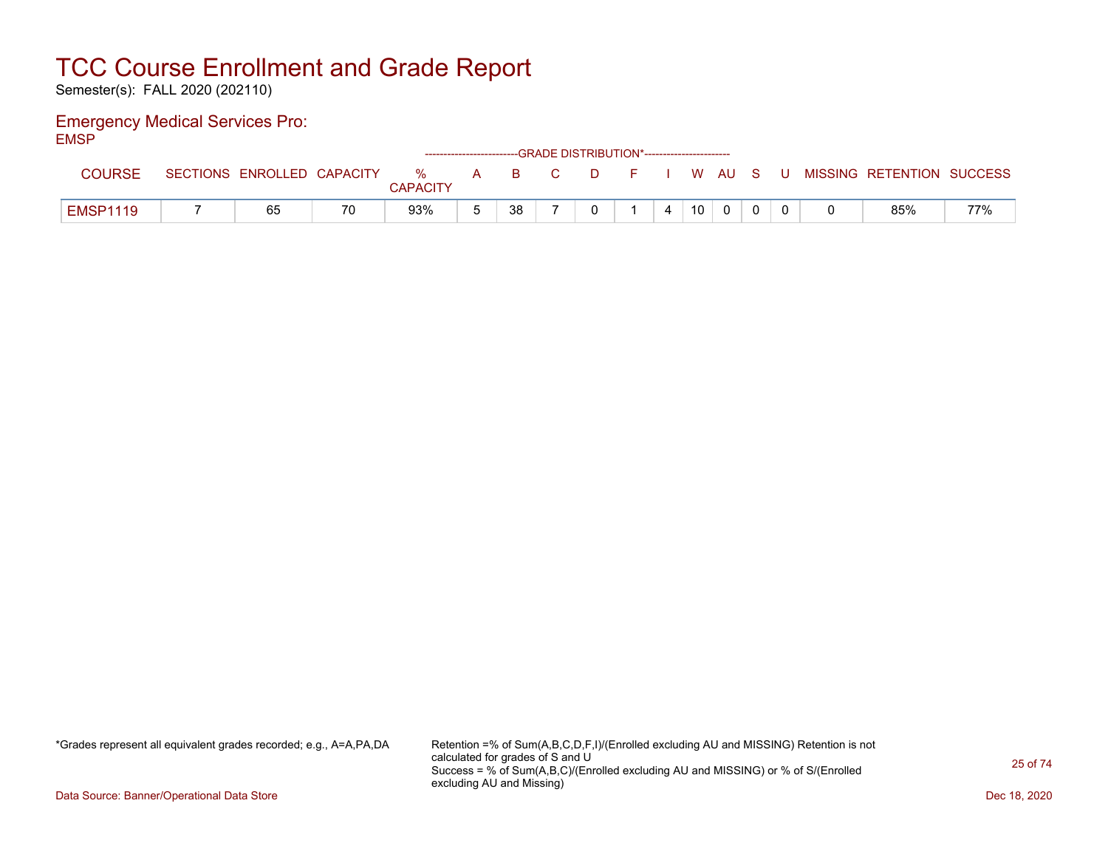Semester(s): FALL 2020 (202110)

### Emergency Medical Services Pro: EMSP

| -----           |                            |    |                      |   |    | ------------------------GRADE DISTRIBUTION*----------------------- |        |  |                 |          |       |                           |     |
|-----------------|----------------------------|----|----------------------|---|----|--------------------------------------------------------------------|--------|--|-----------------|----------|-------|---------------------------|-----|
| <b>COURSE</b>   | SECTIONS ENROLLED CAPACITY |    | %<br><b>CAPACITY</b> | A |    | B C                                                                | $\Box$ |  |                 | I W AU S | - U - | MISSING RETENTION SUCCESS |     |
| <b>EMSP1119</b> | 65                         | 70 | 93%                  |   | 38 |                                                                    |        |  | 10 <sup>°</sup> |          |       | 85%                       | 77% |

\*Grades represent all equivalent grades recorded; e.g., A=A,PA,DA Retention =% of Sum(A,B,C,D,F,I)/(Enrolled excluding AU and MISSING) Retention is not calculated for grades of S and U Success = % of Sum(A,B,C)/(Enrolled excluding AU and MISSING) or % of S/(Enrolled excluding AU and Missing)

Data Source: Banner/Operational Data Store Dec 18, 2020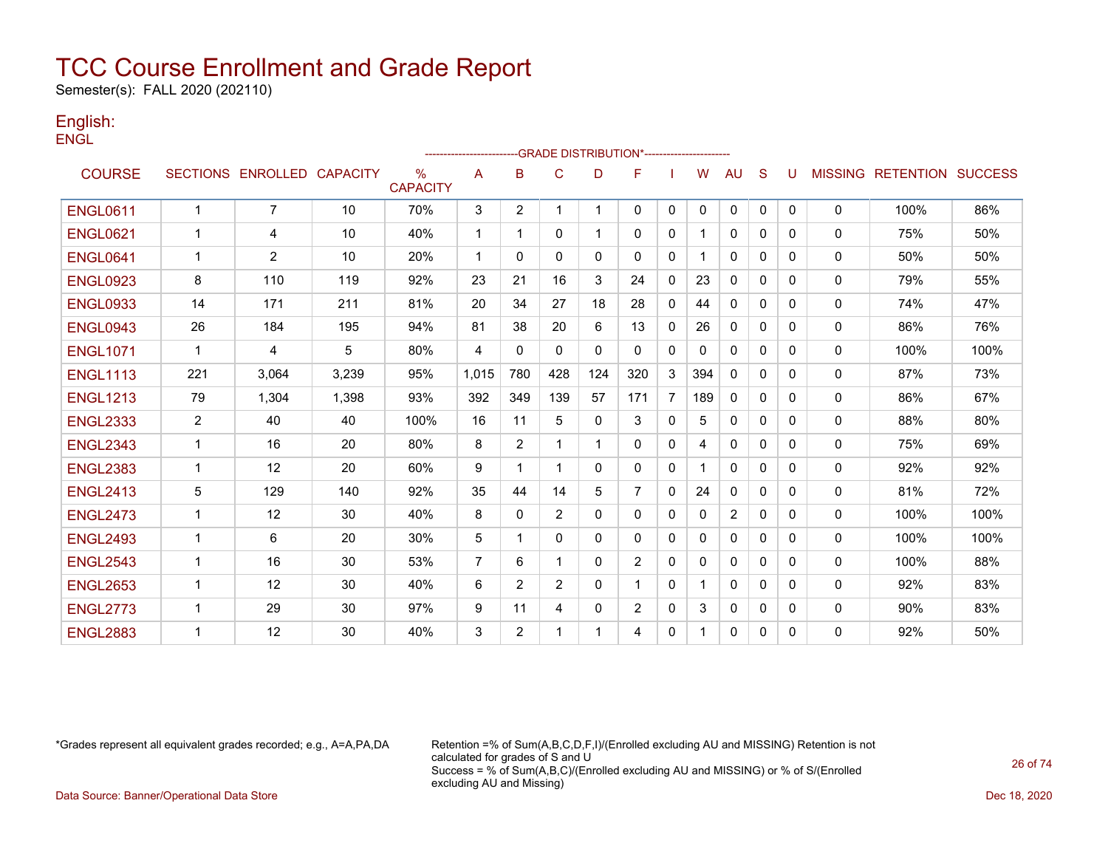Semester(s): FALL 2020 (202110)

### English: **ENGL**

|                 |                |                            |       |                         | ------------------------ |                | -- GRADE DISTRIBUTION*------------------------ |              |                |                |     |                |              |              |              |                                  |      |
|-----------------|----------------|----------------------------|-------|-------------------------|--------------------------|----------------|------------------------------------------------|--------------|----------------|----------------|-----|----------------|--------------|--------------|--------------|----------------------------------|------|
| <b>COURSE</b>   |                | SECTIONS ENROLLED CAPACITY |       | $\%$<br><b>CAPACITY</b> | A                        | B              | C                                              | D            | F              |                | w   | AU             | S            | U            |              | <b>MISSING RETENTION SUCCESS</b> |      |
| <b>ENGL0611</b> | $\mathbf{1}$   | $\overline{7}$             | 10    | 70%                     | 3                        | $\overline{2}$ |                                                |              | 0              | $\mathbf{0}$   | 0   | $\mathbf 0$    | $\mathbf{0}$ | $\mathbf{0}$ | $\mathbf{0}$ | 100%                             | 86%  |
| <b>ENGL0621</b> | $\mathbf{1}$   | 4                          | 10    | 40%                     | $\overline{1}$           |                | $\mathbf{0}$                                   | 1            | $\mathbf{0}$   | 0              |     | $\mathbf{0}$   | $\Omega$     | 0            | 0            | 75%                              | 50%  |
| <b>ENGL0641</b> | 1              | $\overline{2}$             | 10    | 20%                     | $\mathbf 1$              | $\Omega$       | $\Omega$                                       | $\mathbf{0}$ | $\Omega$       | $\mathbf{0}$   |     | $\mathbf{0}$   | $\Omega$     | 0            | $\mathbf{0}$ | 50%                              | 50%  |
| <b>ENGL0923</b> | 8              | 110                        | 119   | 92%                     | 23                       | 21             | 16                                             | 3            | 24             | $\mathbf{0}$   | 23  | 0              | $\Omega$     | 0            | 0            | 79%                              | 55%  |
| <b>ENGL0933</b> | 14             | 171                        | 211   | 81%                     | 20                       | 34             | 27                                             | 18           | 28             | $\mathbf{0}$   | 44  | $\mathbf{0}$   | $\Omega$     | 0            | 0            | 74%                              | 47%  |
| <b>ENGL0943</b> | 26             | 184                        | 195   | 94%                     | 81                       | 38             | 20                                             | 6            | 13             | $\mathbf{0}$   | 26  | 0              | $\Omega$     | 0            | 0            | 86%                              | 76%  |
| <b>ENGL1071</b> | 1              | 4                          | 5     | 80%                     | $\overline{4}$           | $\mathbf{0}$   | $\mathbf{0}$                                   | 0            | 0              | 0              | 0   | 0              | 0            | 0            | $\mathbf{0}$ | 100%                             | 100% |
| <b>ENGL1113</b> | 221            | 3,064                      | 3,239 | 95%                     | 1,015                    | 780            | 428                                            | 124          | 320            | 3              | 394 | $\mathbf{0}$   | $\Omega$     | 0            | $\mathbf{0}$ | 87%                              | 73%  |
| <b>ENGL1213</b> | 79             | 1,304                      | 1,398 | 93%                     | 392                      | 349            | 139                                            | 57           | 171            | $\overline{7}$ | 189 | $\mathbf{0}$   | 0            | $\Omega$     | 0            | 86%                              | 67%  |
| <b>ENGL2333</b> | $\overline{2}$ | 40                         | 40    | 100%                    | 16                       | 11             | 5                                              | 0            | 3              | $\mathbf{0}$   | 5   | $\mathbf{0}$   | $\Omega$     | 0            | 0            | 88%                              | 80%  |
| <b>ENGL2343</b> | $\mathbf{1}$   | 16                         | 20    | 80%                     | 8                        | 2              | 1                                              | 1            | 0              | $\mathbf{0}$   | 4   | $\mathbf{0}$   | $\Omega$     | 0            | 0            | 75%                              | 69%  |
| <b>ENGL2383</b> | 1              | 12                         | 20    | 60%                     | 9                        | 1              | 1                                              | 0            | 0              | $\mathbf{0}$   |     | $\mathbf{0}$   | $\Omega$     | 0            | 0            | 92%                              | 92%  |
| <b>ENGL2413</b> | 5              | 129                        | 140   | 92%                     | 35                       | 44             | 14                                             | 5            | $\overline{7}$ | $\mathbf{0}$   | 24  | 0              | $\Omega$     | 0            | 0            | 81%                              | 72%  |
| <b>ENGL2473</b> | $\mathbf{1}$   | 12                         | 30    | 40%                     | 8                        | $\mathbf{0}$   | $\overline{2}$                                 | 0            | $\mathbf{0}$   | $\mathbf{0}$   | 0   | $\overline{2}$ | $\Omega$     | 0            | 0            | 100%                             | 100% |
| <b>ENGL2493</b> | $\mathbf{1}$   | 6                          | 20    | 30%                     | 5                        |                | 0                                              | 0            | $\mathbf{0}$   | 0              | 0   | 0              | $\Omega$     | 0            | 0            | 100%                             | 100% |
| <b>ENGL2543</b> | $\mathbf 1$    | 16                         | 30    | 53%                     | $\overline{7}$           | 6              | 1                                              | 0            | $\overline{2}$ | $\mathbf{0}$   | 0   | $\mathbf{0}$   | 0            | 0            | $\mathbf{0}$ | 100%                             | 88%  |
| <b>ENGL2653</b> | $\mathbf{1}$   | 12                         | 30    | 40%                     | 6                        | 2              | 2                                              | $\mathbf{0}$ |                | $\mathbf{0}$   |     | $\mathbf{0}$   | $\Omega$     | 0            | $\Omega$     | 92%                              | 83%  |
| <b>ENGL2773</b> | 1              | 29                         | 30    | 97%                     | 9                        | 11             | 4                                              | 0            | $\overline{2}$ | $\mathbf{0}$   | 3   | 0              | 0            | 0            | 0            | 90%                              | 83%  |
| <b>ENGL2883</b> | 1              | 12                         | 30    | 40%                     | 3                        | $\overline{2}$ | 1                                              |              | 4              | 0              |     | 0              | 0            | 0            | $\Omega$     | 92%                              | 50%  |

\*Grades represent all equivalent grades recorded; e.g., A=A,PA,DA Retention =% of Sum(A,B,C,D,F,I)/(Enrolled excluding AU and MISSING) Retention is not calculated for grades of S and U Success = % of Sum(A,B,C)/(Enrolled excluding AU and MISSING) or % of S/(Enrolled excluding AU and Missing) Data Source: Banner/Operational Data Store Dec 18, 2020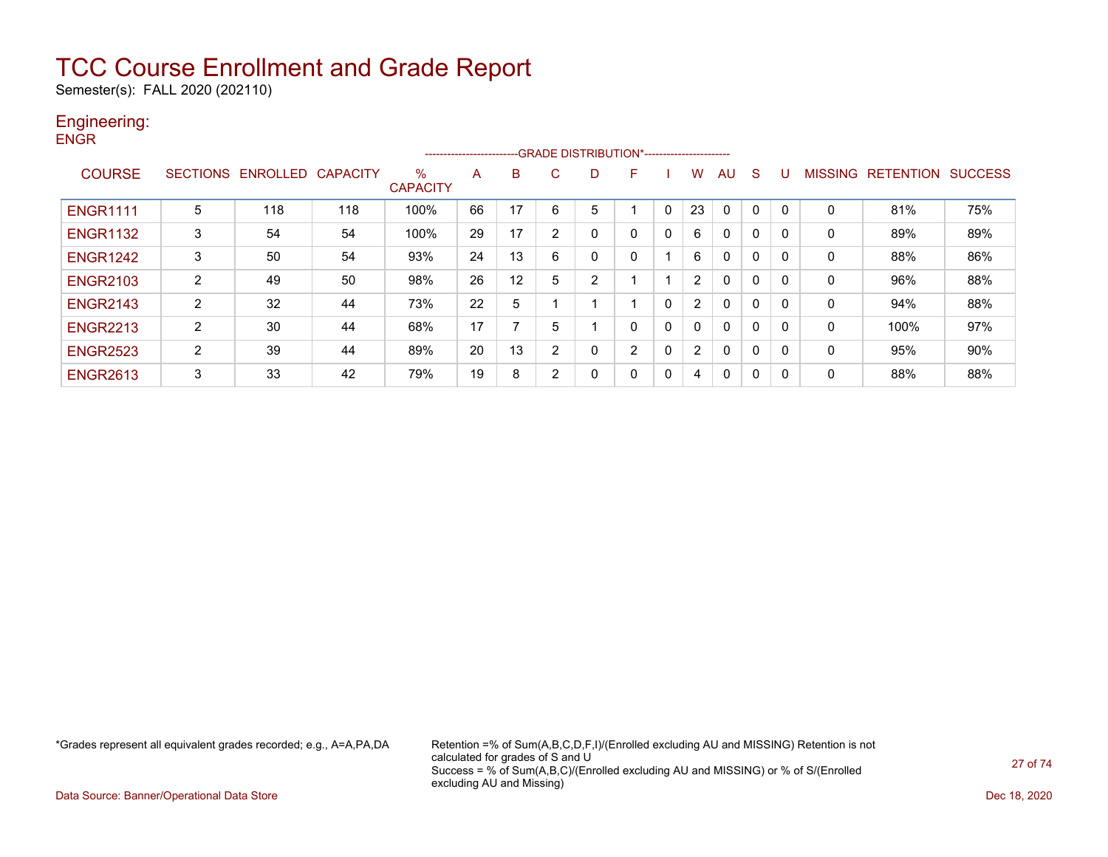Semester(s): FALL 2020 (202110)

### Engineering: **ENGR**

|                 |   |                            |     |                      | ------------------------ |    |                | -GRADE DISTRIBUTION*----------------------- |                |              |                |              |              |   |                |                  |                |
|-----------------|---|----------------------------|-----|----------------------|--------------------------|----|----------------|---------------------------------------------|----------------|--------------|----------------|--------------|--------------|---|----------------|------------------|----------------|
| <b>COURSE</b>   |   | SECTIONS ENROLLED CAPACITY |     | %<br><b>CAPACITY</b> | A                        | B  | C              | D                                           | F              |              | w              | AU           | <sub>S</sub> | U | <b>MISSING</b> | <b>RETENTION</b> | <b>SUCCESS</b> |
| <b>ENGR1111</b> | 5 | 118                        | 118 | 100%                 | 66                       | 17 | 6              | 5                                           |                | 0            | 23             | 0            | 0            | 0 | 0              | 81%              | 75%            |
| <b>ENGR1132</b> | 3 | 54                         | 54  | 100%                 | 29                       | 17 | $\overline{2}$ | 0                                           |                | $\Omega$     | 6              | $\mathbf{0}$ | $\mathbf 0$  | 0 | $\mathbf{0}$   | 89%              | 89%            |
| <b>ENGR1242</b> | 3 | 50                         | 54  | 93%                  | 24                       | 13 | 6              | 0                                           |                |              | 6              | 0            | 0            | 0 | 0              | 88%              | 86%            |
| <b>ENGR2103</b> | 2 | 49                         | 50  | 98%                  | 26                       | 12 | 5              | $\overline{2}$                              |                |              | $\overline{2}$ | 0            | 0            | 0 | 0              | 96%              | 88%            |
| <b>ENGR2143</b> | 2 | 32                         | 44  | 73%                  | 22                       | 5  |                |                                             |                | $\mathbf{0}$ | $\overline{2}$ | $\mathbf{0}$ | $\mathbf{0}$ | 0 | 0              | 94%              | 88%            |
| <b>ENGR2213</b> | 2 | 30                         | 44  | 68%                  | 17                       | ⇁  | 5              |                                             |                | 0            |                | $\mathbf{0}$ | $\mathbf{0}$ | 0 | 0              | 100%             | 97%            |
| <b>ENGR2523</b> | 2 | 39                         | 44  | 89%                  | 20                       | 13 | $\overline{2}$ | 0                                           | $\overline{2}$ | 0            | $\overline{2}$ | 0            | $\mathbf 0$  | 0 | 0              | 95%              | 90%            |
| <b>ENGR2613</b> | 3 | 33                         | 42  | 79%                  | 19                       | 8  | 2              | 0                                           | $\Omega$       | 0            | 4              | $\mathbf{0}$ | 0            | 0 | 0              | 88%              | 88%            |

\*Grades represent all equivalent grades recorded; e.g., A=A,PA,DA Retention =% of Sum(A,B,C,D,F,I)/(Enrolled excluding AU and MISSING) Retention is not calculated for grades of S and U Success = % of Sum(A,B,C)/(Enrolled excluding AU and MISSING) or % of S/(Enrolled excluding AU and Missing)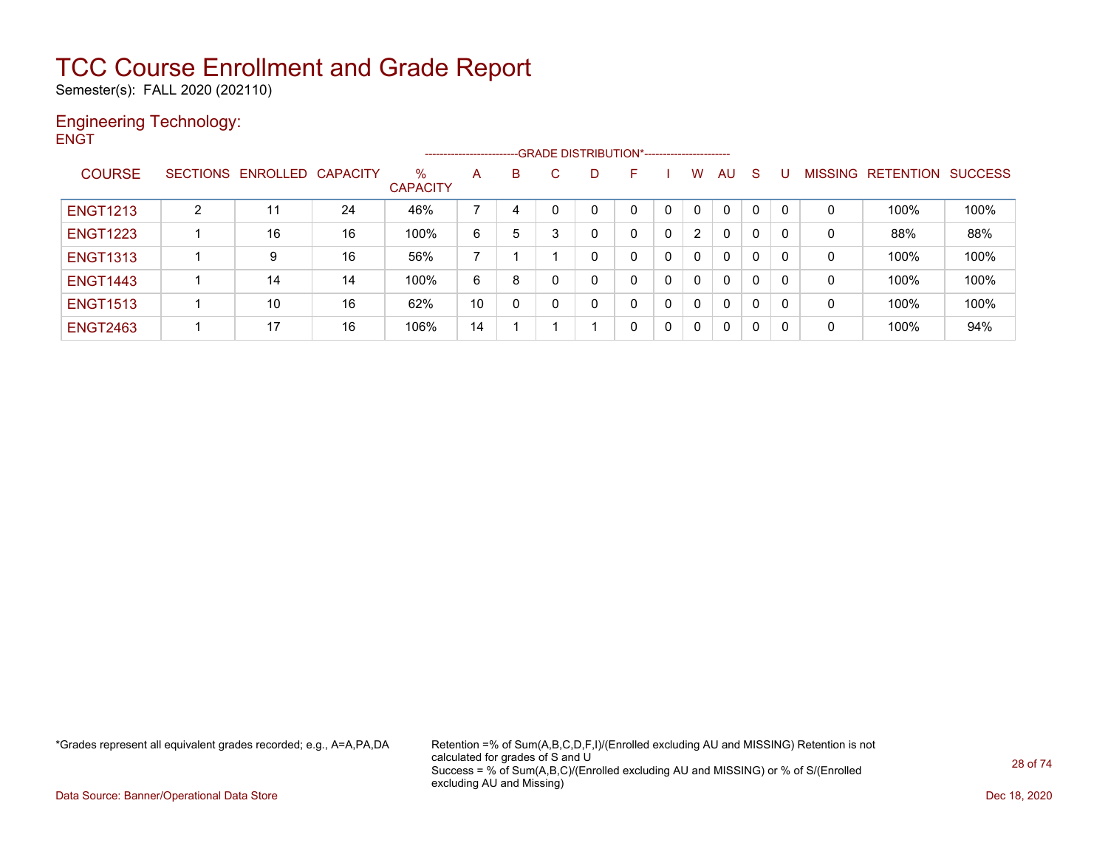Semester(s): FALL 2020 (202110)

### Engineering Technology: **ENGT**

|                 |   |                            |    |                      | ----------------------- |   |   | --GRADE DISTRIBUTION*----------------------- |    |              |                |              |              |   |                |                  |                |
|-----------------|---|----------------------------|----|----------------------|-------------------------|---|---|----------------------------------------------|----|--------------|----------------|--------------|--------------|---|----------------|------------------|----------------|
| <b>COURSE</b>   |   | SECTIONS ENROLLED CAPACITY |    | %<br><b>CAPACITY</b> | A                       | B | C | D                                            | н. |              | w              | AU           | -S           |   | <b>MISSING</b> | <b>RETENTION</b> | <b>SUCCESS</b> |
| <b>ENGT1213</b> | 2 | 11                         | 24 | 46%                  |                         | 4 |   |                                              |    | 0            | 0              | $\Omega$     | $\mathbf{0}$ |   | 0              | 100%             | 100%           |
| <b>ENGT1223</b> |   | 16                         | 16 | 100%                 | 6                       | 5 | 3 | 0                                            | 0  | $\mathbf{0}$ | $\overline{2}$ | 0            | 0            |   | 0              | 88%              | 88%            |
| <b>ENGT1313</b> |   | 9                          | 16 | 56%                  |                         |   |   |                                              | 0  | 0            | 0              | 0            | 0            |   | 0              | 100%             | 100%           |
| <b>ENGT1443</b> |   | 14                         | 14 | 100%                 | 6                       | 8 | 0 | 0                                            | 0  | 0            | 0              | $\mathbf{0}$ | $\mathbf{0}$ |   | 0              | 100%             | 100%           |
| <b>ENGT1513</b> |   | 10                         | 16 | 62%                  | 10                      | 0 | 0 | 0                                            | 0  | 0            | 0              | 0            | 0            |   | 0              | 100%             | 100%           |
| <b>ENGT2463</b> |   | 17                         | 16 | 106%                 | 14                      |   |   |                                              | 0  | 0            | 0              | 0            | 0            | 0 | 0              | 100%             | 94%            |

\*Grades represent all equivalent grades recorded; e.g., A=A,PA,DA Retention =% of Sum(A,B,C,D,F,I)/(Enrolled excluding AU and MISSING) Retention is not calculated for grades of S and U Success = % of Sum(A,B,C)/(Enrolled excluding AU and MISSING) or % of S/(Enrolled excluding AU and Missing)

Data Source: Banner/Operational Data Store Dec 18, 2020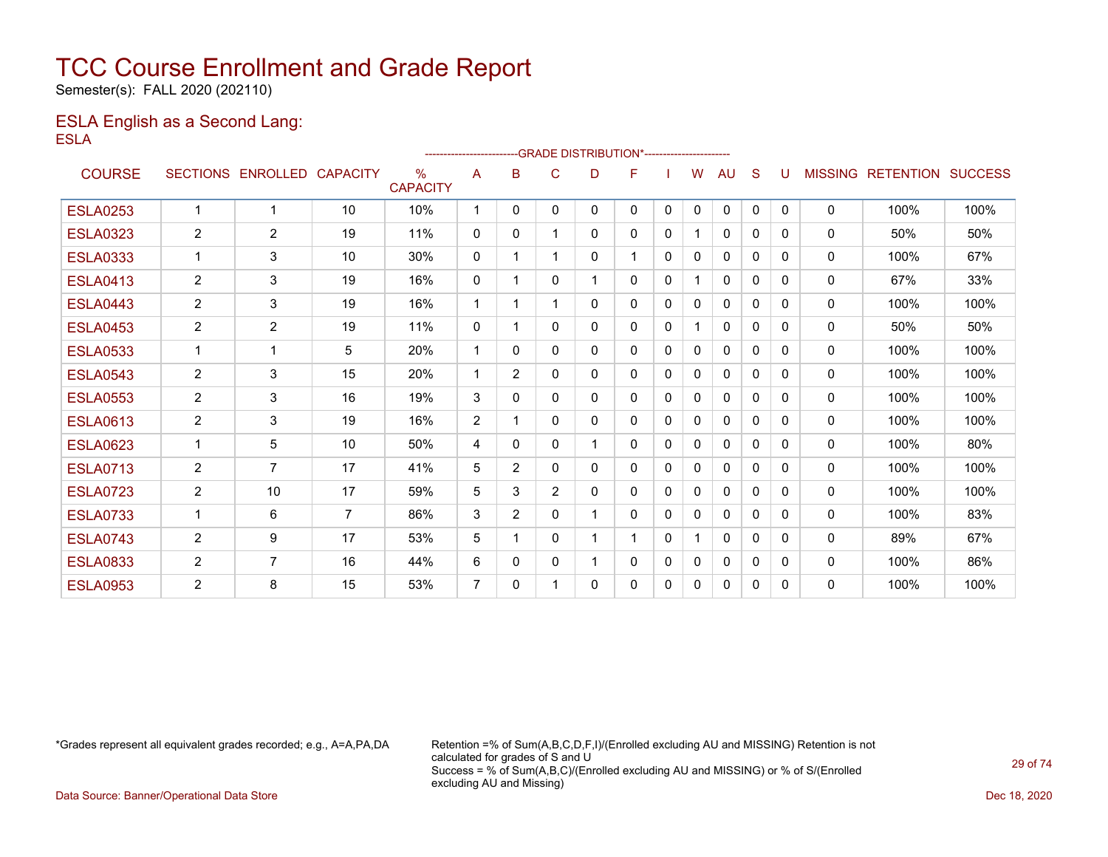Semester(s): FALL 2020 (202110)

### ESLA English as a Second Lang: ESLA

|                 |                 |                 |                 |                                  | ----------------------- |                |                | --GRADE DISTRIBUTION*----------------------- |   |              |              |              |              |              |                |                  |                |
|-----------------|-----------------|-----------------|-----------------|----------------------------------|-------------------------|----------------|----------------|----------------------------------------------|---|--------------|--------------|--------------|--------------|--------------|----------------|------------------|----------------|
| <b>COURSE</b>   | <b>SECTIONS</b> | <b>ENROLLED</b> | <b>CAPACITY</b> | $\frac{0}{0}$<br><b>CAPACITY</b> | A                       | B              | C              | D                                            | F |              | W            | AU           | S            | U            | <b>MISSING</b> | <b>RETENTION</b> | <b>SUCCESS</b> |
| <b>ESLA0253</b> | $\mathbf{1}$    | 1               | 10              | 10%                              | -1                      | $\Omega$       | $\Omega$       | $\Omega$                                     | 0 | $\mathbf{0}$ | $\Omega$     | $\mathbf{0}$ | $\mathbf{0}$ | $\Omega$     | $\mathbf{0}$   | 100%             | 100%           |
| <b>ESLA0323</b> | $\overline{2}$  | $\overline{2}$  | 19              | 11%                              | $\mathbf{0}$            | $\mathbf{0}$   |                | $\Omega$                                     | 0 | $\mathbf{0}$ |              | $\Omega$     | $\Omega$     | $\Omega$     | 0              | 50%              | 50%            |
| <b>ESLA0333</b> | $\mathbf{1}$    | 3               | 10              | 30%                              | $\mathbf 0$             | 1              |                | 0                                            | 1 | $\mathbf{0}$ | $\mathbf{0}$ | 0            | $\Omega$     | 0            | 0              | 100%             | 67%            |
| <b>ESLA0413</b> | $\overline{2}$  | 3               | 19              | 16%                              | $\mathbf 0$             | 1              | $\Omega$       |                                              | 0 | $\mathbf{0}$ |              | 0            | $\Omega$     | $\Omega$     | 0              | 67%              | 33%            |
| <b>ESLA0443</b> | 2               | 3               | 19              | 16%                              | $\mathbf 1$             | 1              |                | 0                                            | 0 | $\mathbf{0}$ | $\Omega$     | $\mathbf{0}$ | $\mathbf{0}$ | $\Omega$     | 0              | 100%             | 100%           |
| <b>ESLA0453</b> | $\overline{2}$  | $\overline{2}$  | 19              | 11%                              | $\mathbf{0}$            | 1              | 0              | 0                                            | 0 | $\mathbf{0}$ |              | $\mathbf{0}$ | 0            | 0            | 0              | 50%              | 50%            |
| <b>ESLA0533</b> | $\mathbf{1}$    | 1               | 5               | 20%                              | $\mathbf 1$             | 0              | $\Omega$       | 0                                            | 0 | $\mathbf{0}$ | $\Omega$     | $\mathbf{0}$ | $\Omega$     | 0            | $\mathbf{0}$   | 100%             | 100%           |
| <b>ESLA0543</b> | 2               | 3               | 15              | 20%                              | $\overline{1}$          | $\overline{2}$ | $\Omega$       | 0                                            | 0 | $\Omega$     | $\Omega$     | $\Omega$     | $\Omega$     | 0            | 0              | 100%             | 100%           |
| <b>ESLA0553</b> | 2               | 3               | 16              | 19%                              | 3                       | 0              | $\Omega$       | 0                                            | 0 | $\Omega$     | $\mathbf{0}$ | $\mathbf{0}$ | $\Omega$     | 0            | 0              | 100%             | 100%           |
| <b>ESLA0613</b> | 2               | 3               | 19              | 16%                              | 2                       | 1              | 0              | 0                                            | 0 | $\Omega$     | 0            | $\mathbf{0}$ | $\Omega$     | $\Omega$     | $\mathbf{0}$   | 100%             | 100%           |
| <b>ESLA0623</b> | 1               | 5               | 10              | 50%                              | 4                       | 0              | $\Omega$       | 1                                            | 0 | $\Omega$     | 0            | $\mathbf{0}$ | $\Omega$     | <sup>0</sup> | $\mathbf{0}$   | 100%             | 80%            |
| <b>ESLA0713</b> | 2               | $\overline{7}$  | 17              | 41%                              | 5                       | $\overline{2}$ | $\Omega$       | 0                                            | 0 | $\Omega$     | 0            | 0            | $\Omega$     | <sup>0</sup> | $\mathbf{0}$   | 100%             | 100%           |
| <b>ESLA0723</b> | $\overline{2}$  | 10              | 17              | 59%                              | 5                       | 3              | $\overline{2}$ | 0                                            | 0 | $\Omega$     | 0            | 0            | $\Omega$     | <sup>0</sup> | $\mathbf{0}$   | 100%             | 100%           |
| <b>ESLA0733</b> | $\mathbf{1}$    | 6               | $\overline{7}$  | 86%                              | 3                       | $\overline{2}$ | $\Omega$       |                                              | 0 | $\Omega$     | 0            | 0            | $\Omega$     | 0            | 0              | 100%             | 83%            |
| <b>ESLA0743</b> | 2               | 9               | 17              | 53%                              | 5                       | 1              | 0              |                                              | 1 | $\mathbf{0}$ |              | $\mathbf{0}$ | 0            | $\Omega$     | 0              | 89%              | 67%            |
| <b>ESLA0833</b> | $\overline{2}$  | $\overline{7}$  | 16              | 44%                              | 6                       | 0              | 0              |                                              | 0 | $\mathbf{0}$ | 0            | 0            | 0            | 0            | 0              | 100%             | 86%            |
| <b>ESLA0953</b> | $\overline{2}$  | 8               | 15              | 53%                              | 7                       | 0              |                | 0                                            | 0 | $\mathbf{0}$ | 0            | 0            | 0            | 0            | 0              | 100%             | 100%           |

\*Grades represent all equivalent grades recorded; e.g., A=A,PA,DA Retention =% of Sum(A,B,C,D,F,I)/(Enrolled excluding AU and MISSING) Retention is not calculated for grades of S and U Success = % of Sum(A,B,C)/(Enrolled excluding AU and MISSING) or % of S/(Enrolled excluding AU and Missing)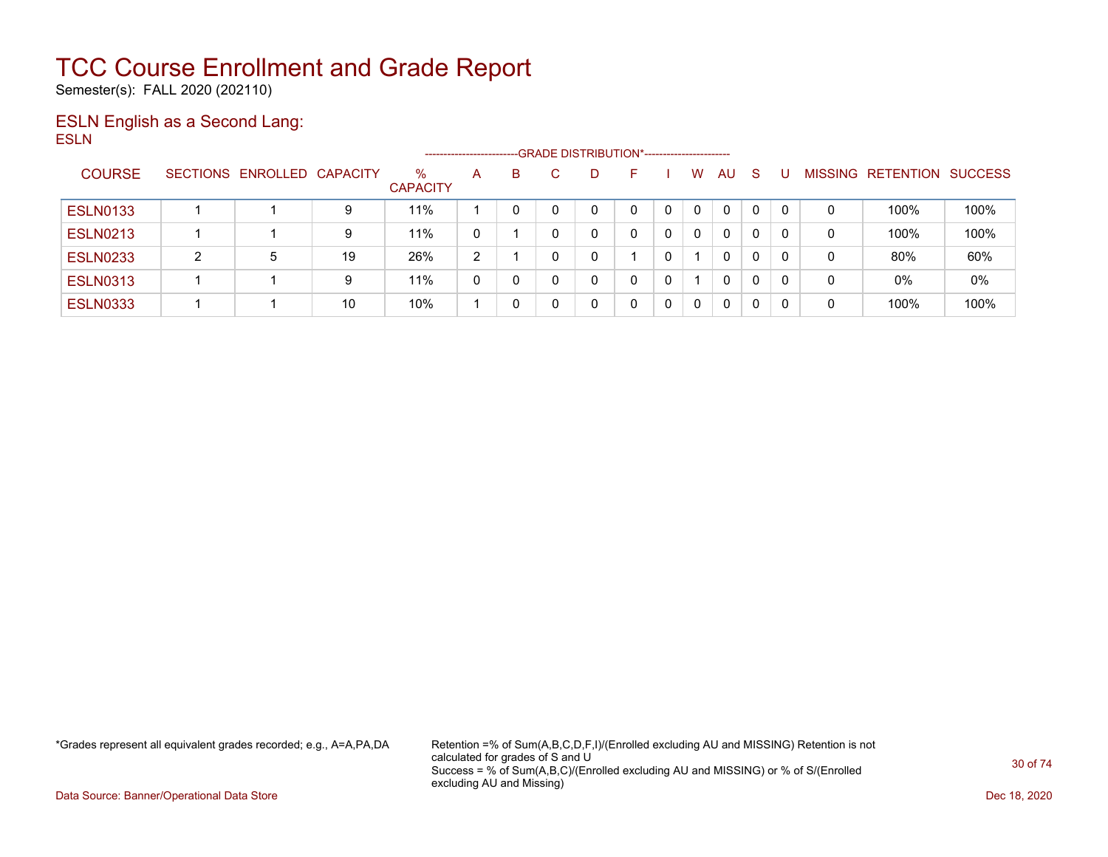Semester(s): FALL 2020 (202110)

### ESLN English as a Second Lang: ESLN

|                 |   |                            |    |                      | -------------------- |   | -GRADE DISTRIBUTION*---------------------- |    |             |              |    |          |                |           |                |
|-----------------|---|----------------------------|----|----------------------|----------------------|---|--------------------------------------------|----|-------------|--------------|----|----------|----------------|-----------|----------------|
| <b>COURSE</b>   |   | SECTIONS ENROLLED CAPACITY |    | %<br><b>CAPACITY</b> | A                    | B | D                                          | н. | W           | AU.          | -S |          | <b>MISSING</b> | RETENTION | <b>SUCCESS</b> |
| <b>ESLN0133</b> |   |                            | 9  | 11%                  |                      |   |                                            |    | 0           | 0            | 0  |          | 0              | 100%      | 100%           |
| <b>ESLN0213</b> |   |                            | 9  | 11%                  | 0                    |   |                                            |    | $\mathbf 0$ | $\mathbf{0}$ | 0  | -0       | 0              | 100%      | 100%           |
| <b>ESLN0233</b> | 2 | 5                          | 19 | 26%                  | 2                    |   |                                            |    |             | $\mathbf{0}$ | 0  | $\Omega$ | 0              | 80%       | 60%            |
| <b>ESLN0313</b> |   |                            | 9  | 11%                  | 0                    | 0 |                                            | 0  |             | 0            | 0  |          | 0              | 0%        | 0%             |
| <b>ESLN0333</b> |   |                            | 10 | 10%                  |                      |   |                                            | 0  | 0           | 0            | 0  | 0        | 0              | 100%      | 100%           |

\*Grades represent all equivalent grades recorded; e.g., A=A,PA,DA Retention =% of Sum(A,B,C,D,F,I)/(Enrolled excluding AU and MISSING) Retention is not calculated for grades of S and U Success = % of Sum(A,B,C)/(Enrolled excluding AU and MISSING) or % of S/(Enrolled excluding AU and Missing)

Data Source: Banner/Operational Data Store Dec 18, 2020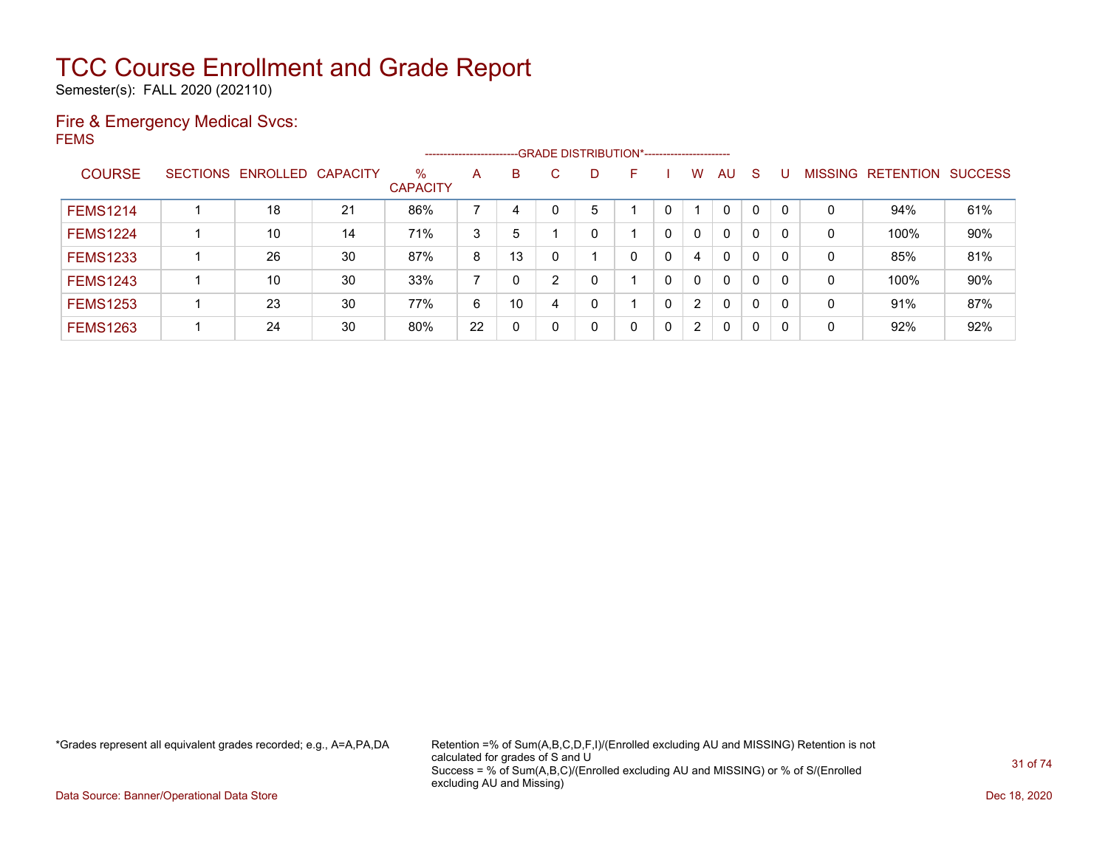Semester(s): FALL 2020 (202110)

### Fire & Emergency Medical Svcs: FEMS

|                 |                            |    |                         | ---------------------- |    |     |    | --GRADE DISTRIBUTION*------------------------ |   |              |              |    |          |                |                  |                |
|-----------------|----------------------------|----|-------------------------|------------------------|----|-----|----|-----------------------------------------------|---|--------------|--------------|----|----------|----------------|------------------|----------------|
| <b>COURSE</b>   | SECTIONS ENROLLED CAPACITY |    | $\%$<br><b>CAPACITY</b> | A                      | B  | C.  | D. | F                                             |   | W            | AU           | -S |          | <b>MISSING</b> | <b>RETENTION</b> | <b>SUCCESS</b> |
| <b>FEMS1214</b> | 18                         | 21 | 86%                     |                        | 4  | - 0 | 5  |                                               |   |              | 0            | 0  | $\Omega$ | 0              | 94%              | 61%            |
| <b>FEMS1224</b> | 10                         | 14 | 71%                     | 3                      | 5  |     |    |                                               | 0 | 0            | $\Omega$     | 0  | 0        | 0              | 100%             | 90%            |
| <b>FEMS1233</b> | 26                         | 30 | 87%                     | 8                      | 13 |     |    | 0                                             | 0 | 4            | $\mathbf{0}$ | 0  | 0        | 0              | 85%              | 81%            |
| <b>FEMS1243</b> | 10                         | 30 | 33%                     |                        | 0  | 2   | 0  |                                               | 0 | $\Omega$     | $\Omega$     | 0  | $\Omega$ | 0              | 100%             | 90%            |
| <b>FEMS1253</b> | 23                         | 30 | 77%                     | 6                      | 10 | 4   |    |                                               | 0 | $\mathbf{2}$ | $\mathbf{0}$ | 0  | $\Omega$ | 0              | 91%              | 87%            |
| <b>FEMS1263</b> | 24                         | 30 | 80%                     | 22                     | 0  |     |    | 0                                             | 0 | 2            | $\mathbf{0}$ | 0  | 0        | 0              | 92%              | 92%            |

\*Grades represent all equivalent grades recorded; e.g., A=A,PA,DA Retention =% of Sum(A,B,C,D,F,I)/(Enrolled excluding AU and MISSING) Retention is not calculated for grades of S and U Success = % of Sum(A,B,C)/(Enrolled excluding AU and MISSING) or % of S/(Enrolled excluding AU and Missing)

Data Source: Banner/Operational Data Store Dec 18, 2020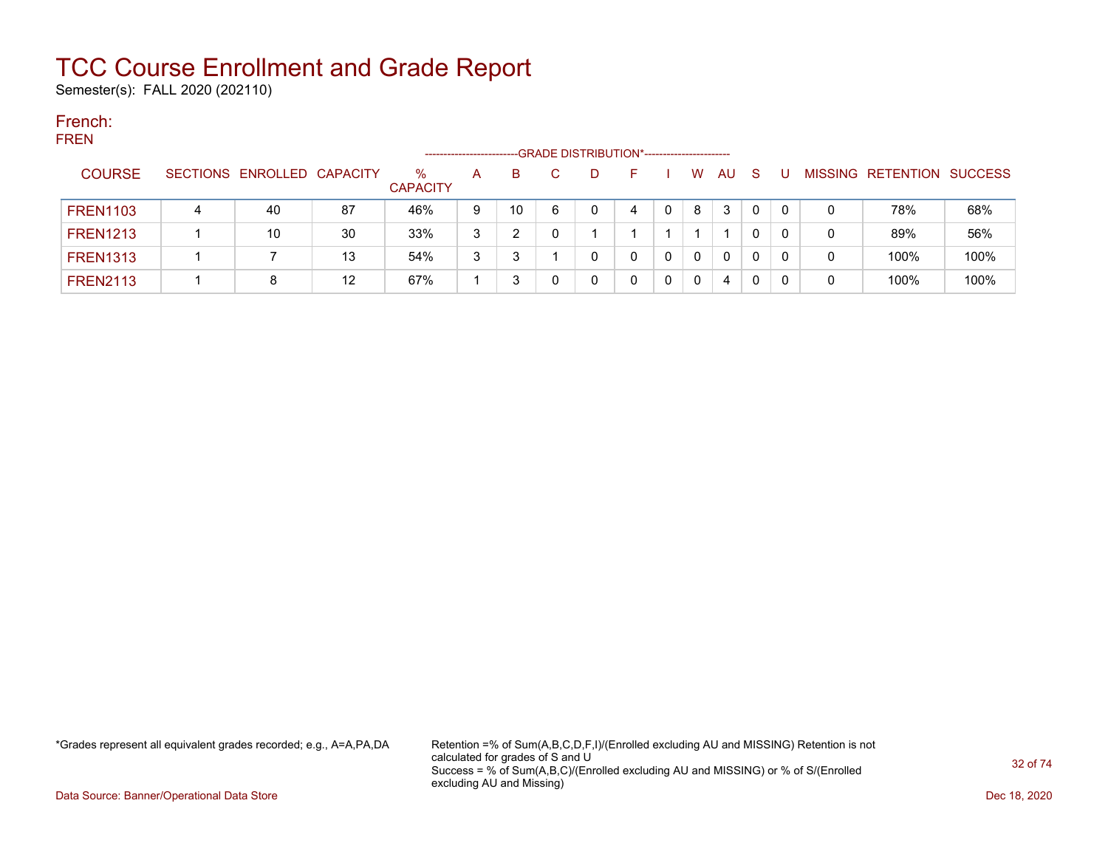Semester(s): FALL 2020 (202110)

#### French: FREN

| .               |               |   |                            |    | -------------------  |   |    |   | --GRADE DISTRIBUTION*----------------------- |   |   |     |    |   |                           |      |
|-----------------|---------------|---|----------------------------|----|----------------------|---|----|---|----------------------------------------------|---|---|-----|----|---|---------------------------|------|
|                 | <b>COURSE</b> |   | SECTIONS ENROLLED CAPACITY |    | %<br><b>CAPACITY</b> | A | B. |   | D                                            |   | W | AU. | -S |   | MISSING RETENTION SUCCESS |      |
| <b>FREN1103</b> |               | 4 | 40                         | 87 | 46%                  | 9 | 10 | 6 |                                              | 4 | 8 | 3   | 0  |   | 78%                       | 68%  |
| <b>FREN1213</b> |               |   | 10                         | 30 | 33%                  | 3 |    |   |                                              |   |   |     |    | 0 | 89%                       | 56%  |
| <b>FREN1313</b> |               |   |                            | 13 | 54%                  | 3 |    |   |                                              |   | 0 | 0   | 0  |   | 100%                      | 100% |
| <b>FREN2113</b> |               |   |                            | 12 | 67%                  |   |    |   |                                              |   | 0 | 4   | 0  |   | 100%                      | 100% |

\*Grades represent all equivalent grades recorded; e.g., A=A,PA,DA Retention =% of Sum(A,B,C,D,F,I)/(Enrolled excluding AU and MISSING) Retention is not calculated for grades of S and U Success = % of Sum(A,B,C)/(Enrolled excluding AU and MISSING) or % of S/(Enrolled excluding AU and Missing)

Data Source: Banner/Operational Data Store Dec 18, 2020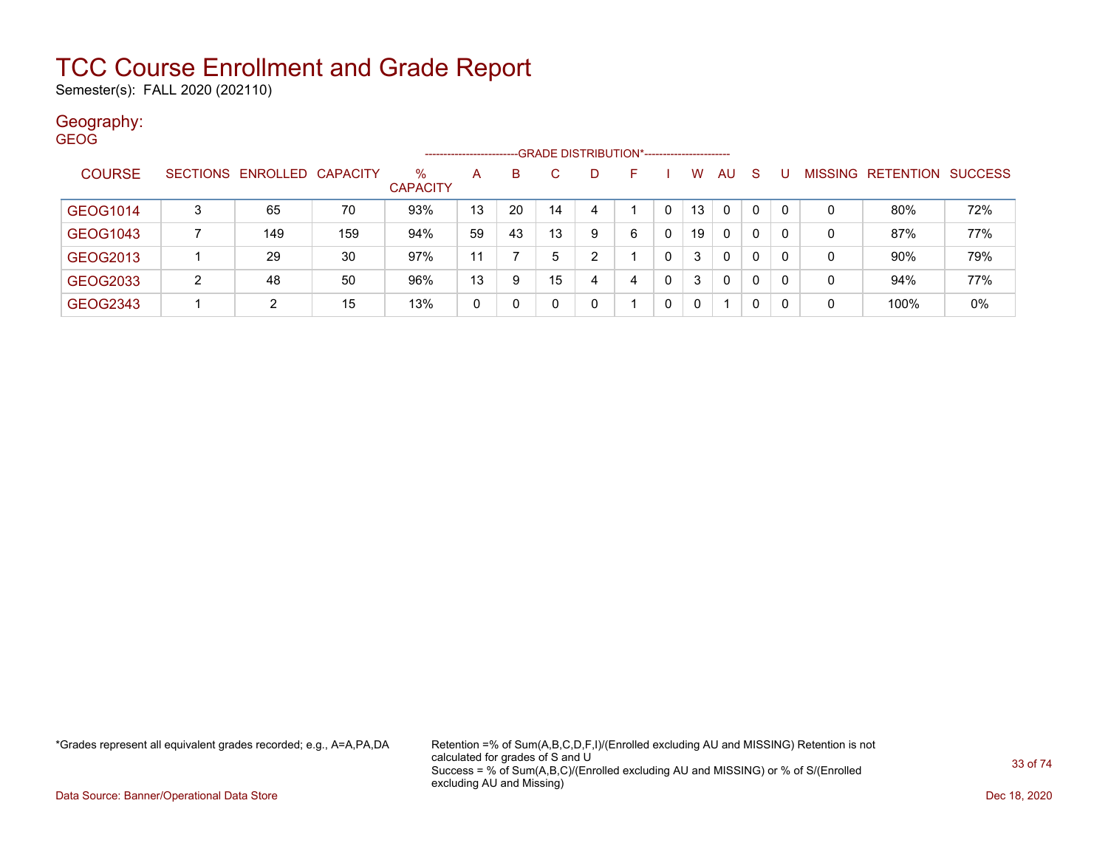Semester(s): FALL 2020 (202110)

### Geography:

| <b>GEOG</b> |               |                 |                   |     |                         |    |    |    |                                                |   |              |          |              |              |          |                |           |                |
|-------------|---------------|-----------------|-------------------|-----|-------------------------|----|----|----|------------------------------------------------|---|--------------|----------|--------------|--------------|----------|----------------|-----------|----------------|
|             |               |                 |                   |     | -------------------     |    |    |    | -- GRADE DISTRIBUTION*------------------------ |   |              |          |              |              |          |                |           |                |
|             | <b>COURSE</b> | <b>SECTIONS</b> | ENROLLED CAPACITY |     | $\%$<br><b>CAPACITY</b> | A  | B. | C. | D.                                             | F |              | W        | AU           | -S           |          | <b>MISSING</b> | RETENTION | <b>SUCCESS</b> |
|             | GEOG1014      | 3               | 65                | 70  | 93%                     | 13 | 20 | 14 | 4                                              |   |              | 13       | 0            | $\mathbf{0}$ | $\Omega$ | 0              | 80%       | 72%            |
|             | GEOG1043      |                 | 149               | 159 | 94%                     | 59 | 43 | 13 | 9                                              | 6 | $\mathbf{0}$ | 19       | 0            | 0            | $\Omega$ | 0              | 87%       | 77%            |
|             | GEOG2013      |                 | 29                | 30  | 97%                     | 11 |    | 5  | $\overline{2}$                                 |   | 0            | 3        | $\mathbf{0}$ | 0            | $\Omega$ | 0              | 90%       | 79%            |
|             | GEOG2033      | $\overline{2}$  | 48                | 50  | 96%                     | 13 | 9  | 15 | 4                                              | 4 | 0            | 3        | $\mathbf{0}$ | 0            | 0        | 0              | 94%       | 77%            |
|             | GEOG2343      |                 | 2                 | 15  | 13%                     | 0  |    |    | 0                                              |   | 0            | $\Omega$ | 1            | 0            | $\Omega$ | 0              | 100%      | 0%             |

\*Grades represent all equivalent grades recorded; e.g., A=A,PA,DA Retention =% of Sum(A,B,C,D,F,I)/(Enrolled excluding AU and MISSING) Retention is not calculated for grades of S and U Success = % of Sum(A,B,C)/(Enrolled excluding AU and MISSING) or % of S/(Enrolled excluding AU and Missing)

Data Source: Banner/Operational Data Store Dec 18, 2020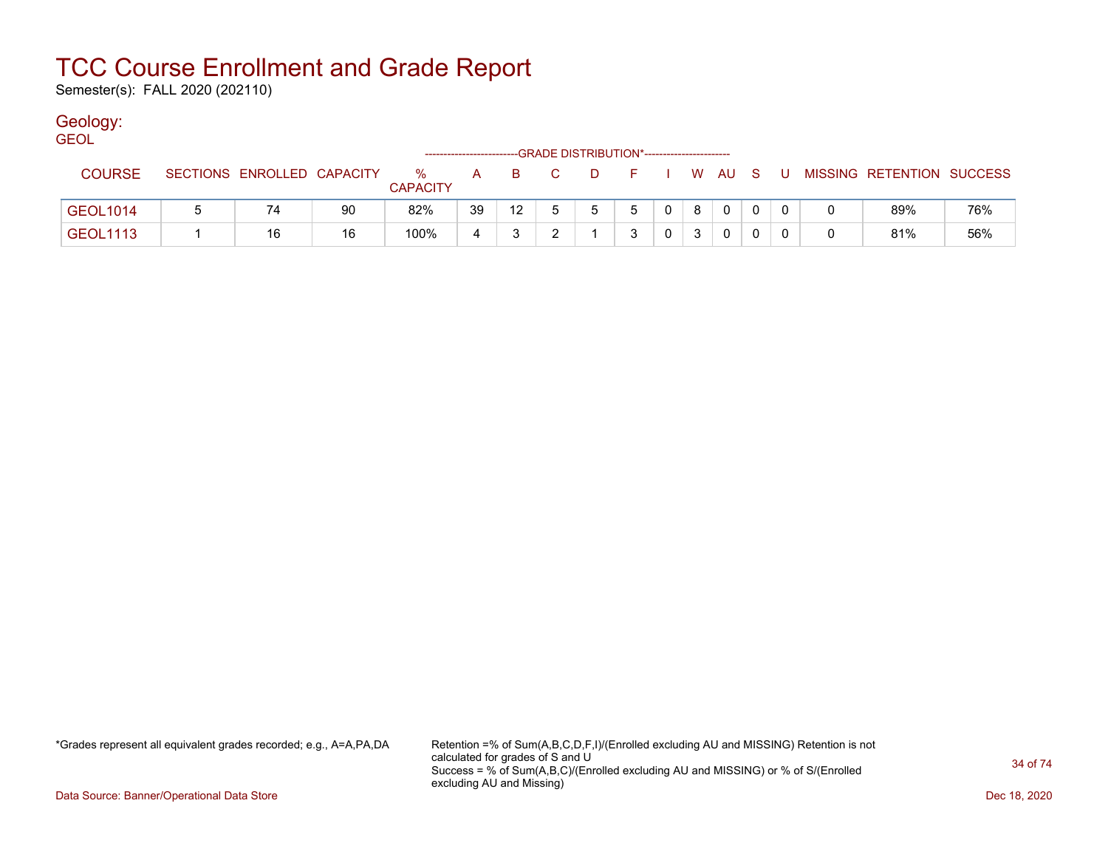Semester(s): FALL 2020 (202110)

### Geology:

| <b>GEOL</b>     |                            |    |                         |    |                  |    |    |                                              |                |   |              |     |                           |     |
|-----------------|----------------------------|----|-------------------------|----|------------------|----|----|----------------------------------------------|----------------|---|--------------|-----|---------------------------|-----|
|                 |                            |    |                         |    |                  |    |    | --GRADE DISTRIBUTION*----------------------- |                |   |              |     |                           |     |
| <b>COURSE</b>   | SECTIONS ENROLLED CAPACITY |    | $\%$<br><b>CAPACITY</b> | A  | B.               | C. | D. | F.                                           |                |   | I WAUS       | . U | MISSING RETENTION SUCCESS |     |
| <b>GEOL1014</b> | 74                         | 90 | 82%                     | 39 | 12 <sup>12</sup> |    | 5  | 5                                            | 0 <sup>1</sup> | 8 | $\mathbf{0}$ |     | 89%                       | 76% |
| <b>GEOL1113</b> | 16                         | 16 | 100%                    | 4  |                  |    |    |                                              |                |   | 0            |     | 81%                       | 56% |

\*Grades represent all equivalent grades recorded; e.g., A=A,PA,DA Retention =% of Sum(A,B,C,D,F,I)/(Enrolled excluding AU and MISSING) Retention is not calculated for grades of S and U Success = % of Sum(A,B,C)/(Enrolled excluding AU and MISSING) or % of S/(Enrolled excluding AU and Missing)

Data Source: Banner/Operational Data Store Dec 18, 2020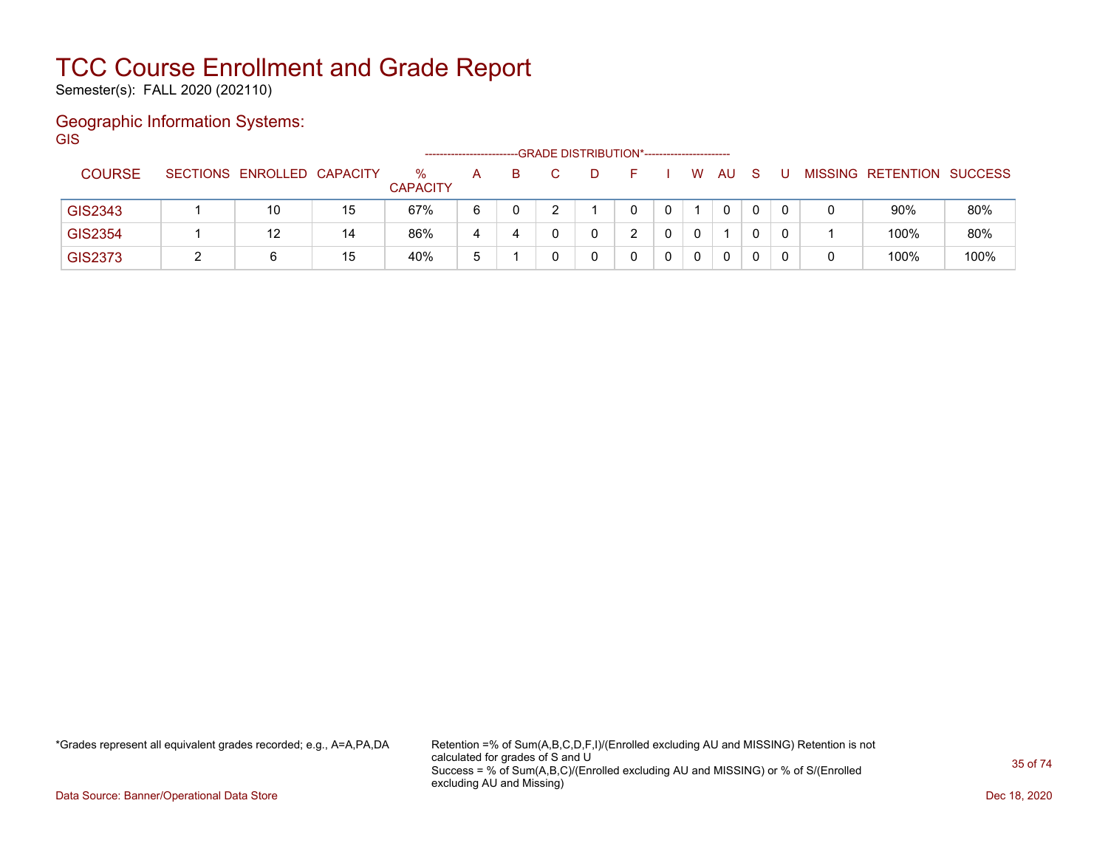Semester(s): FALL 2020 (202110)

### Geographic Information Systems: **GIS**

|                |                            |    | ------------------      |   |    | -GRADE DISTRIBUTION*---------------------- |  |   |    |  |                           |      |
|----------------|----------------------------|----|-------------------------|---|----|--------------------------------------------|--|---|----|--|---------------------------|------|
| <b>COURSE</b>  | SECTIONS ENROLLED CAPACITY |    | $\%$<br><b>CAPACITY</b> | А | B. |                                            |  | W | AU |  | MISSING RETENTION SUCCESS |      |
| GIS2343        | 10                         | 15 | 67%                     | 6 |    |                                            |  |   | 0  |  | 90%                       | 80%  |
| <b>GIS2354</b> |                            | 14 | 86%                     |   | 4  |                                            |  |   |    |  | 100%                      | 80%  |
| GIS2373        | 6                          | 15 | 40%                     | đ |    |                                            |  |   | 0  |  | 100%                      | 100% |

\*Grades represent all equivalent grades recorded; e.g., A=A,PA,DA Retention =% of Sum(A,B,C,D,F,I)/(Enrolled excluding AU and MISSING) Retention is not calculated for grades of S and U Success = % of Sum(A,B,C)/(Enrolled excluding AU and MISSING) or % of S/(Enrolled excluding AU and Missing)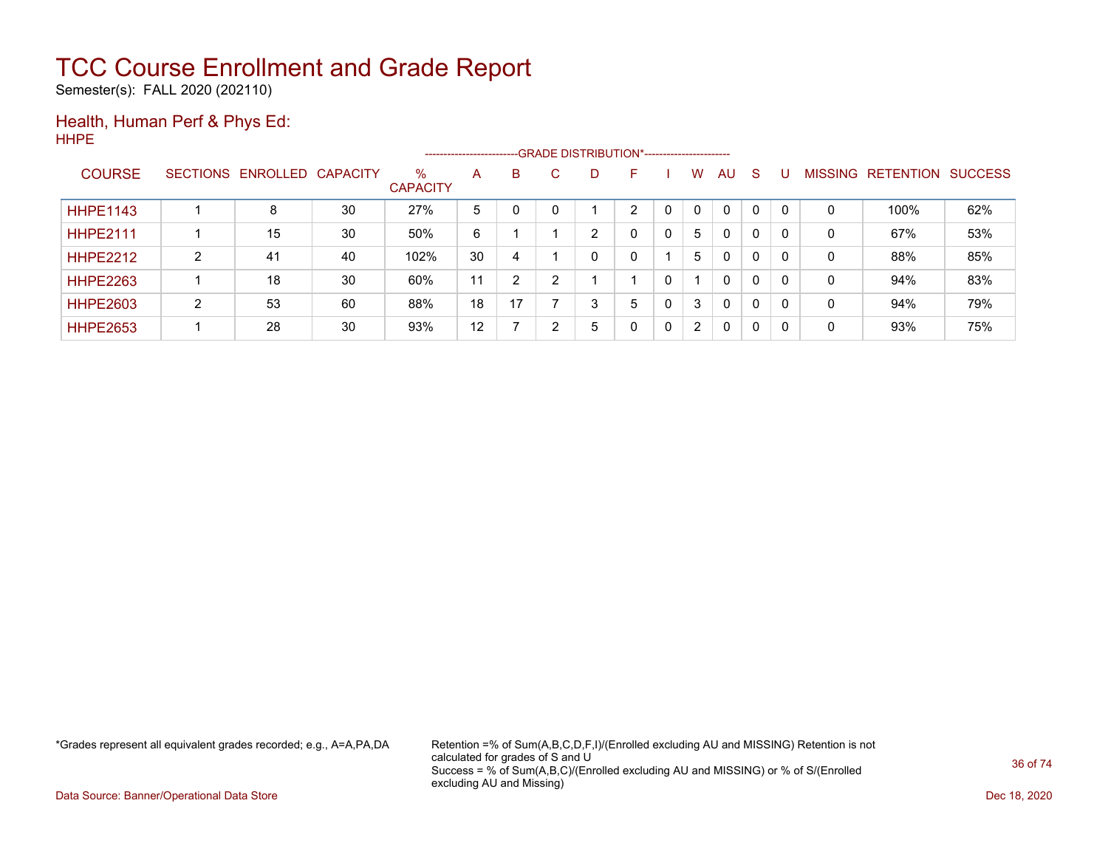Semester(s): FALL 2020 (202110)

### Health, Human Perf & Phys Ed: HHPE

|                 |   |                            |    |                         | ------------------------ |    |        |   | --- GRADE DISTRIBUTION*------------------------ |                |              |              |                |                  |                |
|-----------------|---|----------------------------|----|-------------------------|--------------------------|----|--------|---|-------------------------------------------------|----------------|--------------|--------------|----------------|------------------|----------------|
| <b>COURSE</b>   |   | SECTIONS ENROLLED CAPACITY |    | $\%$<br><b>CAPACITY</b> | A                        | B  | C.     | D | ⊢                                               | W              | AU           | <sub>S</sub> | <b>MISSING</b> | <b>RETENTION</b> | <b>SUCCESS</b> |
| <b>HHPE1143</b> |   | 8                          | 30 | 27%                     | 5                        |    |        |   | ◠                                               | 0              | 0            | 0            | 0              | 100%             | 62%            |
| <b>HHPE2111</b> |   | 15                         | 30 | 50%                     | 6                        |    |        | ົ | 0                                               | 5              | $\mathbf{0}$ | 0            | 0              | 67%              | 53%            |
| <b>HHPE2212</b> | C | 41                         | 40 | 102%                    | 30                       | 4  |        | 0 | 0                                               | 5              | $\mathbf{0}$ | 0            | 0              | 88%              | 85%            |
| <b>HHPE2263</b> |   | 18                         | 30 | 60%                     | 11                       | っ  | $\sim$ |   |                                                 |                | $\mathbf{0}$ | $\mathbf 0$  | 0              | 94%              | 83%            |
| <b>HHPE2603</b> | C | 53                         | 60 | 88%                     | 18                       | 17 |        | 3 | 5                                               | 3              | $\mathbf{0}$ | 0            | 0              | 94%              | 79%            |
| <b>HHPE2653</b> |   | 28                         | 30 | 93%                     | 12                       |    |        | 5 | 0                                               | $\overline{2}$ | 0            | 0            | 0              | 93%              | 75%            |

\*Grades represent all equivalent grades recorded; e.g., A=A,PA,DA Retention =% of Sum(A,B,C,D,F,I)/(Enrolled excluding AU and MISSING) Retention is not calculated for grades of S and U Success = % of Sum(A,B,C)/(Enrolled excluding AU and MISSING) or % of S/(Enrolled excluding AU and Missing)

Data Source: Banner/Operational Data Store Dec 18, 2020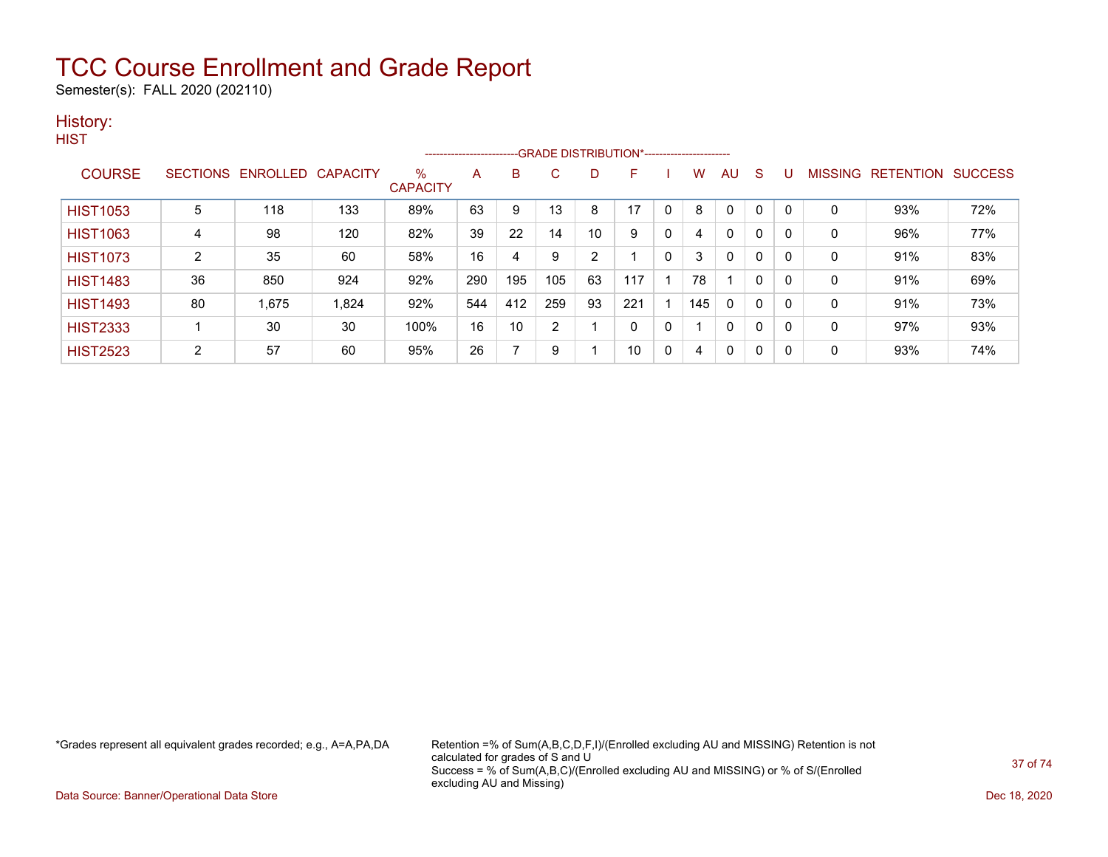Semester(s): FALL 2020 (202110)

### History:

|                 |                |                            |       |                      |     |     |     |                | --------------------------GRADE DISTRIBUTION*----------------------- |              |     |    |   |          |              |                           |     |
|-----------------|----------------|----------------------------|-------|----------------------|-----|-----|-----|----------------|----------------------------------------------------------------------|--------------|-----|----|---|----------|--------------|---------------------------|-----|
| <b>COURSE</b>   |                | SECTIONS ENROLLED CAPACITY |       | %<br><b>CAPACITY</b> | A   | B   | C   | D              | F.                                                                   |              | W   | AU | S | υ        |              | MISSING RETENTION SUCCESS |     |
| <b>HIST1053</b> | 5              | 118                        | 133   | 89%                  | 63  | 9   | 13  | 8              | 17                                                                   |              | 8   | 0  | 0 | $\Omega$ | 0            | 93%                       | 72% |
| <b>HIST1063</b> | 4              | 98                         | 120   | 82%                  | 39  | 22  | 14  | 10             | 9                                                                    | $\mathbf{0}$ | 4   | 0  | 0 | 0        | $\mathbf{0}$ | 96%                       | 77% |
| <b>HIST1073</b> | $\overline{2}$ | 35                         | 60    | 58%                  | 16  | 4   | 9   | $\overline{2}$ |                                                                      | $\mathbf{0}$ | 3   | 0  | 0 | 0        | 0            | 91%                       | 83% |
| <b>HIST1483</b> | 36             | 850                        | 924   | 92%                  | 290 | 195 | 105 | 63             | 117                                                                  |              | 78  |    | 0 | 0        | 0            | 91%                       | 69% |
| <b>HIST1493</b> | 80             | 1,675                      | 1,824 | 92%                  | 544 | 412 | 259 | 93             | 221                                                                  |              | 145 | 0  | 0 | 0        | 0            | 91%                       | 73% |
| <b>HIST2333</b> |                | 30                         | 30    | 100%                 | 16  | 10  | 2   |                | $\mathbf{0}$                                                         | 0            |     | 0  | 0 | 0        | 0            | 97%                       | 93% |
| <b>HIST2523</b> | $\overline{2}$ | 57                         | 60    | 95%                  | 26  | ⇁   | 9   |                | 10                                                                   | $\mathbf{0}$ | 4   | 0  | 0 | 0        | 0            | 93%                       | 74% |

\*Grades represent all equivalent grades recorded; e.g., A=A,PA,DA Retention =% of Sum(A,B,C,D,F,I)/(Enrolled excluding AU and MISSING) Retention is not calculated for grades of S and U Success = % of Sum(A,B,C)/(Enrolled excluding AU and MISSING) or % of S/(Enrolled excluding AU and Missing)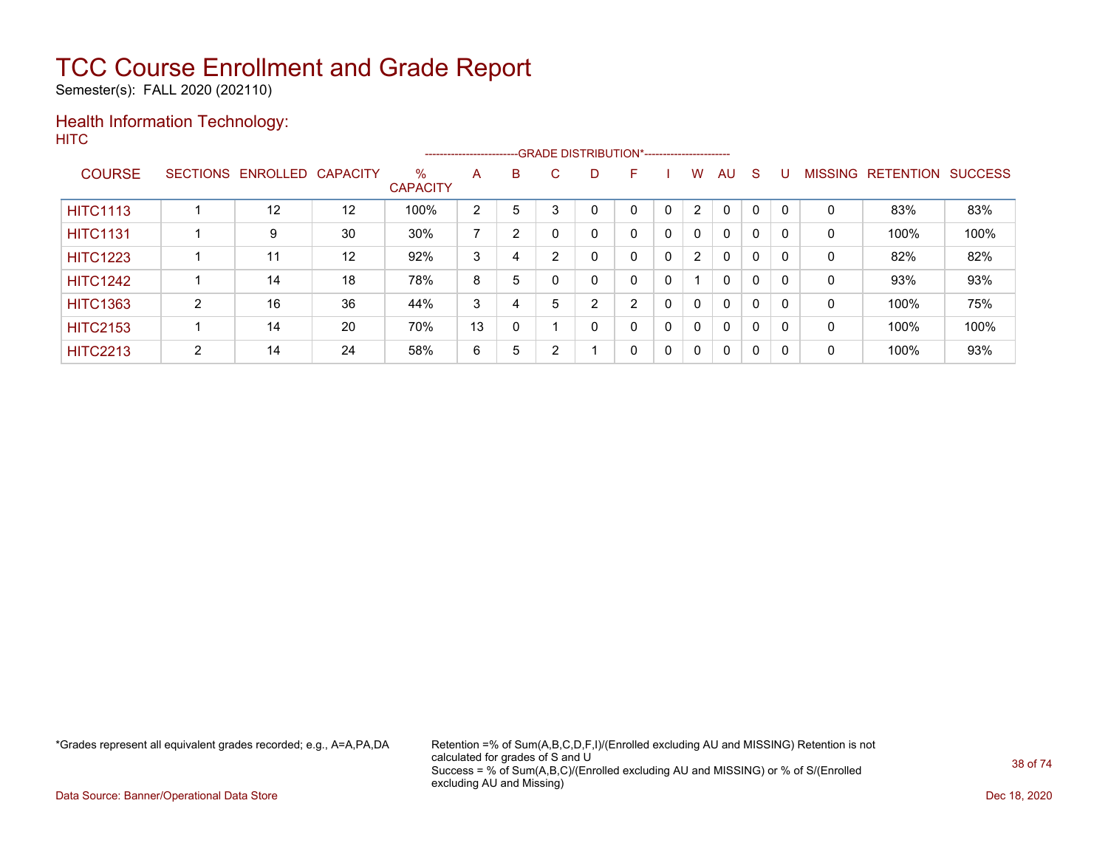Semester(s): FALL 2020 (202110)

#### Health Information Technology: **HITC**

|                 |   |                   |                   |                         | ----------------------- |   |              |   | --GRADE DISTRIBUTION*----------------------- |   |                |              |              |          |                |                  |                |
|-----------------|---|-------------------|-------------------|-------------------------|-------------------------|---|--------------|---|----------------------------------------------|---|----------------|--------------|--------------|----------|----------------|------------------|----------------|
| <b>COURSE</b>   |   | SECTIONS ENROLLED | <b>CAPACITY</b>   | $\%$<br><b>CAPACITY</b> | A                       | B | C.           | D | F                                            |   | W              | AU           | <sub>S</sub> |          | <b>MISSING</b> | <b>RETENTION</b> | <b>SUCCESS</b> |
| <b>HITC1113</b> |   | 12                | 12                | 100%                    | 2                       | 5 |              |   |                                              |   | 2              | $\Omega$     | 0            |          | 0              | 83%              | 83%            |
| <b>HITC1131</b> |   | 9                 | 30                | 30%                     | ⇁                       | 2 |              | 0 | 0                                            | 0 | $\mathbf{0}$   | $\mathbf{0}$ | 0            |          | 0              | 100%             | 100%           |
| <b>HITC1223</b> |   | 11                | $12 \overline{ }$ | 92%                     | 3                       | 4 | <sup>o</sup> | 0 | 0                                            | 0 | $\overline{2}$ | $\mathbf{0}$ | 0            |          | 0              | 82%              | 82%            |
| <b>HITC1242</b> |   | 14                | 18                | 78%                     | 8                       | 5 |              |   | 0                                            | 0 |                | $\mathbf{0}$ | 0            | $\Omega$ | 0              | 93%              | 93%            |
| <b>HITC1363</b> | ົ | 16                | 36                | 44%                     | 3                       | 4 | 5            | າ | C                                            | 0 | $\mathbf{0}$   | $\mathbf{0}$ | 0            | $\Omega$ | 0              | 100%             | 75%            |
| <b>HITC2153</b> |   | 14                | 20                | 70%                     | 13                      | 0 |              | 0 | 0                                            | 0 | $\Omega$       | $\mathbf{0}$ | 0            | $\Omega$ | 0              | 100%             | 100%           |
| <b>HITC2213</b> | 2 | 14                | 24                | 58%                     | 6                       | 5 |              |   | 0                                            | 0 | $\mathbf{0}$   | $\mathbf{0}$ | 0            | $\Omega$ | 0              | 100%             | 93%            |

\*Grades represent all equivalent grades recorded; e.g., A=A,PA,DA Retention =% of Sum(A,B,C,D,F,I)/(Enrolled excluding AU and MISSING) Retention is not calculated for grades of S and U Success = % of Sum(A,B,C)/(Enrolled excluding AU and MISSING) or % of S/(Enrolled excluding AU and Missing)

Data Source: Banner/Operational Data Store Dec 18, 2020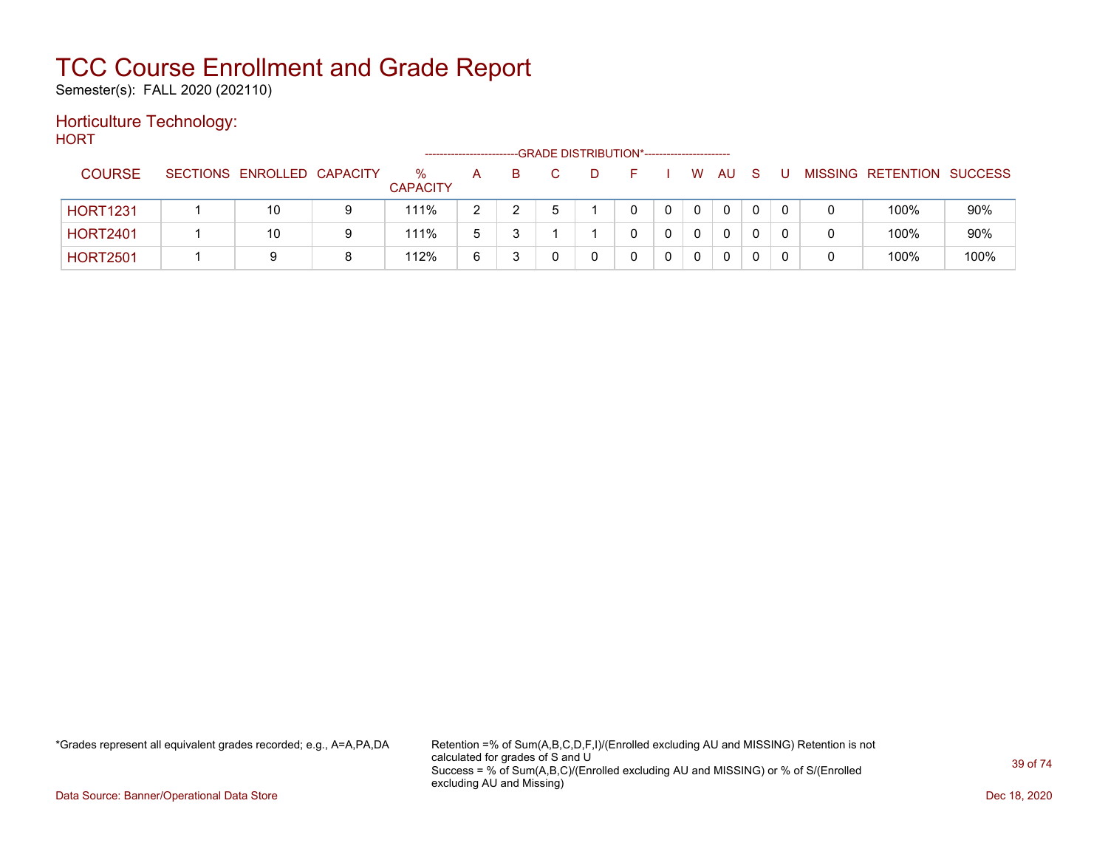Semester(s): FALL 2020 (202110)

### Horticulture Technology:

**HORT** --GRADE DISTRIBUTION\*------------------------COURSE SECTIONS ENROLLED CAPACITY % **CAPACITY** A B C D F I W AU S U MISSING RETENTION SUCCESS HORT1231 | 1 | 10 | 9 | 111% | 2 | 2 | 5 | 1 | 0 | 0 | 0 | 0 | 0 | 0 | 0 | 100% | 90% HORT2401 | 1 | 10 | 9 | 111% | 5 | 3 | 1 | 1 | 0 | 0 | 0 | 0 | 0 | 0 | 0 | 100% | 90% HORT2501 | 1 | 9 | 8 | 112% | 6 | 3 | 0 | 0 | 0 | 0 | 0 | 0 | 0 | 0 | 100% | 100%

\*Grades represent all equivalent grades recorded; e.g., A=A,PA,DA Retention =% of Sum(A,B,C,D,F,I)/(Enrolled excluding AU and MISSING) Retention is not calculated for grades of S and U Success = % of Sum(A,B,C)/(Enrolled excluding AU and MISSING) or % of S/(Enrolled excluding AU and Missing)

Data Source: Banner/Operational Data Store **December 2020** Controllers and December 2020 Dec 18, 2020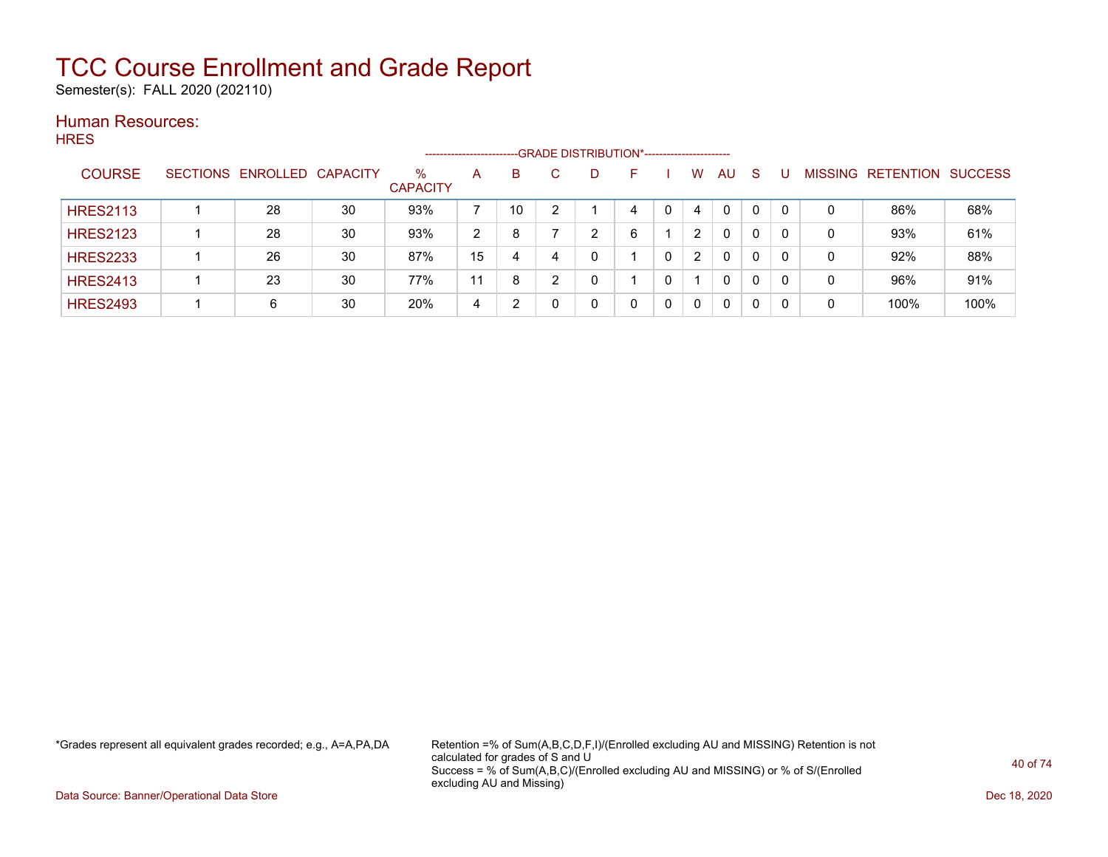Semester(s): FALL 2020 (202110)

#### Human Resources: **HRES**

|                 |                            |    |                         | --------------------- |    | --GRADE DISTRIBUTION*------------------------ |    |             |          |    |   |                |                  |                |
|-----------------|----------------------------|----|-------------------------|-----------------------|----|-----------------------------------------------|----|-------------|----------|----|---|----------------|------------------|----------------|
| <b>COURSE</b>   | SECTIONS ENROLLED CAPACITY |    | $\%$<br><b>CAPACITY</b> | A                     | B  | D                                             | н. | W           | AU       | -S |   | <b>MISSING</b> | <b>RETENTION</b> | <b>SUCCESS</b> |
| <b>HRES2113</b> | 28                         | 30 | 93%                     |                       | 10 |                                               | 4  | 4           | $\Omega$ | 0  |   | 0              | 86%              | 68%            |
| <b>HRES2123</b> | 28                         | 30 | 93%                     | 2                     | 8  | ົ                                             | 6  | 2           | 0        | 0  |   | 0              | 93%              | 61%            |
| <b>HRES2233</b> | 26                         | 30 | 87%                     | 15                    | 4  |                                               |    | 2           | 0        | 0  |   | 0              | 92%              | 88%            |
| <b>HRES2413</b> | 23                         | 30 | 77%                     | 11                    | 8  |                                               |    |             | 0        | 0  | 0 | 0              | 96%              | 91%            |
| <b>HRES2493</b> | 6                          | 30 | 20%                     | 4                     | າ  |                                               |    | $\mathbf 0$ | 0        | 0  | 0 | 0              | 100%             | 100%           |

\*Grades represent all equivalent grades recorded; e.g., A=A,PA,DA Retention =% of Sum(A,B,C,D,F,I)/(Enrolled excluding AU and MISSING) Retention is not calculated for grades of S and U Success = % of Sum(A,B,C)/(Enrolled excluding AU and MISSING) or % of S/(Enrolled excluding AU and Missing)

Data Source: Banner/Operational Data Store Dec 18, 2020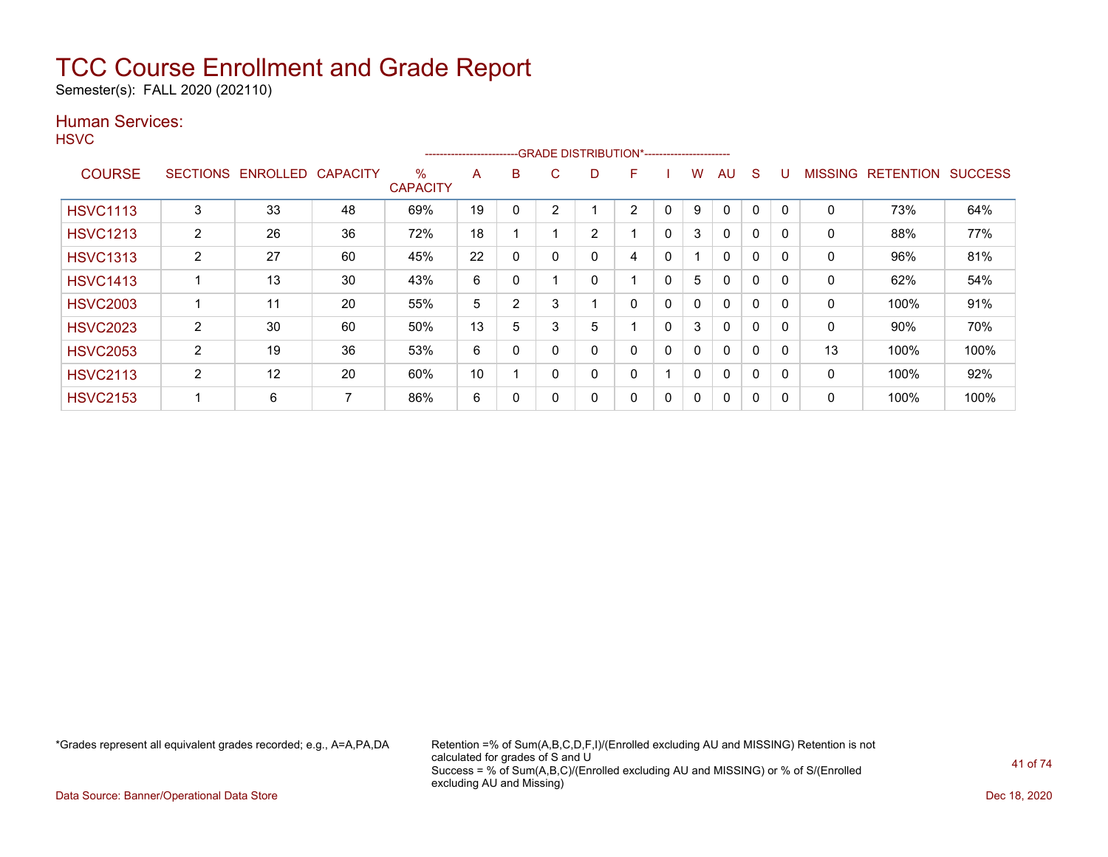Semester(s): FALL 2020 (202110)

### Human Services:

**HSVC** 

|                 |                 |                 |                 |                         | ----------------------- |   |          | --GRADE DISTRIBUTION*---------------------- |   |              |              |              |              |          |                |                  |                |
|-----------------|-----------------|-----------------|-----------------|-------------------------|-------------------------|---|----------|---------------------------------------------|---|--------------|--------------|--------------|--------------|----------|----------------|------------------|----------------|
| <b>COURSE</b>   | <b>SECTIONS</b> | <b>ENROLLED</b> | <b>CAPACITY</b> | $\%$<br><b>CAPACITY</b> | A                       | B | C        | D                                           | F |              | w            | AU           | S            |          | <b>MISSING</b> | <b>RETENTION</b> | <b>SUCCESS</b> |
| <b>HSVC1113</b> | 3               | 33              | 48              | 69%                     | 19                      | 0 | ◠        |                                             | 2 | 0            | 9            | 0            | 0            |          | 0              | 73%              | 64%            |
| <b>HSVC1213</b> | $\overline{2}$  | 26              | 36              | 72%                     | 18                      |   |          | $\overline{2}$                              |   | 0            | 3            | 0            | 0            |          | 0              | 88%              | 77%            |
| <b>HSVC1313</b> | $\overline{2}$  | 27              | 60              | 45%                     | 22                      | 0 | $\Omega$ | 0                                           | 4 | $\mathbf{0}$ |              | $\mathbf{0}$ | $\mathbf{0}$ | $\Omega$ | $\mathbf{0}$   | 96%              | 81%            |
| <b>HSVC1413</b> |                 | 13              | 30              | 43%                     | 6                       | 0 |          | 0                                           |   | $\Omega$     | 5            | 0            | 0            |          | 0              | 62%              | 54%            |
| <b>HSVC2003</b> |                 | 11              | 20              | 55%                     | 5                       | 2 | ۰.       |                                             | 0 | 0            | $\mathbf{0}$ | $\mathbf{0}$ | $\mathbf 0$  |          | 0              | 100%             | 91%            |
| <b>HSVC2023</b> | $\overline{2}$  | 30              | 60              | 50%                     | 13                      | 5 | 3        | 5                                           |   | $\Omega$     | 3            | $\mathbf{0}$ | 0            |          | 0              | 90%              | 70%            |
| <b>HSVC2053</b> | $\overline{2}$  | 19              | 36              | 53%                     | 6                       | 0 |          | 0                                           | 0 | 0            | $\mathbf{0}$ | $\mathbf{0}$ | $\mathbf{0}$ | $\Omega$ | 13             | 100%             | 100%           |
| <b>HSVC2113</b> | 2               | 12              | 20              | 60%                     | 10                      |   | $\Omega$ | 0                                           | 0 |              | $\mathbf{0}$ | $\mathbf{0}$ | $\mathbf 0$  |          | 0              | 100%             | 92%            |
| <b>HSVC2153</b> |                 | 6               | $\overline{ }$  | 86%                     | 6                       | 0 |          | 0                                           | 0 | 0            | 0            | 0            | 0            |          | 0              | 100%             | 100%           |

\*Grades represent all equivalent grades recorded; e.g., A=A,PA,DA Retention =% of Sum(A,B,C,D,F,I)/(Enrolled excluding AU and MISSING) Retention is not calculated for grades of S and U Success = % of Sum(A,B,C)/(Enrolled excluding AU and MISSING) or % of S/(Enrolled excluding AU and Missing)

Data Source: Banner/Operational Data Store Dec 18, 2020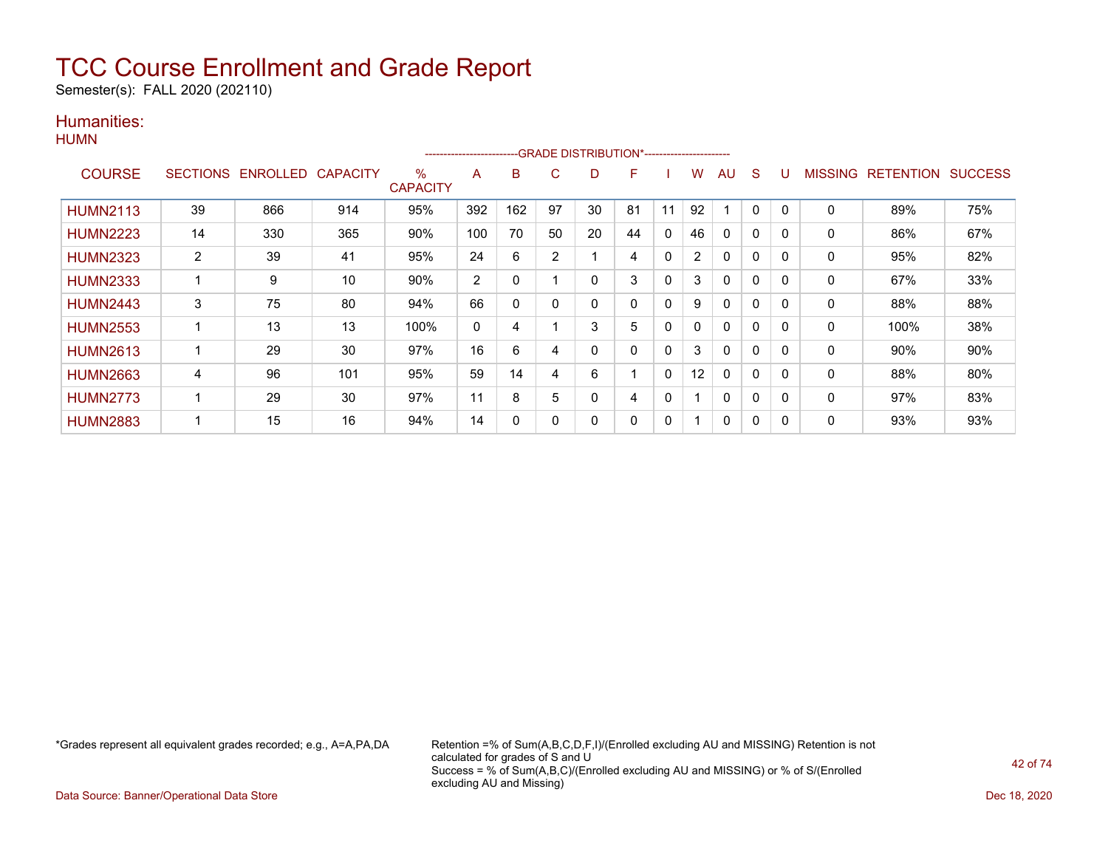Semester(s): FALL 2020 (202110)

### Humanities:

|  | M١ | м |
|--|----|---|
|--|----|---|

|                 |                 |          |                 |                         | ---------------------- |              |                | -GRADE DISTRIBUTION*----------------------- |    |             |                |              |   |          |                |                  |                |
|-----------------|-----------------|----------|-----------------|-------------------------|------------------------|--------------|----------------|---------------------------------------------|----|-------------|----------------|--------------|---|----------|----------------|------------------|----------------|
| <b>COURSE</b>   | <b>SECTIONS</b> | ENROLLED | <b>CAPACITY</b> | $\%$<br><b>CAPACITY</b> | A                      | B            | C.             | D                                           | F  |             | W              | AU           | S |          | <b>MISSING</b> | <b>RETENTION</b> | <b>SUCCESS</b> |
| <b>HUMN2113</b> | 39              | 866      | 914             | 95%                     | 392                    | 162          | 97             | 30                                          | 81 | 11          | 92             |              | 0 |          | $\mathbf 0$    | 89%              | 75%            |
| <b>HUMN2223</b> | 14              | 330      | 365             | 90%                     | 100                    | 70           | 50             | 20                                          | 44 | 0           | 46             | $\Omega$     | 0 |          | 0              | 86%              | 67%            |
| <b>HUMN2323</b> | 2               | 39       | 41              | 95%                     | 24                     | 6            | $\overline{2}$ |                                             | 4  | 0           | $\overline{2}$ | 0            | 0 | 0        | 0              | 95%              | 82%            |
| <b>HUMN2333</b> |                 | 9        | 10              | 90%                     | $\overline{2}$         | 0            |                | 0                                           | 3  | $\mathbf 0$ | 3              | $\Omega$     | 0 | $\Omega$ | 0              | 67%              | 33%            |
| <b>HUMN2443</b> | 3               | 75       | 80              | 94%                     | 66                     | $\mathbf{0}$ | 0              | 0                                           | 0  | $\mathbf 0$ | 9              | $\Omega$     | 0 | 0        | 0              | 88%              | 88%            |
| <b>HUMN2553</b> |                 | 13       | 13              | 100%                    | 0                      | 4            |                | 3                                           | 5  | $\Omega$    | 0              | $\mathbf{0}$ | 0 | $\Omega$ | 0              | 100%             | 38%            |
| <b>HUMN2613</b> |                 | 29       | 30              | 97%                     | 16                     | 6            | 4              | ი                                           | 0  | $\mathbf 0$ | 3              | $\mathbf{0}$ | 0 |          | 0              | 90%              | 90%            |
| <b>HUMN2663</b> | 4               | 96       | 101             | 95%                     | 59                     | 14           | 4              | 6                                           |    | 0           | 12             | $\mathbf{0}$ | 0 |          | 0              | 88%              | 80%            |
| <b>HUMN2773</b> |                 | 29       | 30              | 97%                     | 11                     | 8            | 5              |                                             | 4  | 0           |                | 0            | 0 | 0        | 0              | 97%              | 83%            |
| <b>HUMN2883</b> |                 | 15       | 16              | 94%                     | 14                     | 0            | 0              | 0                                           | 0  | 0           |                | 0            | 0 | $\Omega$ | 0              | 93%              | 93%            |

\*Grades represent all equivalent grades recorded; e.g., A=A,PA,DA Retention =% of Sum(A,B,C,D,F,I)/(Enrolled excluding AU and MISSING) Retention is not calculated for grades of S and U Success = % of Sum(A,B,C)/(Enrolled excluding AU and MISSING) or % of S/(Enrolled excluding AU and Missing)

Data Source: Banner/Operational Data Store Dec 18, 2020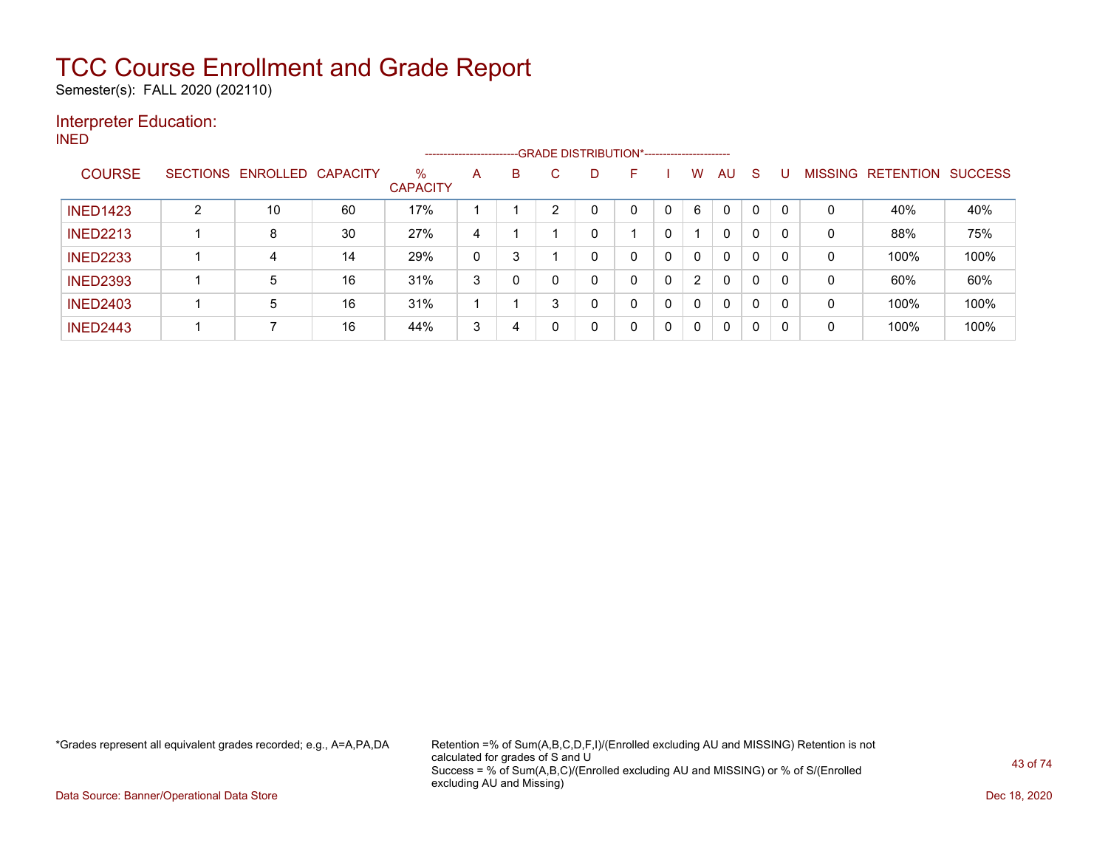Semester(s): FALL 2020 (202110)

### Interpreter Education:

INED

|                 |                 |                   |    |                         | ----------------------- |   | --GRADE DISTRIBUTION*---------------------- |   |              |   |                |                |              |             |   |                   |                |
|-----------------|-----------------|-------------------|----|-------------------------|-------------------------|---|---------------------------------------------|---|--------------|---|----------------|----------------|--------------|-------------|---|-------------------|----------------|
| <b>COURSE</b>   | <b>SECTIONS</b> | ENROLLED CAPACITY |    | $\%$<br><b>CAPACITY</b> | A                       | B | С                                           | D | F            |   | W              | AU.            | <sub>S</sub> |             |   | MISSING RETENTION | <b>SUCCESS</b> |
| <b>INED1423</b> | ົ               | 10                | 60 | 17%                     |                         |   | ົ                                           | 0 | 0            |   | 6              | 0              | 0            | $\mathbf 0$ | 0 | 40%               | 40%            |
| <b>INED2213</b> |                 | 8                 | 30 | 27%                     | 4                       |   |                                             | 0 |              | 0 |                | 0              | $\Omega$     |             | 0 | 88%               | 75%            |
| <b>INED2233</b> |                 | 4                 | 14 | 29%                     | 0                       |   |                                             | 0 | $\mathbf{0}$ | 0 | 0              | $\mathbf{0}$   | 0            |             | 0 | 100%              | 100%           |
| <b>INED2393</b> |                 | 5                 | 16 | 31%                     | 3                       |   |                                             | 0 | $\Omega$     | 0 | $\overline{2}$ | $\Omega$       | 0            | 0           | 0 | 60%               | 60%            |
| <b>INED2403</b> |                 | 5                 | 16 | 31%                     |                         |   | 3                                           | 0 | $\Omega$     | 0 | 0              | 0              | 0            |             | 0 | 100%              | 100%           |
| <b>INED2443</b> |                 |                   | 16 | 44%                     | 3                       |   |                                             | 0 | 0            | 0 | 0              | $\overline{0}$ | 0            |             | 0 | 100%              | 100%           |

\*Grades represent all equivalent grades recorded; e.g., A=A,PA,DA Retention =% of Sum(A,B,C,D,F,I)/(Enrolled excluding AU and MISSING) Retention is not calculated for grades of S and U Success = % of Sum(A,B,C)/(Enrolled excluding AU and MISSING) or % of S/(Enrolled excluding AU and Missing)

Data Source: Banner/Operational Data Store Dec 18, 2020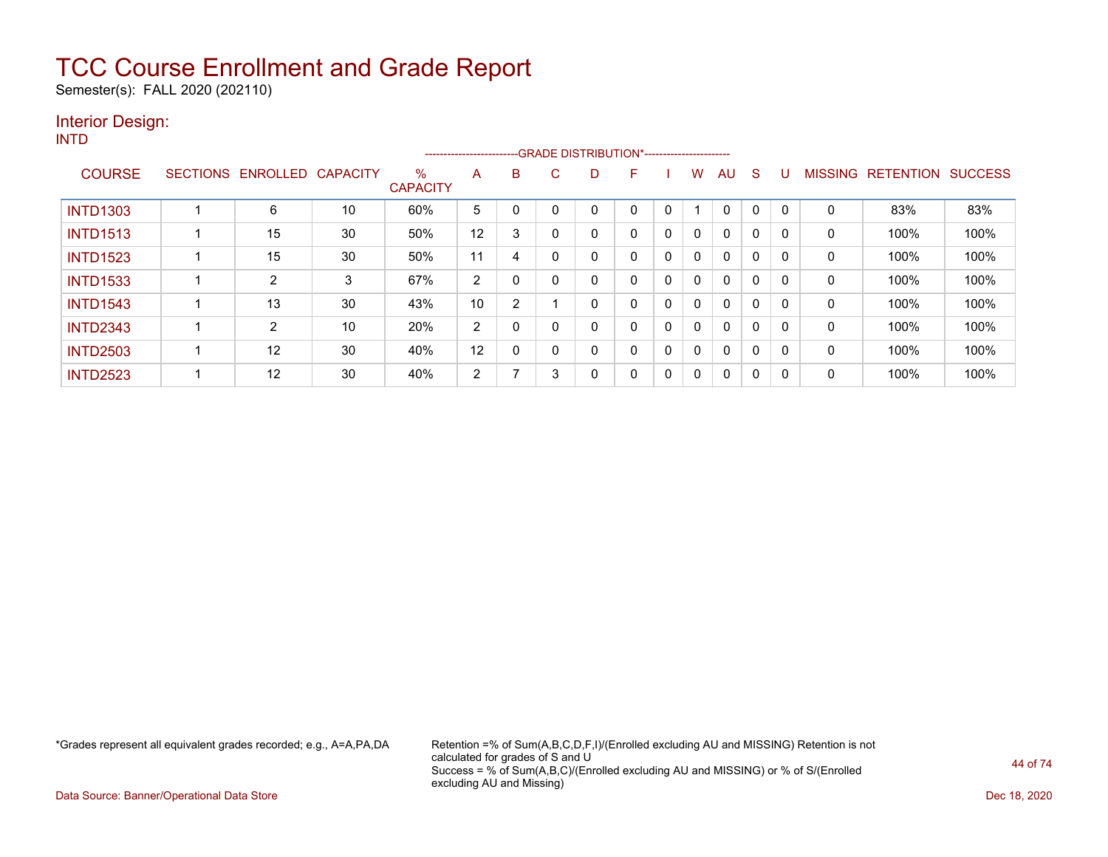Semester(s): FALL 2020 (202110)

#### Interior Design: INTD

--GRADE DISTRIBUTION\*------------------------COURSE SECTIONS ENROLLED CAPACITY % **CAPACITY** A B C D F I W AU S U MISSING RETENTION SUCCESS INTD1303 | 1 | 6 | 10 | 60% | 5 | 0 | 0 | 0 | 0 | 1 | 0 | 0 | 0 | 0 | 83% | 83% INTD1513 | 1 | 15 | 30 | 50% |12 | 3 | 0 | 0 | 0 | 0 | 0 | 0 | 0 | 100% | 100% INTD1523 | 1 | 15 | 30 | 50% |11 | 4 | 0 | 0 | 0 | 0 | 0 | 0 | 0 | 0 | 100% | 100% INTD1533 | 1 | 2 | 3 | 67% |2 | 0 | 0 | 0 | 0 | 0 | 0 | 0 | 0 | 100% | 100% INTD1543 | 1 | 13 | 30 | 43% |10 | 2 | 1 | 0 | 0 | 0 | 0 | 0 | 0 | 0 | 100% | 100% INTD2343 1 2 10 20% 2 0 0 0 0 0 0 0 0 0 0 100% 100% INTD2503 1 12 30 40% 12 0 0 0 0 0 0 0 0 0 0 100% 100% INTD2523 | 1 | 12 | 30 | 40% | 2 | 7 | 3 | 0 | 0 | 0 | 0 | 0 | 0 | 0 | 100% | 100%

\*Grades represent all equivalent grades recorded; e.g., A=A,PA,DA Retention =% of Sum(A,B,C,D,F,I)/(Enrolled excluding AU and MISSING) Retention is not calculated for grades of S and U Success = % of Sum(A,B,C)/(Enrolled excluding AU and MISSING) or % of S/(Enrolled excluding AU and Missing)

Data Source: Banner/Operational Data Store **December 2020** Control of the Unit of the Unit of the Unit of the Unit of the Unit of the Unit of the Unit of the Unit of the Unit of the Unit of the Unit of the Unit of the Unit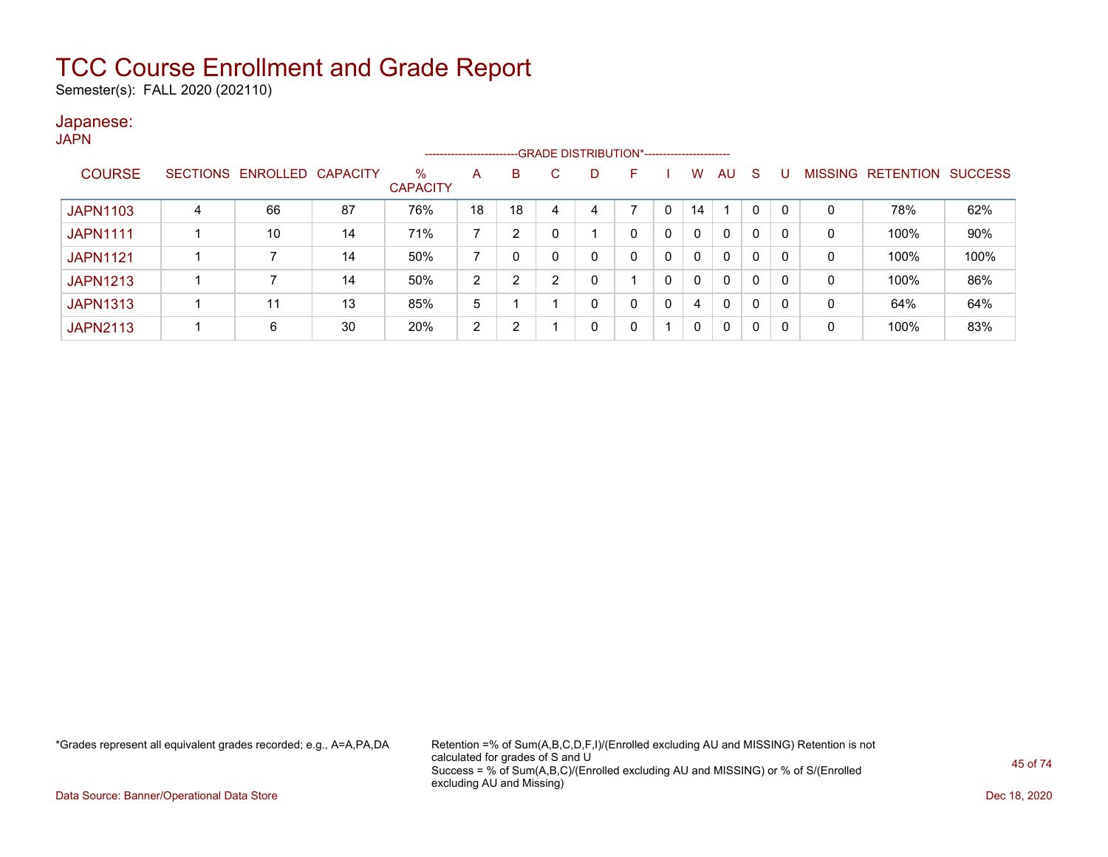Semester(s): FALL 2020 (202110)

#### Japanese:

|                 |   |                   |                 |                         | ---------------------- |    |    |    | --GRADE DISTRIBUTION*----------------------- |   |              |              |              |   |   |                   |                |
|-----------------|---|-------------------|-----------------|-------------------------|------------------------|----|----|----|----------------------------------------------|---|--------------|--------------|--------------|---|---|-------------------|----------------|
| <b>COURSE</b>   |   | SECTIONS ENROLLED | <b>CAPACITY</b> | $\%$<br><b>CAPACITY</b> | A                      | B  | C. | D. | F                                            |   | W            | AU           | <sub>S</sub> |   |   | MISSING RETENTION | <b>SUCCESS</b> |
| <b>JAPN1103</b> | 4 | 66                | 87              | 76%                     | 18                     | 18 | 4  |    |                                              |   | 14           |              | 0            |   | 0 | 78%               | 62%            |
| <b>JAPN1111</b> |   | 10                | 14              | 71%                     |                        | 2  |    |    | 0                                            | 0 | 0            | 0            | 0            |   | 0 | 100%              | 90%            |
| <b>JAPN1121</b> |   |                   | 14              | 50%                     |                        |    |    |    | 0                                            | 0 | $\Omega$     | 0            | 0            | 0 | 0 | 100%              | 100%           |
| <b>JAPN1213</b> |   |                   | 14              | 50%                     | 2                      | 2  | ◠  |    |                                              | 0 | $\mathbf{0}$ | $\mathbf{0}$ | 0            |   | 0 | 100%              | 86%            |
| <b>JAPN1313</b> |   | 11                | 13              | 85%                     | 5                      |    |    |    | 0                                            | 0 | 4            | $\mathbf{0}$ | 0            |   | 0 | 64%               | 64%            |
| <b>JAPN2113</b> |   | 6                 | 30              | 20%                     | 2                      | 2  |    |    | 0                                            |   | 0            | 0            | 0            |   | 0 | 100%              | 83%            |

\*Grades represent all equivalent grades recorded; e.g., A=A,PA,DA Retention =% of Sum(A,B,C,D,F,I)/(Enrolled excluding AU and MISSING) Retention is not calculated for grades of S and U Success = % of Sum(A,B,C)/(Enrolled excluding AU and MISSING) or % of S/(Enrolled excluding AU and Missing)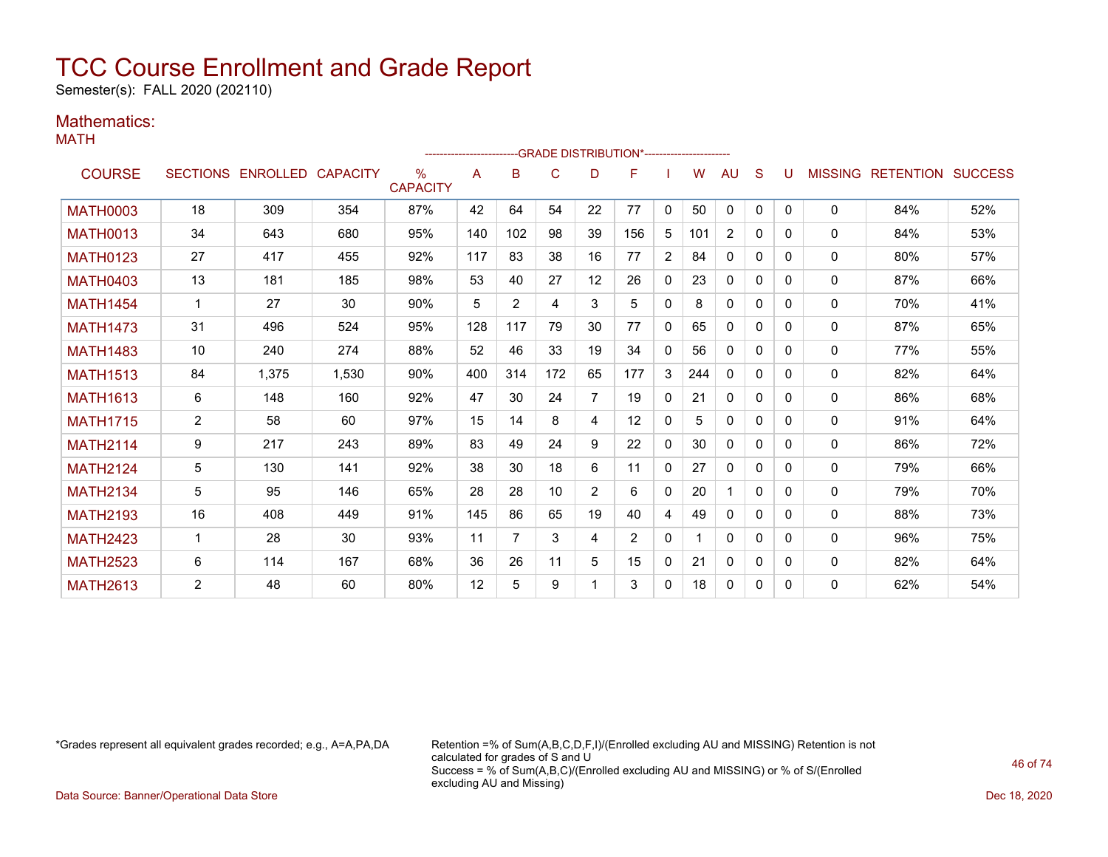Semester(s): FALL 2020 (202110)

### Mathematics:

MATH

|                 |                |                            |       |                      |     |                |     |    | ------------------------GRADE                DISTRIBUTION*---------------------- |                |     |              |              |          |              |                                  |     |
|-----------------|----------------|----------------------------|-------|----------------------|-----|----------------|-----|----|----------------------------------------------------------------------------------|----------------|-----|--------------|--------------|----------|--------------|----------------------------------|-----|
| <b>COURSE</b>   |                | SECTIONS ENROLLED CAPACITY |       | ℅<br><b>CAPACITY</b> | A   | B              | C   | D  | F                                                                                |                | W   | AU           | S            | U        |              | <b>MISSING RETENTION SUCCESS</b> |     |
| <b>MATH0003</b> | 18             | 309                        | 354   | 87%                  | 42  | 64             | 54  | 22 | 77                                                                               | $\mathbf{0}$   | 50  | $\Omega$     | $\Omega$     | $\Omega$ | 0            | 84%                              | 52% |
| <b>MATH0013</b> | 34             | 643                        | 680   | 95%                  | 140 | 102            | 98  | 39 | 156                                                                              | 5              | 101 | 2            | 0            | 0        | $\mathbf{0}$ | 84%                              | 53% |
| <b>MATH0123</b> | 27             | 417                        | 455   | 92%                  | 117 | 83             | 38  | 16 | 77                                                                               | $\overline{2}$ | 84  | $\mathbf{0}$ | $\Omega$     | 0        | 0            | 80%                              | 57% |
| <b>MATH0403</b> | 13             | 181                        | 185   | 98%                  | 53  | 40             | 27  | 12 | 26                                                                               | 0              | 23  | $\mathbf{0}$ | $\mathbf{0}$ | 0        | 0            | 87%                              | 66% |
| <b>MATH1454</b> | $\mathbf 1$    | 27                         | 30    | 90%                  | 5   | $\overline{2}$ | 4   | 3  | 5                                                                                | 0              | 8   | $\mathbf{0}$ | 0            | 0        | 0            | 70%                              | 41% |
| <b>MATH1473</b> | 31             | 496                        | 524   | 95%                  | 128 | 117            | 79  | 30 | 77                                                                               | $\mathbf{0}$   | 65  | $\mathbf{0}$ | 0            | 0        | 0            | 87%                              | 65% |
| <b>MATH1483</b> | 10             | 240                        | 274   | 88%                  | 52  | 46             | 33  | 19 | 34                                                                               | 0              | 56  | $\mathbf{0}$ | 0            | 0        | 0            | 77%                              | 55% |
| <b>MATH1513</b> | 84             | 1.375                      | 1,530 | 90%                  | 400 | 314            | 172 | 65 | 177                                                                              | 3              | 244 | 0            | 0            | 0        | 0            | 82%                              | 64% |
| <b>MATH1613</b> | 6              | 148                        | 160   | 92%                  | 47  | 30             | 24  | 7  | 19                                                                               | $\mathbf{0}$   | 21  | $\mathbf{0}$ | $\Omega$     | 0        | 0            | 86%                              | 68% |
| <b>MATH1715</b> | $\overline{2}$ | 58                         | 60    | 97%                  | 15  | 14             | 8   | 4  | 12                                                                               | 0              | 5   | $\mathbf{0}$ | $\Omega$     | 0        | 0            | 91%                              | 64% |
| <b>MATH2114</b> | 9              | 217                        | 243   | 89%                  | 83  | 49             | 24  | 9  | 22                                                                               | 0              | 30  | $\mathbf{0}$ | 0            | 0        | 0            | 86%                              | 72% |
| <b>MATH2124</b> | 5              | 130                        | 141   | 92%                  | 38  | 30             | 18  | 6  | 11                                                                               | 0              | 27  | $\mathbf{0}$ | 0            | 0        | 0            | 79%                              | 66% |
| <b>MATH2134</b> | 5              | 95                         | 146   | 65%                  | 28  | 28             | 10  | 2  | 6                                                                                | 0              | 20  |              | $\Omega$     | $\Omega$ | $\mathbf{0}$ | 79%                              | 70% |
| <b>MATH2193</b> | 16             | 408                        | 449   | 91%                  | 145 | 86             | 65  | 19 | 40                                                                               | 4              | 49  | $\mathbf{0}$ | $\Omega$     | 0        | $\mathbf{0}$ | 88%                              | 73% |
| <b>MATH2423</b> | 1              | 28                         | 30    | 93%                  | 11  | 7              | 3   | 4  | 2                                                                                | 0              |     | $\mathbf{0}$ | 0            | 0        | $\mathbf{0}$ | 96%                              | 75% |
| <b>MATH2523</b> | 6              | 114                        | 167   | 68%                  | 36  | 26             | 11  | 5  | 15                                                                               | 0              | 21  | $\mathbf{0}$ | $\mathbf{0}$ | 0        | 0            | 82%                              | 64% |
| <b>MATH2613</b> | 2              | 48                         | 60    | 80%                  | 12  | 5              | 9   |    | 3                                                                                | 0              | 18  | 0            | 0            | 0        | 0            | 62%                              | 54% |

\*Grades represent all equivalent grades recorded; e.g., A=A,PA,DA Retention =% of Sum(A,B,C,D,F,I)/(Enrolled excluding AU and MISSING) Retention is not calculated for grades of S and U Success = % of Sum(A,B,C)/(Enrolled excluding AU and MISSING) or % of S/(Enrolled excluding AU and Missing)

Data Source: Banner/Operational Data Store Dec 18, 2020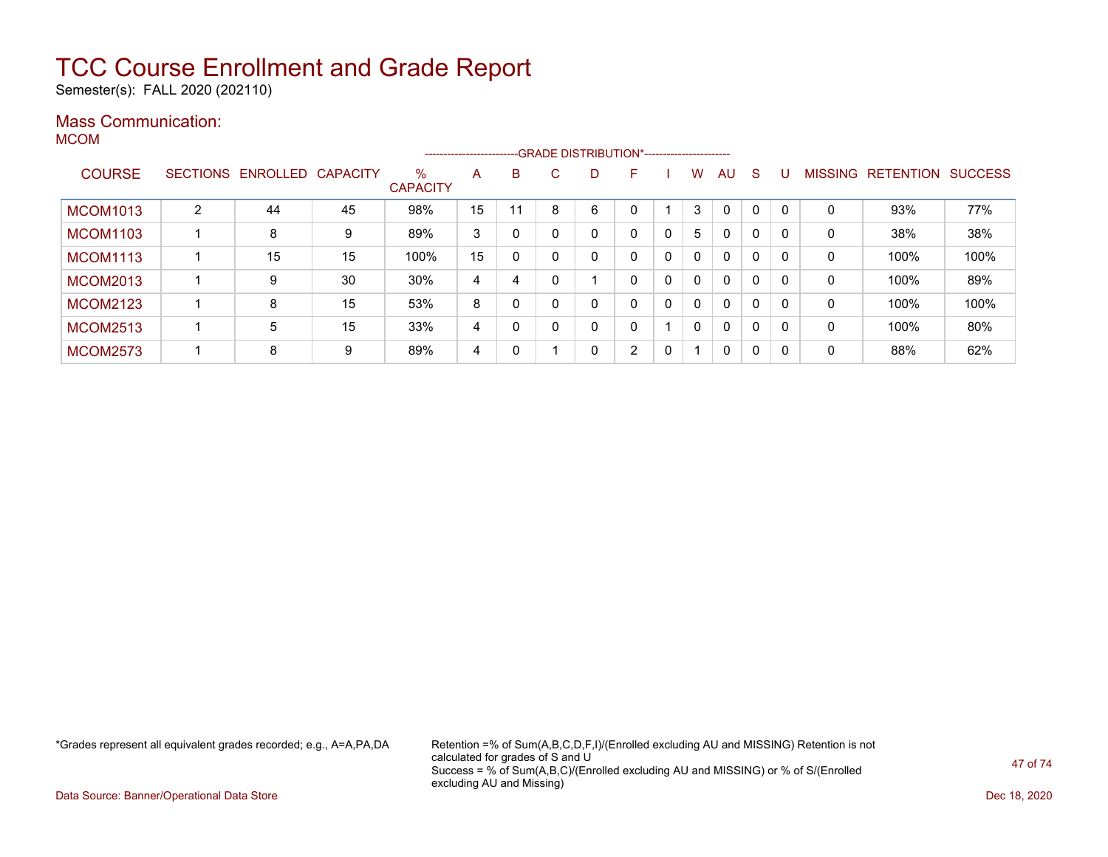Semester(s): FALL 2020 (202110)

### Mass Communication:

MCOM

|                 |   |                            |    |                         |    |    |    | -------------------------GRADE DISTRIBUTION*---------------------- |                |   |              |              |              |          |                |                  |                |
|-----------------|---|----------------------------|----|-------------------------|----|----|----|--------------------------------------------------------------------|----------------|---|--------------|--------------|--------------|----------|----------------|------------------|----------------|
| <b>COURSE</b>   |   | SECTIONS ENROLLED CAPACITY |    | $\%$<br><b>CAPACITY</b> | A  | B  | C. | D.                                                                 | F              |   | w            | AU           | <sub>S</sub> |          | <b>MISSING</b> | <b>RETENTION</b> | <b>SUCCESS</b> |
| <b>MCOM1013</b> | 2 | 44                         | 45 | 98%                     | 15 | 11 | 8  | 6                                                                  |                |   | 3            | $\Omega$     | $\Omega$     |          | 0              | 93%              | 77%            |
| <b>MCOM1103</b> |   | 8                          | 9  | 89%                     | 3  | 0  |    |                                                                    | 0              | 0 | 5            | $\mathbf{0}$ | $\mathbf{0}$ |          | 0              | 38%              | 38%            |
| <b>MCOM1113</b> |   | 15                         | 15 | 100%                    | 15 | 0  |    | 0                                                                  | 0              | 0 | $\mathbf{0}$ | $\mathbf{0}$ | $\mathbf{0}$ |          | 0              | 100%             | 100%           |
| <b>MCOM2013</b> |   | 9                          | 30 | 30%                     | 4  | 4  |    |                                                                    | 0              | 0 | $\mathbf{0}$ | $\mathbf{0}$ | $\mathbf{0}$ |          | 0              | 100%             | 89%            |
| <b>MCOM2123</b> |   | 8                          | 15 | 53%                     | 8  | 0  |    | 0                                                                  | 0              | 0 | $\Omega$     | $\mathbf{0}$ | 0            |          | 0              | 100%             | 100%           |
| <b>MCOM2513</b> |   | 5                          | 15 | 33%                     | 4  | 0  |    | 0                                                                  | 0              |   | $\Omega$     | $\mathbf{0}$ | 0            | 0        | 0              | 100%             | 80%            |
| <b>MCOM2573</b> |   | 8                          | 9  | 89%                     | 4  | 0  |    | 0                                                                  | $\overline{2}$ | 0 |              | 0            | 0            | $\Omega$ | 0              | 88%              | 62%            |

\*Grades represent all equivalent grades recorded; e.g., A=A,PA,DA Retention =% of Sum(A,B,C,D,F,I)/(Enrolled excluding AU and MISSING) Retention is not calculated for grades of S and U Success = % of Sum(A,B,C)/(Enrolled excluding AU and MISSING) or % of S/(Enrolled excluding AU and Missing)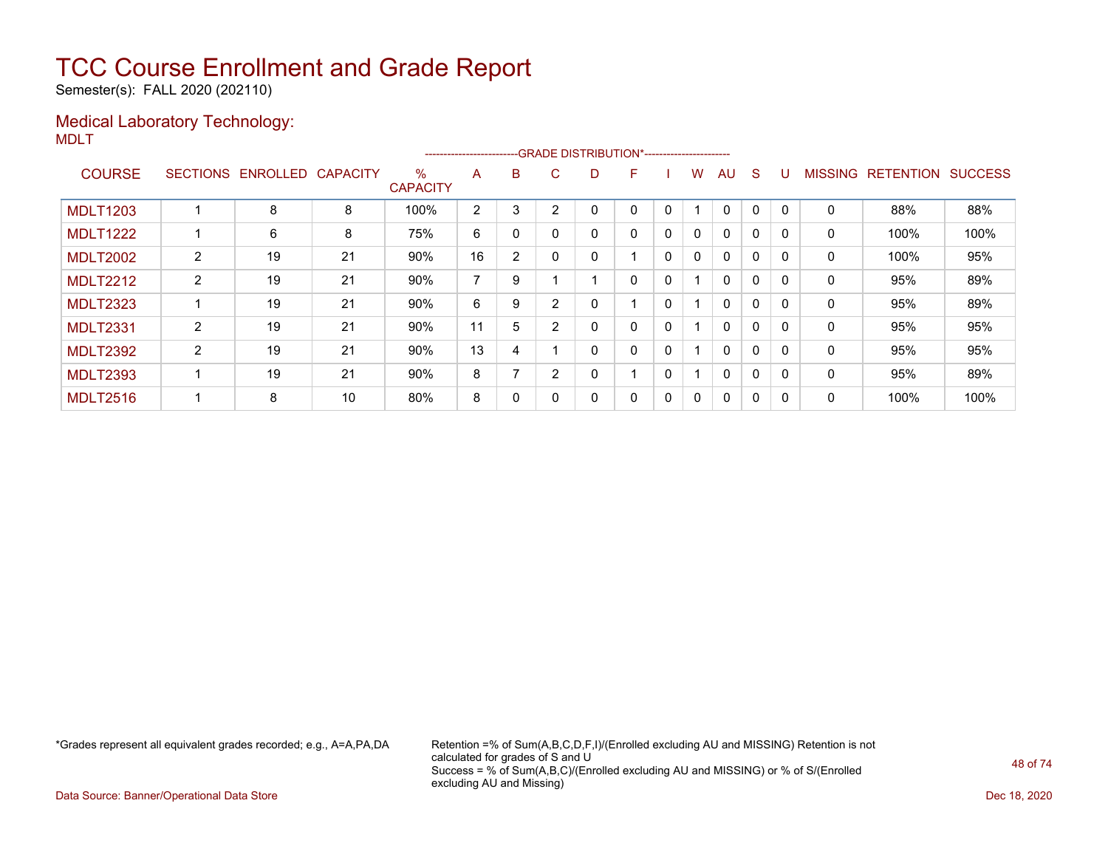Semester(s): FALL 2020 (202110)

#### Medical Laboratory Technology: MDLT

|                 |                 |          |                 |                      | -----------------------  |                |                |    | --GRADE DISTRIBUTION*----------------------- |   |              |              |              |             |                |                  |                |
|-----------------|-----------------|----------|-----------------|----------------------|--------------------------|----------------|----------------|----|----------------------------------------------|---|--------------|--------------|--------------|-------------|----------------|------------------|----------------|
| <b>COURSE</b>   | <b>SECTIONS</b> | ENROLLED | <b>CAPACITY</b> | %<br><b>CAPACITY</b> | A                        | B              | C.             | D. | F                                            |   | w            | AU           | S            |             | <b>MISSING</b> | <b>RETENTION</b> | <b>SUCCESS</b> |
| <b>MDLT1203</b> |                 | 8        | 8               | 100%                 | $\overline{2}$           | 3              | 2              |    | 0                                            | 0 |              | $\mathbf{0}$ | 0            | $\mathbf 0$ | 0              | 88%              | 88%            |
| <b>MDLT1222</b> |                 | 6        | 8               | 75%                  | 6                        | 0              |                |    | 0                                            | 0 | 0            | $\mathbf{0}$ | $\mathbf{0}$ |             | 0              | 100%             | 100%           |
| <b>MDLT2002</b> | $\overline{2}$  | 19       | 21              | 90%                  | 16                       | $\overline{2}$ | $\Omega$       | 0  |                                              | 0 | $\mathbf{0}$ | $\mathbf{0}$ | 0            | $\Omega$    | $\mathbf 0$    | 100%             | 95%            |
| <b>MDLT2212</b> | $\overline{2}$  | 19       | 21              | 90%                  | $\overline{\phantom{a}}$ | 9              |                |    | 0                                            | 0 |              | $\mathbf{0}$ | 0            | $\Omega$    | 0              | 95%              | 89%            |
| <b>MDLT2323</b> |                 | 19       | 21              | 90%                  | 6                        | 9              | $\overline{2}$ |    |                                              | 0 |              | $\mathbf{0}$ | 0            | $\Omega$    | 0              | 95%              | 89%            |
| <b>MDLT2331</b> | 2               | 19       | 21              | 90%                  | 11                       | 5              | C              |    | 0                                            | 0 |              | $\mathbf{0}$ | 0            |             | 0              | 95%              | 95%            |
| <b>MDLT2392</b> | $\overline{2}$  | 19       | 21              | 90%                  | 13                       | 4              |                | Ω  | 0                                            | 0 |              | $\mathbf{0}$ | 0            | $\Omega$    | 0              | 95%              | 95%            |
| <b>MDLT2393</b> |                 | 19       | 21              | 90%                  | 8                        |                | 2              |    |                                              | 0 |              | $\mathbf{0}$ | 0            | $\Omega$    | 0              | 95%              | 89%            |
| <b>MDLT2516</b> |                 | 8        | 10              | 80%                  | 8                        | 0              |                |    | 0                                            | 0 | 0            | $\mathbf{0}$ | 0            |             | 0              | 100%             | 100%           |

\*Grades represent all equivalent grades recorded; e.g., A=A,PA,DA Retention =% of Sum(A,B,C,D,F,I)/(Enrolled excluding AU and MISSING) Retention is not calculated for grades of S and U Success = % of Sum(A,B,C)/(Enrolled excluding AU and MISSING) or % of S/(Enrolled excluding AU and Missing)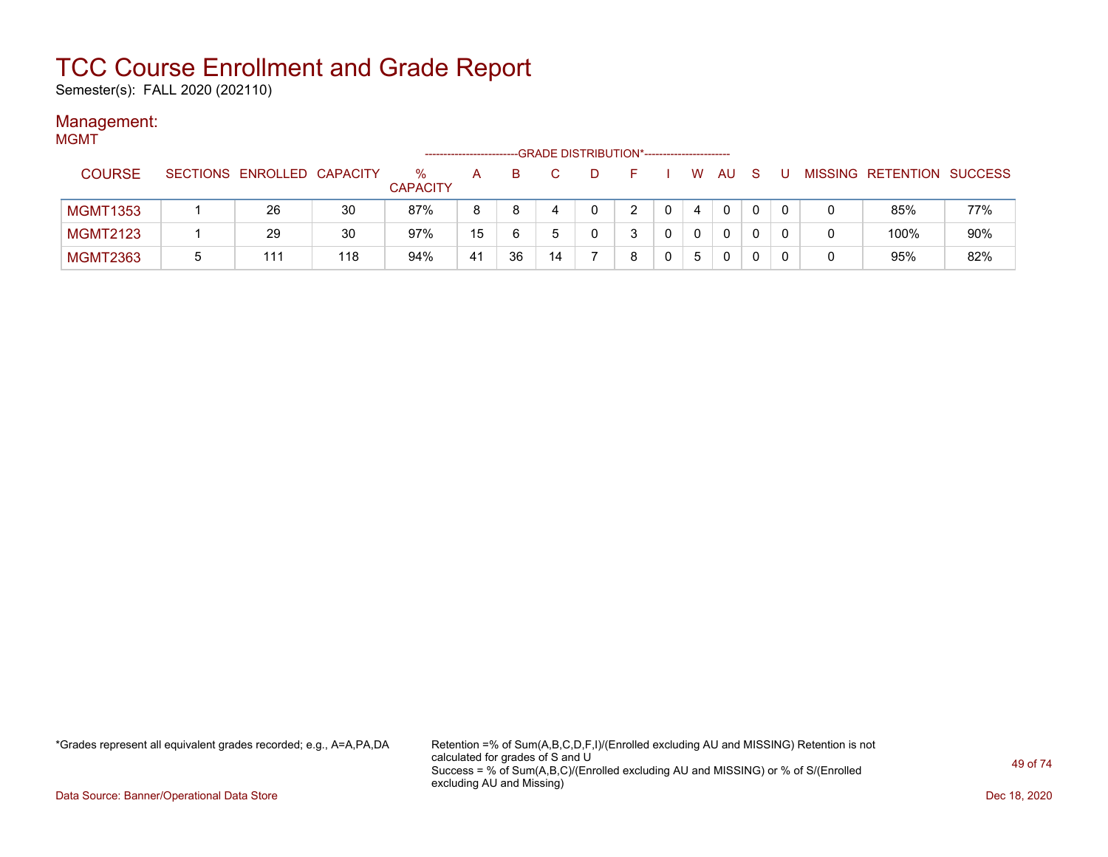Semester(s): FALL 2020 (202110)

#### Management: MGMT

| .               |   |                            |     |                         | --------------------- |    | -GRADE DISTRIBUTION*----------------------- |   |              |    |             |              |     |                           |     |
|-----------------|---|----------------------------|-----|-------------------------|-----------------------|----|---------------------------------------------|---|--------------|----|-------------|--------------|-----|---------------------------|-----|
| <b>COURSE</b>   |   | SECTIONS ENROLLED CAPACITY |     | $\%$<br><b>CAPACITY</b> | A                     | в. |                                             |   |              | W. | AU          | <sub>S</sub> | . U | MISSING RETENTION SUCCESS |     |
| <b>MGMT1353</b> |   | 26                         | 30  | 87%                     | 8                     | 8  | 4                                           | 2 | $\mathbf{0}$ | 4  | $\mathbf 0$ | 0            |     | 85%                       | 77% |
| <b>MGMT2123</b> |   | 29                         | 30  | 97%                     | 15                    | 6  |                                             | 3 |              | 0  | $\Omega$    | 0            |     | 100%                      | 90% |
| <b>MGMT2363</b> | 5 | 111                        | 118 | 94%                     | 41                    | 36 | 14                                          | 8 |              | 5  | 0           |              |     | 95%                       | 82% |

\*Grades represent all equivalent grades recorded; e.g., A=A,PA,DA Retention =% of Sum(A,B,C,D,F,I)/(Enrolled excluding AU and MISSING) Retention is not calculated for grades of S and U Success = % of Sum(A,B,C)/(Enrolled excluding AU and MISSING) or % of S/(Enrolled excluding AU and Missing)

Data Source: Banner/Operational Data Store Dec 18, 2020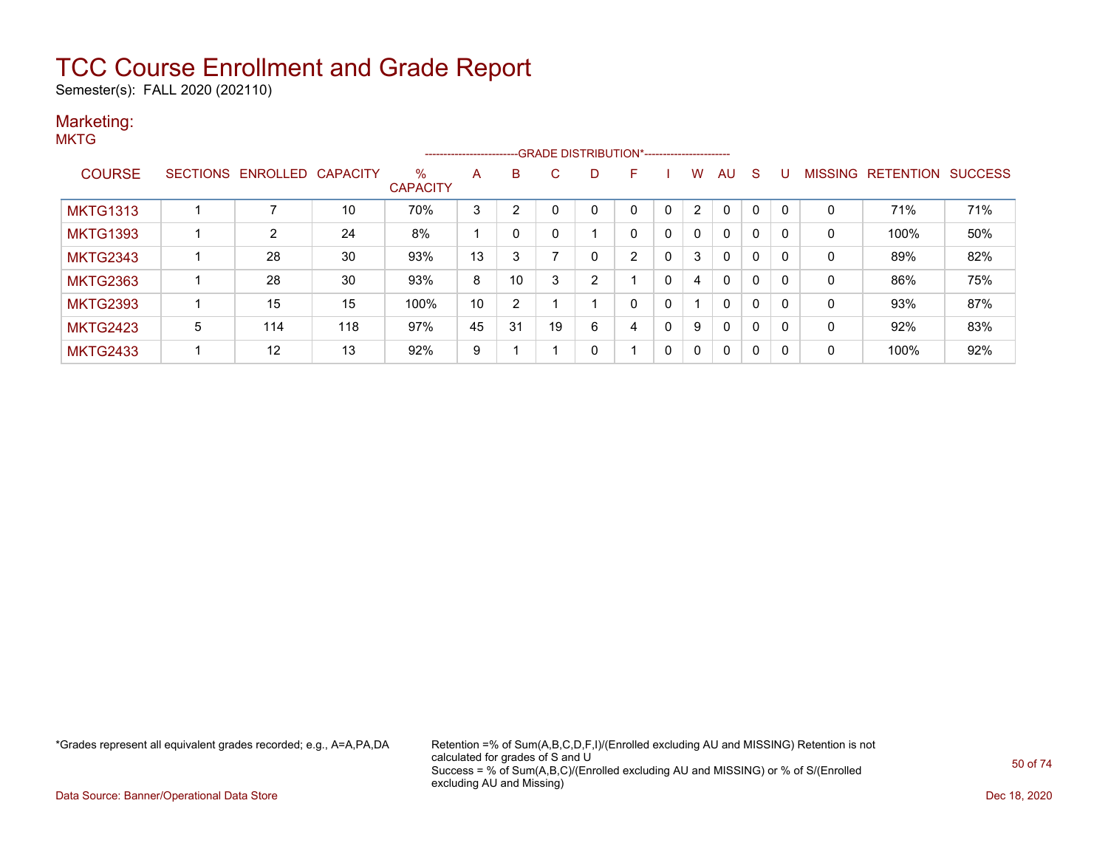Semester(s): FALL 2020 (202110)

#### Marketing: **MKTG**

|                 |                 |                |                 |                         | ----------------------- |                |    |                |   |   |              |          |   |              |                |                  |                |
|-----------------|-----------------|----------------|-----------------|-------------------------|-------------------------|----------------|----|----------------|---|---|--------------|----------|---|--------------|----------------|------------------|----------------|
| <b>COURSE</b>   | <b>SECTIONS</b> | ENROLLED       | <b>CAPACITY</b> | $\%$<br><b>CAPACITY</b> | A                       | B              | C. | D              | F |   | W            | AU       | S |              | <b>MISSING</b> | <b>RETENTION</b> | <b>SUCCESS</b> |
| <b>MKTG1313</b> |                 |                | 10              | 70%                     | 3                       | っ              |    | 0              | 0 | 0 | 2            | 0        |   | $\mathbf{0}$ | 0              | 71%              | 71%            |
| <b>MKTG1393</b> |                 | $\overline{2}$ | 24              | 8%                      |                         |                |    |                | 0 | 0 | 0            | $\Omega$ | 0 | $\mathbf{0}$ | 0              | 100%             | 50%            |
| <b>MKTG2343</b> |                 | 28             | 30              | 93%                     | 13                      | 3              |    | 0              | 2 | 0 | 3            | $\Omega$ | 0 | $\Omega$     | 0              | 89%              | 82%            |
| <b>MKTG2363</b> |                 | 28             | 30              | 93%                     | 8                       | 10             | 3  | $\overline{2}$ |   | 0 | 4            | 0        | 0 | $\mathbf{0}$ | 0              | 86%              | 75%            |
| <b>MKTG2393</b> |                 | 15             | 15              | 100%                    | 10                      | $\overline{2}$ |    |                | 0 | 0 |              | $\Omega$ | 0 | $\mathbf{0}$ | 0              | 93%              | 87%            |
| <b>MKTG2423</b> | 5               | 114            | 118             | 97%                     | 45                      | 31             | 19 | 6              | 4 | 0 | 9            | $\Omega$ | 0 | $\mathbf{0}$ | 0              | 92%              | 83%            |
| <b>MKTG2433</b> |                 | 12             | 13              | 92%                     | 9                       |                |    | 0              |   | 0 | $\mathbf{0}$ | $\Omega$ | 0 | 0            | 0              | 100%             | 92%            |

\*Grades represent all equivalent grades recorded; e.g., A=A,PA,DA Retention =% of Sum(A,B,C,D,F,I)/(Enrolled excluding AU and MISSING) Retention is not calculated for grades of S and U Success = % of Sum(A,B,C)/(Enrolled excluding AU and MISSING) or % of S/(Enrolled excluding AU and Missing)

Data Source: Banner/Operational Data Store Dec 18, 2020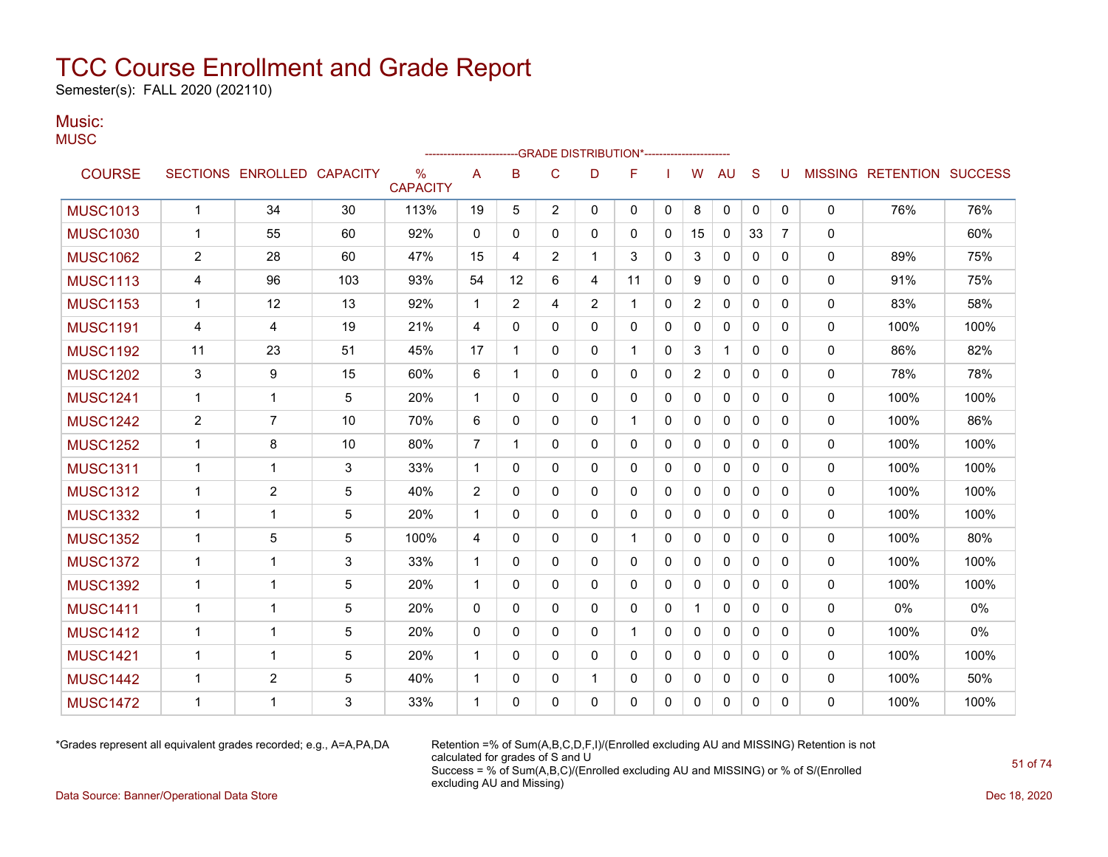Semester(s): FALL 2020 (202110)

#### Music: **MUSC**

|                 |                |                            |     |                                  |                | ------------------------GRADE                DISTRIBUTION*---------------------- |              |                |              |              |              |              |              |                |              |                                  |      |
|-----------------|----------------|----------------------------|-----|----------------------------------|----------------|----------------------------------------------------------------------------------|--------------|----------------|--------------|--------------|--------------|--------------|--------------|----------------|--------------|----------------------------------|------|
| <b>COURSE</b>   |                | SECTIONS ENROLLED CAPACITY |     | $\frac{0}{0}$<br><b>CAPACITY</b> | Α              | B                                                                                | C            | D              | F            |              | W            | AU           | S            | U              |              | <b>MISSING RETENTION SUCCESS</b> |      |
| <b>MUSC1013</b> | $\mathbf{1}$   | 34                         | 30  | 113%                             | 19             | 5                                                                                | 2            | $\mathbf{0}$   | 0            | $\mathbf{0}$ | 8            | 0            | 0            | $\mathbf{0}$   | 0            | 76%                              | 76%  |
| <b>MUSC1030</b> | 1              | 55                         | 60  | 92%                              | 0              | 0                                                                                | 0            | 0              | 0            | 0            | 15           | $\mathbf{0}$ | 33           | $\overline{7}$ | 0            |                                  | 60%  |
| <b>MUSC1062</b> | $\overline{c}$ | 28                         | 60  | 47%                              | 15             | 4                                                                                | 2            | 1              | 3            | 0            | 3            | 0            | 0            | 0              | 0            | 89%                              | 75%  |
| <b>MUSC1113</b> | 4              | 96                         | 103 | 93%                              | 54             | 12                                                                               | 6            | 4              | 11           | 0            | 9            | 0            | $\mathbf{0}$ | 0              | 0            | 91%                              | 75%  |
| <b>MUSC1153</b> | $\mathbf 1$    | 12                         | 13  | 92%                              | $\mathbf{1}$   | 2                                                                                | 4            | $\overline{2}$ | 1            | 0            | 2            | 0            | 0            | 0              | 0            | 83%                              | 58%  |
| <b>MUSC1191</b> | 4              | 4                          | 19  | 21%                              | 4              | 0                                                                                | $\mathbf{0}$ | $\mathbf{0}$   | $\mathbf{0}$ | 0            | 0            | $\mathbf{0}$ | $\mathbf{0}$ | $\mathbf{0}$   | $\mathbf{0}$ | 100%                             | 100% |
| <b>MUSC1192</b> | 11             | 23                         | 51  | 45%                              | 17             | 1                                                                                | $\Omega$     | $\mathbf{0}$   | $\mathbf 1$  | 0            | 3            | $\mathbf{1}$ | $\Omega$     | 0              | 0            | 86%                              | 82%  |
| <b>MUSC1202</b> | 3              | 9                          | 15  | 60%                              | 6              | 1                                                                                | $\mathbf{0}$ | $\mathbf{0}$   | $\Omega$     | 0            | 2            | $\Omega$     | $\mathbf{0}$ | 0              | 0            | 78%                              | 78%  |
| <b>MUSC1241</b> | $\mathbf{1}$   | $\mathbf 1$                | 5   | 20%                              | $\mathbf{1}$   | 0                                                                                | $\mathbf{0}$ | $\mathbf{0}$   | $\mathbf{0}$ | 0            | $\mathbf{0}$ | $\Omega$     | $\mathbf{0}$ | $\Omega$       | 0            | 100%                             | 100% |
| <b>MUSC1242</b> | $\overline{c}$ | $\overline{7}$             | 10  | 70%                              | 6              | 0                                                                                | $\mathbf{0}$ | $\mathbf{0}$   | 1            | 0            | 0            | $\mathbf{0}$ | $\mathbf{0}$ | $\Omega$       | 0            | 100%                             | 86%  |
| <b>MUSC1252</b> | 1              | 8                          | 10  | 80%                              | $\overline{7}$ | 1                                                                                | 0            | 0              | 0            | 0            | 0            | 0            | 0            | 0              | 0            | 100%                             | 100% |
| <b>MUSC1311</b> | $\mathbf{1}$   | 1                          | 3   | 33%                              | $\mathbf{1}$   | 0                                                                                | $\mathbf{0}$ | $\mathbf{0}$   | 0            | 0            | 0            | 0            | $\mathbf{0}$ | 0              | 0            | 100%                             | 100% |
| <b>MUSC1312</b> | 1              | 2                          | 5   | 40%                              | 2              | 0                                                                                | 0            | 0              | 0            | 0            | 0            | 0            | 0            | 0              | 0            | 100%                             | 100% |
| <b>MUSC1332</b> | $\mathbf{1}$   | $\mathbf{1}$               | 5   | 20%                              | $\mathbf 1$    | 0                                                                                | 0            | 0              | 0            | 0            | 0            | $\mathbf{0}$ | $\mathbf{0}$ | 0              | 0            | 100%                             | 100% |
| <b>MUSC1352</b> | $\mathbf{1}$   | 5                          | 5   | 100%                             | 4              | 0                                                                                | $\Omega$     | $\Omega$       | $\mathbf 1$  | 0            | $\mathbf{0}$ | $\Omega$     | $\mathbf{0}$ | $\Omega$       | 0            | 100%                             | 80%  |
| <b>MUSC1372</b> | 1              | $\mathbf{1}$               | 3   | 33%                              | $\mathbf{1}$   | 0                                                                                | 0            | 0              | 0            | 0            | 0            | 0            | $\mathbf{0}$ | 0              | 0            | 100%                             | 100% |
| <b>MUSC1392</b> | $\mathbf{1}$   | $\mathbf{1}$               | 5   | 20%                              | $\mathbf{1}$   | 0                                                                                | $\Omega$     | $\Omega$       | $\mathbf{0}$ | 0            | $\mathbf{0}$ | $\Omega$     | $\Omega$     | $\Omega$       | 0            | 100%                             | 100% |
| <b>MUSC1411</b> | $\mathbf 1$    | 1                          | 5   | 20%                              | 0              | 0                                                                                | 0            | $\mathbf{0}$   | $\mathbf{0}$ | 0            |              | $\mathbf{0}$ | $\mathbf{0}$ | $\Omega$       | 0            | 0%                               | 0%   |
| <b>MUSC1412</b> | $\mathbf 1$    | $\mathbf 1$                | 5   | 20%                              | $\mathbf{0}$   | 0                                                                                | $\mathbf{0}$ | 0              | 1            | 0            | 0            | 0            | 0            | 0              | $\mathbf{0}$ | 100%                             | 0%   |
| <b>MUSC1421</b> | $\mathbf{1}$   | 1                          | 5   | 20%                              | $\mathbf{1}$   | $\Omega$                                                                         | $\mathbf{0}$ | $\Omega$       | $\mathbf{0}$ | 0            | 0            | 0            | $\mathbf{0}$ | 0              | 0            | 100%                             | 100% |
| <b>MUSC1442</b> | $\mathbf 1$    | 2                          | 5   | 40%                              | $\mathbf 1$    | 0                                                                                | 0            | 1              | 0            | 0            | 0            | 0            | 0            | 0              | 0            | 100%                             | 50%  |
| <b>MUSC1472</b> | 1              | 1                          | 3   | 33%                              | 1              | 0                                                                                | $\Omega$     | $\Omega$       | $\Omega$     | $\Omega$     | $\Omega$     | $\Omega$     | $\Omega$     | 0              | 0            | 100%                             | 100% |

\*Grades represent all equivalent grades recorded; e.g., A=A,PA,DA Retention =% of Sum(A,B,C,D,F,I)/(Enrolled excluding AU and MISSING) Retention is not calculated for grades of S and U Success = % of Sum(A,B,C)/(Enrolled excluding AU and MISSING) or % of S/(Enrolled excluding AU and Missing)

Data Source: Banner/Operational Data Store Dec 18, 2020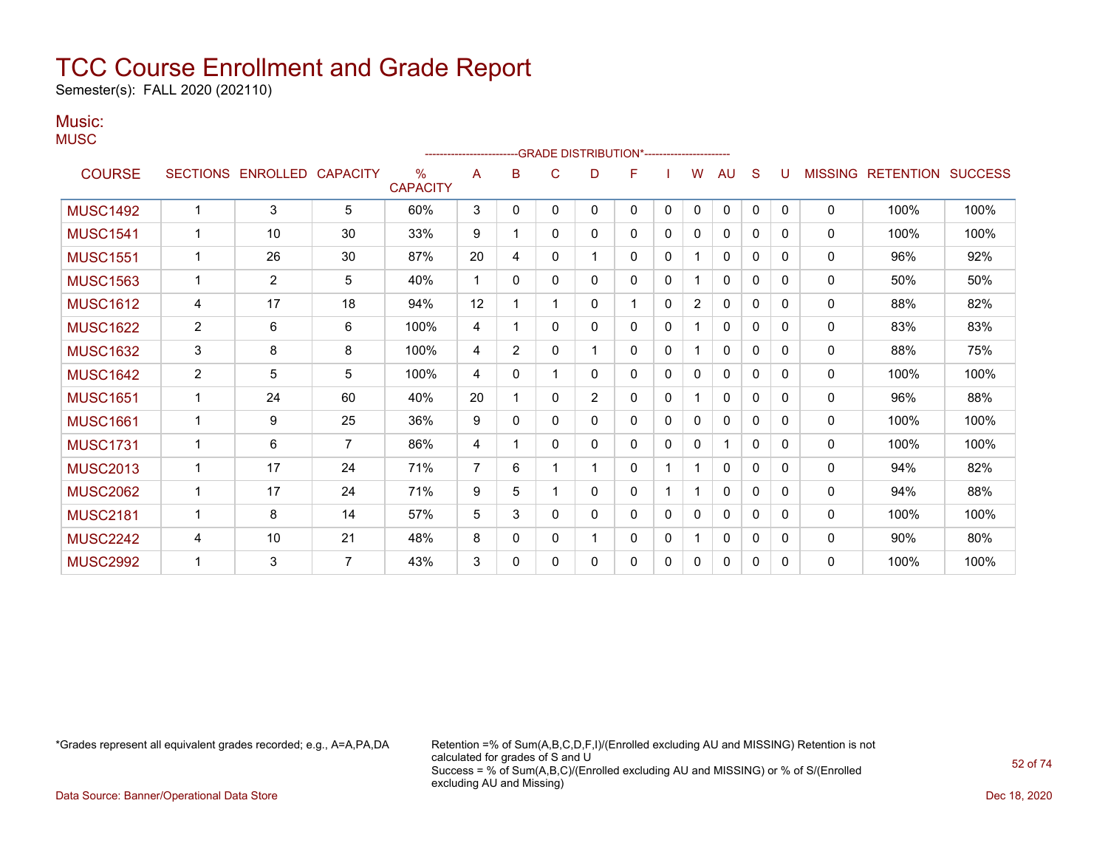Semester(s): FALL 2020 (202110)

#### Music: **MUSC**

|                 |                 |          |                 |                         |                |                |   | -GRADE DISTRIBUTION*---------------------- |              |   |              |              |              |          |                |                  |                |
|-----------------|-----------------|----------|-----------------|-------------------------|----------------|----------------|---|--------------------------------------------|--------------|---|--------------|--------------|--------------|----------|----------------|------------------|----------------|
| <b>COURSE</b>   | <b>SECTIONS</b> | ENROLLED | <b>CAPACITY</b> | $\%$<br><b>CAPACITY</b> | A              | B              | C | D                                          | F            |   | W            | AU           | S            | U        | <b>MISSING</b> | <b>RETENTION</b> | <b>SUCCESS</b> |
| <b>MUSC1492</b> | $\overline{1}$  | 3        | 5               | 60%                     | 3              | 0              | 0 | 0                                          | 0            | 0 | 0            | 0            | $\mathbf{0}$ | 0        | 0              | 100%             | 100%           |
| <b>MUSC1541</b> | $\overline{1}$  | 10       | 30              | 33%                     | 9              |                | 0 | 0                                          | $\mathbf{0}$ | 0 | $\mathbf{0}$ | $\Omega$     | 0            | 0        | $\mathbf{0}$   | 100%             | 100%           |
| <b>MUSC1551</b> | -1              | 26       | 30              | 87%                     | 20             | 4              | 0 | 1                                          | $\Omega$     | 0 |              | 0            | $\Omega$     | $\Omega$ | 0              | 96%              | 92%            |
| <b>MUSC1563</b> | $\mathbf 1$     | 2        | 5               | 40%                     | $\mathbf 1$    | 0              | 0 | 0                                          | 0            | 0 | 1            | 0            | $\Omega$     | $\Omega$ | 0              | 50%              | 50%            |
| <b>MUSC1612</b> | 4               | 17       | 18              | 94%                     | 12             |                |   | 0                                          | 1            | 0 | 2            | 0            | $\mathbf{0}$ | 0        | 0              | 88%              | 82%            |
| <b>MUSC1622</b> | $\overline{2}$  | 6        | 6               | 100%                    | 4              |                | 0 | 0                                          | $\mathbf{0}$ | 0 |              | 0            | $\mathbf{0}$ | 0        | 0              | 83%              | 83%            |
| <b>MUSC1632</b> | $\mathsf 3$     | 8        | 8               | 100%                    | 4              | $\overline{2}$ | 0 | 1                                          | $\mathbf{0}$ | 0 |              | $\mathbf{0}$ | 0            | 0        | $\mathbf{0}$   | 88%              | 75%            |
| <b>MUSC1642</b> | $\overline{2}$  | 5        | 5               | 100%                    | 4              | 0              |   | 0                                          | $\mathbf{0}$ | 0 | $\mathbf{0}$ | 0            | 0            | 0        | $\mathbf{0}$   | 100%             | 100%           |
| <b>MUSC1651</b> | $\mathbf 1$     | 24       | 60              | 40%                     | 20             | 1              | 0 | $\overline{2}$                             | $\mathbf{0}$ | 0 |              | $\mathbf{0}$ | $\mathbf{0}$ | 0        | $\mathbf{0}$   | 96%              | 88%            |
| <b>MUSC1661</b> | $\mathbf 1$     | 9        | 25              | 36%                     | 9              | $\mathbf{0}$   | 0 | 0                                          | 0            | 0 | 0            | 0            | 0            | 0        | $\mathbf{0}$   | 100%             | 100%           |
| <b>MUSC1731</b> | -1              | 6        | 7               | 86%                     | 4              |                | 0 | 0                                          | 0            | 0 | 0            |              | $\mathbf{0}$ | 0        | 0              | 100%             | 100%           |
| <b>MUSC2013</b> | $\mathbf 1$     | 17       | 24              | 71%                     | $\overline{7}$ | 6              |   |                                            | $\mathbf{0}$ |   |              | 0            | $\Omega$     | 0        | 0              | 94%              | 82%            |
| <b>MUSC2062</b> | $\mathbf 1$     | 17       | 24              | 71%                     | 9              | 5              |   | 0                                          | 0            |   | 1            | 0            | 0            | $\Omega$ | $\mathbf{0}$   | 94%              | 88%            |
| <b>MUSC2181</b> | -1              | 8        | 14              | 57%                     | 5              | 3              | 0 | 0                                          | 0            | 0 | 0            | 0            | 0            | 0        | $\mathbf{0}$   | 100%             | 100%           |
| <b>MUSC2242</b> | 4               | 10       | 21              | 48%                     | 8              | 0              | 0 | 1                                          | 0            | 0 |              | 0            | 0            | 0        | $\mathbf{0}$   | 90%              | 80%            |
| <b>MUSC2992</b> | -1              | 3        | $\overline{7}$  | 43%                     | 3              | 0              | 0 | 0                                          | 0            | 0 | 0            | 0            | 0            | 0        | 0              | 100%             | 100%           |

\*Grades represent all equivalent grades recorded; e.g., A=A,PA,DA Retention =% of Sum(A,B,C,D,F,I)/(Enrolled excluding AU and MISSING) Retention is not calculated for grades of S and U Success = % of Sum(A,B,C)/(Enrolled excluding AU and MISSING) or % of S/(Enrolled excluding AU and Missing)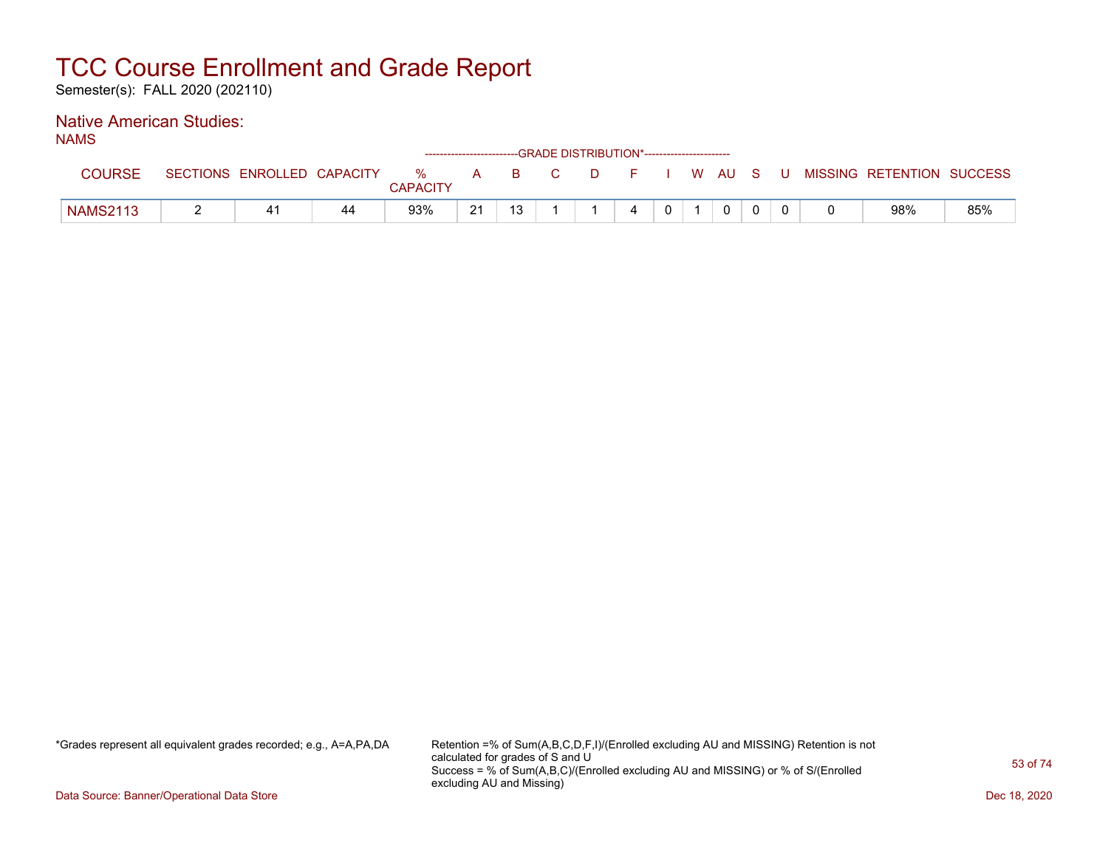Semester(s): FALL 2020 (202110)

### Native American Studies:

NAMS

|                 |                            |    |                 |    | ------------------------GRADE DISTRIBUTION*----------------------- |     |     |              |              |     |                           |     |
|-----------------|----------------------------|----|-----------------|----|--------------------------------------------------------------------|-----|-----|--------------|--------------|-----|---------------------------|-----|
| COURSE          | SECTIONS ENROLLED CAPACITY |    | %               | A  |                                                                    | B C | DFI |              | I WAUS       | - U | MISSING RETENTION SUCCESS |     |
|                 |                            |    | <b>CAPACITY</b> |    |                                                                    |     |     |              |              |     |                           |     |
| <b>NAMS2113</b> | 41                         | 44 | 93%             | 21 | 13                                                                 |     | 4   | $\mathbf{0}$ | $\mathbf{0}$ |     | 98%                       | 85% |

\*Grades represent all equivalent grades recorded; e.g., A=A,PA,DA Retention =% of Sum(A,B,C,D,F,I)/(Enrolled excluding AU and MISSING) Retention is not calculated for grades of S and U Success = % of Sum(A,B,C)/(Enrolled excluding AU and MISSING) or % of S/(Enrolled excluding AU and Missing)

Data Source: Banner/Operational Data Store Dec 18, 2020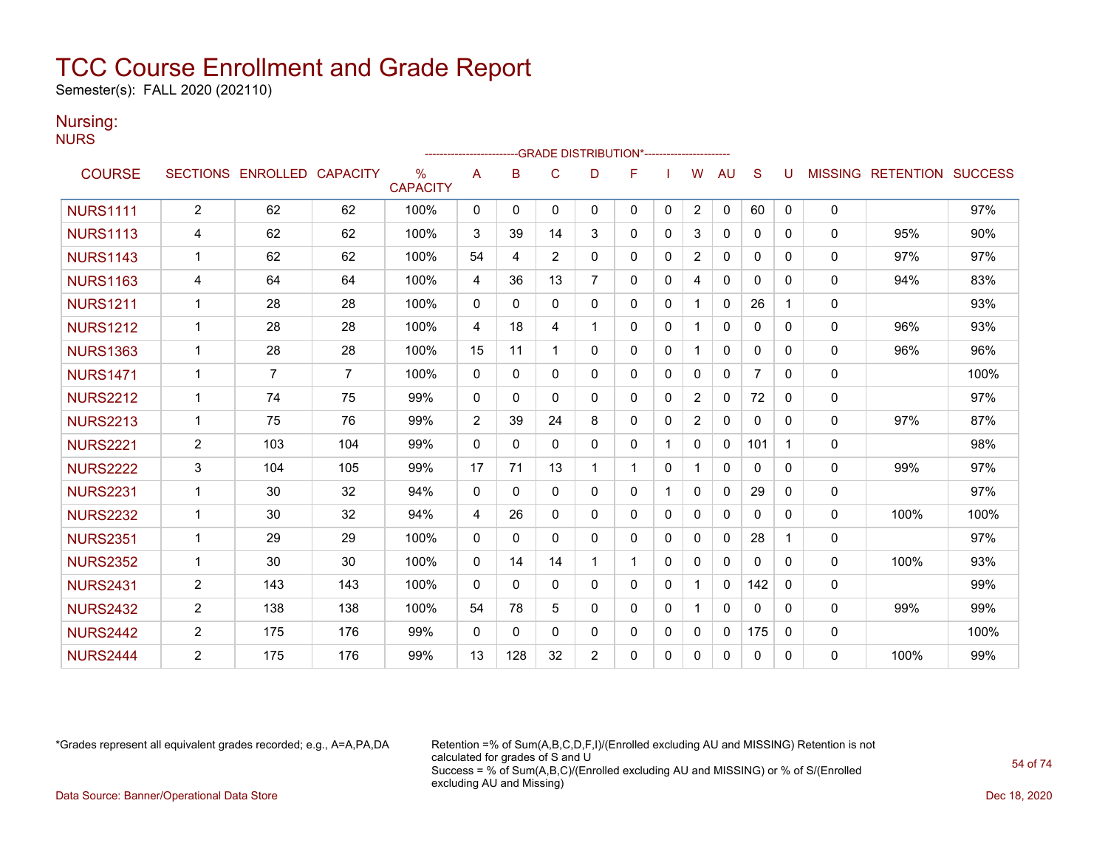Semester(s): FALL 2020 (202110)

### Nursing:

**NURS** 

|                 |                |                            |     |                      | ------------------------ |              |              |                | -GRADE DISTRIBUTION*----------------------- |              |                |              |                |   |              |                                  |      |
|-----------------|----------------|----------------------------|-----|----------------------|--------------------------|--------------|--------------|----------------|---------------------------------------------|--------------|----------------|--------------|----------------|---|--------------|----------------------------------|------|
| <b>COURSE</b>   |                | SECTIONS ENROLLED CAPACITY |     | %<br><b>CAPACITY</b> | A                        | B            | C            | D              | F                                           |              | W              | AU           | S              |   |              | <b>MISSING RETENTION SUCCESS</b> |      |
| <b>NURS1111</b> | $\overline{2}$ | 62                         | 62  | 100%                 | 0                        | 0            | 0            | $\mathbf{0}$   | $\mathbf{0}$                                | 0            | 2              | $\mathbf{0}$ | 60             | 0 | 0            |                                  | 97%  |
| <b>NURS1113</b> | 4              | 62                         | 62  | 100%                 | 3                        | 39           | 14           | 3              | $\mathbf{0}$                                | $\Omega$     | 3              | 0            | $\mathbf{0}$   | 0 | $\mathbf{0}$ | 95%                              | 90%  |
| <b>NURS1143</b> | 1              | 62                         | 62  | 100%                 | 54                       | 4            | 2            | $\mathbf{0}$   | 0                                           | $\mathbf{0}$ | 2              | 0            | 0              | 0 | 0            | 97%                              | 97%  |
| <b>NURS1163</b> | 4              | 64                         | 64  | 100%                 | 4                        | 36           | 13           | $\overline{7}$ | 0                                           | $\mathbf{0}$ | 4              | $\mathbf{0}$ | 0              | 0 | $\Omega$     | 94%                              | 83%  |
| <b>NURS1211</b> | 1              | 28                         | 28  | 100%                 | $\mathbf{0}$             | $\Omega$     | $\Omega$     | $\Omega$       | $\Omega$                                    | $\mathbf{0}$ |                | $\mathbf{0}$ | 26             |   | 0            |                                  | 93%  |
| <b>NURS1212</b> | 1              | 28                         | 28  | 100%                 | 4                        | 18           | 4            | 1              | $\Omega$                                    | $\Omega$     |                | $\mathbf{0}$ | $\mathbf{0}$   | 0 | $\mathbf{0}$ | 96%                              | 93%  |
| <b>NURS1363</b> | $\mathbf 1$    | 28                         | 28  | 100%                 | 15                       | 11           | -1           | $\Omega$       | $\mathbf{0}$                                | $\mathbf{0}$ |                | 0            | 0              | 0 | $\mathbf{0}$ | 96%                              | 96%  |
| <b>NURS1471</b> | 1              | $\overline{7}$             | 7   | 100%                 | $\Omega$                 | $\mathbf{0}$ | $\Omega$     | $\mathbf{0}$   | 0                                           | $\Omega$     | $\Omega$       | $\mathbf{0}$ | $\overline{7}$ | 0 | 0            |                                  | 100% |
| <b>NURS2212</b> | $\mathbf 1$    | 74                         | 75  | 99%                  | $\Omega$                 | $\Omega$     | $\Omega$     | $\Omega$       | $\Omega$                                    | $\Omega$     | 2              | $\Omega$     | 72             | 0 | 0            |                                  | 97%  |
| <b>NURS2213</b> | 1              | 75                         | 76  | 99%                  | $\overline{2}$           | 39           | 24           | 8              | $\Omega$                                    | $\mathbf 0$  | $\overline{2}$ | $\mathbf{0}$ | $\mathbf{0}$   | 0 | 0            | 97%                              | 87%  |
| <b>NURS2221</b> | $\overline{2}$ | 103                        | 104 | 99%                  | $\Omega$                 | $\Omega$     | $\mathbf{0}$ | $\Omega$       | 0                                           | $\mathbf 1$  | $\Omega$       | 0            | 101            | 1 | 0            |                                  | 98%  |
| <b>NURS2222</b> | 3              | 104                        | 105 | 99%                  | 17                       | 71           | 13           | 1              | 1                                           | $\mathbf{0}$ |                | $\Omega$     | $\mathbf{0}$   | 0 | 0            | 99%                              | 97%  |
| <b>NURS2231</b> | 1              | 30                         | 32  | 94%                  | $\mathbf{0}$             | $\Omega$     | $\Omega$     | $\Omega$       | $\mathbf{0}$                                | $\mathbf 1$  | $\Omega$       | $\Omega$     | 29             | 0 | 0            |                                  | 97%  |
| <b>NURS2232</b> | $\mathbf 1$    | 30                         | 32  | 94%                  | 4                        | 26           | $\mathbf{0}$ | $\Omega$       | $\Omega$                                    | $\mathbf{0}$ | $\mathbf{0}$   | $\mathbf{0}$ | $\Omega$       | 0 | 0            | 100%                             | 100% |
| <b>NURS2351</b> | 1              | 29                         | 29  | 100%                 | $\Omega$                 | $\Omega$     | $\Omega$     | $\Omega$       | $\Omega$                                    | $\mathbf{0}$ | $\Omega$       | 0            | 28             | 1 | 0            |                                  | 97%  |
| <b>NURS2352</b> | 1              | 30                         | 30  | 100%                 | $\mathbf{0}$             | 14           | 14           | 1              | 1                                           | 0            | 0              | $\mathbf 0$  | 0              | 0 | 0            | 100%                             | 93%  |
| <b>NURS2431</b> | $\overline{2}$ | 143                        | 143 | 100%                 | $\Omega$                 | $\mathbf{0}$ | $\mathbf{0}$ | $\mathbf{0}$   | $\mathbf{0}$                                | $\Omega$     | -1             | $\mathbf{0}$ | 142            | 0 | $\Omega$     |                                  | 99%  |
| <b>NURS2432</b> | 2              | 138                        | 138 | 100%                 | 54                       | 78           | 5            | $\mathbf{0}$   | $\Omega$                                    | 0            |                | $\mathbf{0}$ | $\mathbf{0}$   | 0 | 0            | 99%                              | 99%  |
| <b>NURS2442</b> | $\overline{2}$ | 175                        | 176 | 99%                  | $\Omega$                 | $\Omega$     | $\Omega$     | $\Omega$       | $\Omega$                                    | $\mathbf{0}$ | $\Omega$       | $\Omega$     | 175            | 0 | 0            |                                  | 100% |
| <b>NURS2444</b> | 2              | 175                        | 176 | 99%                  | 13                       | 128          | 32           | $\overline{2}$ | 0                                           | $\mathbf{0}$ | $\Omega$       | $\Omega$     | $\mathbf{0}$   | 0 | 0            | 100%                             | 99%  |

\*Grades represent all equivalent grades recorded; e.g., A=A,PA,DA Retention =% of Sum(A,B,C,D,F,I)/(Enrolled excluding AU and MISSING) Retention is not calculated for grades of S and U Success = % of Sum(A,B,C)/(Enrolled excluding AU and MISSING) or % of S/(Enrolled excluding AU and Missing) Data Source: Banner/Operational Data Store Dec 18, 2020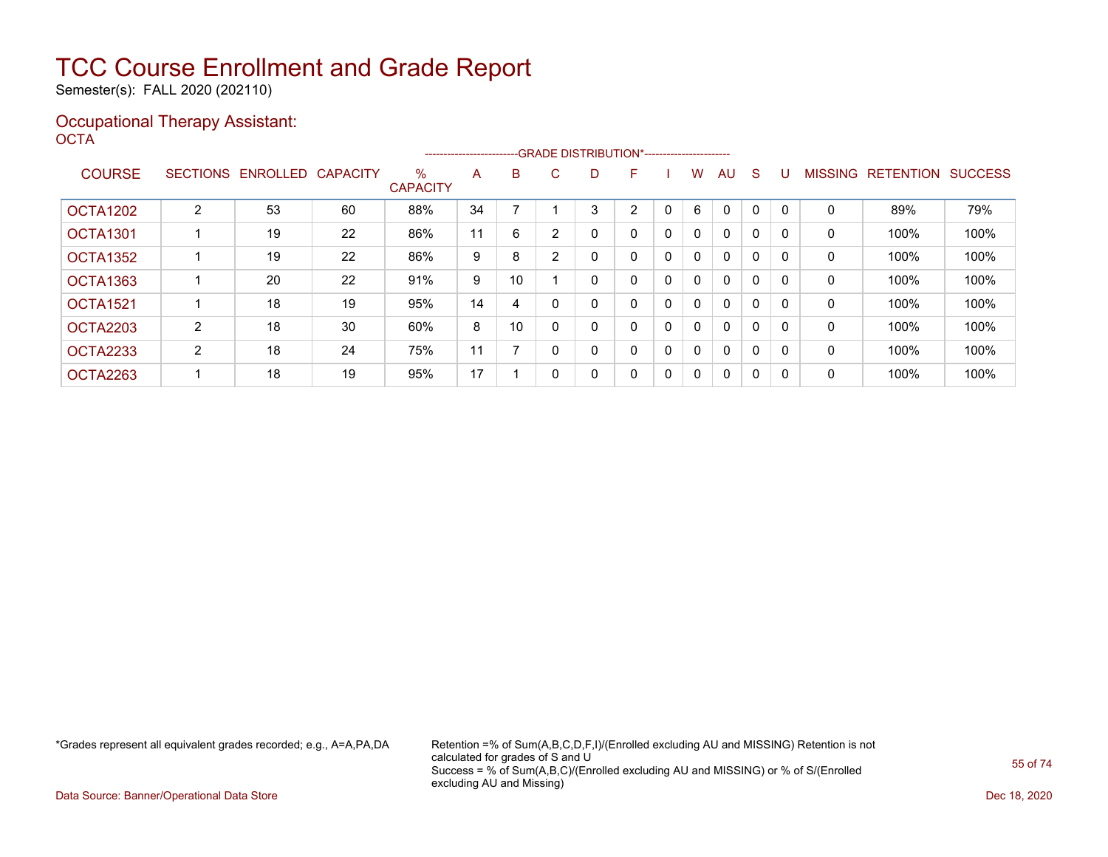Semester(s): FALL 2020 (202110)

#### Occupational Therapy Assistant: OCTA<sup>'</sup>

|                 |   |                   |                 |                         | ----------------------- |    |    |   | --GRADE DISTRIBUTION*----------------------- |              |              |              |              |          |                |                  |                |
|-----------------|---|-------------------|-----------------|-------------------------|-------------------------|----|----|---|----------------------------------------------|--------------|--------------|--------------|--------------|----------|----------------|------------------|----------------|
| <b>COURSE</b>   |   | SECTIONS ENROLLED | <b>CAPACITY</b> | $\%$<br><b>CAPACITY</b> | A                       | B  | C. | D | F                                            |              | w            | AU.          | <sub>S</sub> |          | <b>MISSING</b> | <b>RETENTION</b> | <b>SUCCESS</b> |
| <b>OCTA1202</b> | 2 | 53                | 60              | 88%                     | 34                      |    |    | 3 | 2                                            |              | 6            | $\Omega$     | 0            |          | 0              | 89%              | 79%            |
| <b>OCTA1301</b> |   | 19                | 22              | 86%                     | 11                      | 6  |    | 0 | 0                                            | 0            | $\mathbf{0}$ | $\mathbf{0}$ | 0            |          | 0              | 100%             | 100%           |
| <b>OCTA1352</b> |   | 19                | 22              | 86%                     | 9                       | 8  | ◠  |   | 0                                            | 0            | 0            | $\mathbf{0}$ | 0            |          | 0              | 100%             | 100%           |
| <b>OCTA1363</b> |   | 20                | 22              | 91%                     | 9                       | 10 |    | 0 | 0                                            | $\mathbf{0}$ | $\mathbf{0}$ | $\mathbf{0}$ | $\Omega$     |          | 0              | 100%             | 100%           |
| <b>OCTA1521</b> |   | 18                | 19              | 95%                     | 14                      | 4  |    |   | 0                                            | 0            | 0            | $\mathbf{0}$ | $\Omega$     |          | 0              | 100%             | 100%           |
| <b>OCTA2203</b> | 2 | 18                | 30              | 60%                     | 8                       | 10 |    |   | 0                                            | 0            | 0            | $\mathbf{0}$ | 0            |          | 0              | 100%             | 100%           |
| <b>OCTA2233</b> | 2 | 18                | 24              | 75%                     | 11                      |    |    | 0 | 0                                            | 0            | 0            | $\mathbf{0}$ | $\Omega$     | $\Omega$ | 0              | 100%             | 100%           |
| OCTA2263        |   | 18                | 19              | 95%                     | 17                      |    |    | 0 | 0                                            | 0            | 0            | $\mathbf{0}$ | 0            | -0       | 0              | 100%             | 100%           |

\*Grades represent all equivalent grades recorded; e.g., A=A,PA,DA Retention =% of Sum(A,B,C,D,F,I)/(Enrolled excluding AU and MISSING) Retention is not calculated for grades of S and U Success = % of Sum(A,B,C)/(Enrolled excluding AU and MISSING) or % of S/(Enrolled excluding AU and Missing)

Data Source: Banner/Operational Data Store Dec 18, 2020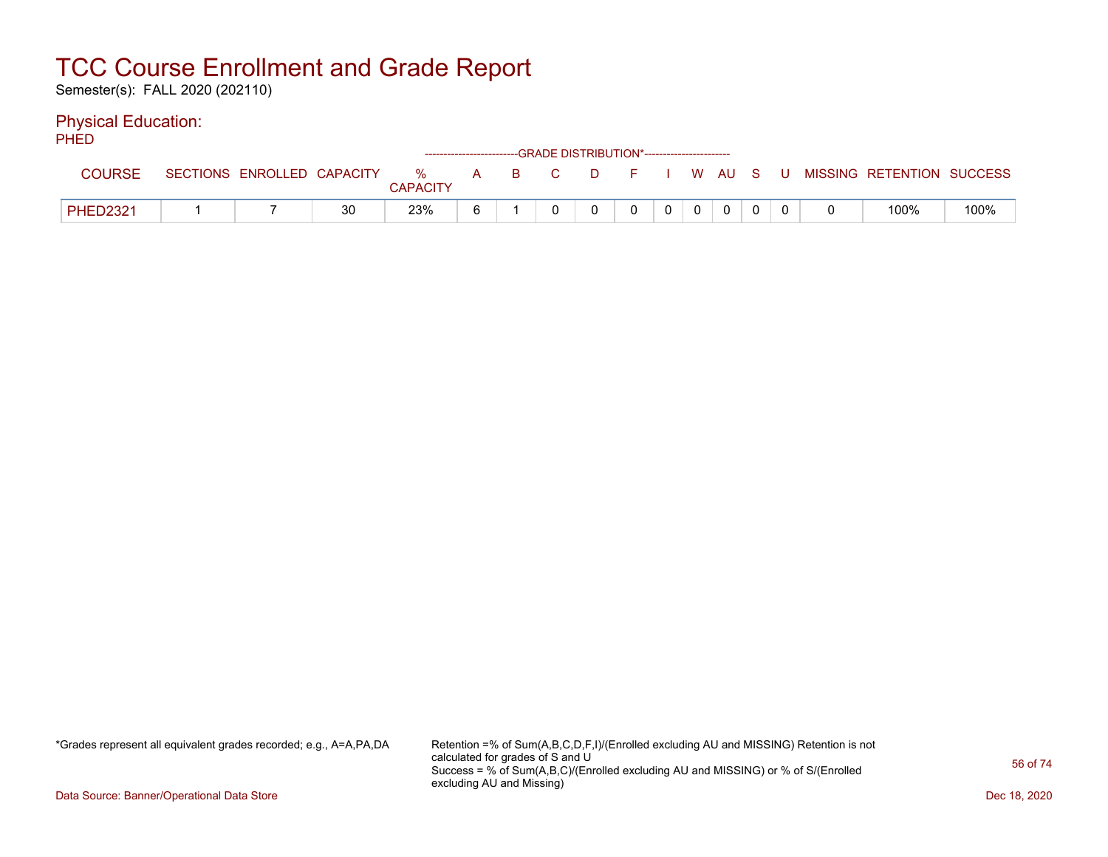Semester(s): FALL 2020 (202110)

### Physical Education:

PHED

|                 |                            |    |                      | ------------------------GRADE DISTRIBUTION*----------------------- |  |          |  |                |  |                           |      |
|-----------------|----------------------------|----|----------------------|--------------------------------------------------------------------|--|----------|--|----------------|--|---------------------------|------|
| COURSE          | SECTIONS ENROLLED CAPACITY |    | %<br><b>CAPACITY</b> | A B C                                                              |  | DFIWAUSU |  |                |  | MISSING RETENTION SUCCESS |      |
| <b>PHED2321</b> |                            | 30 | 23%                  |                                                                    |  |          |  | $\overline{0}$ |  | 100%                      | 100% |

\*Grades represent all equivalent grades recorded; e.g., A=A,PA,DA Retention =% of Sum(A,B,C,D,F,I)/(Enrolled excluding AU and MISSING) Retention is not calculated for grades of S and U Success = % of Sum(A,B,C)/(Enrolled excluding AU and MISSING) or % of S/(Enrolled excluding AU and Missing)

Data Source: Banner/Operational Data Store Dec 18, 2020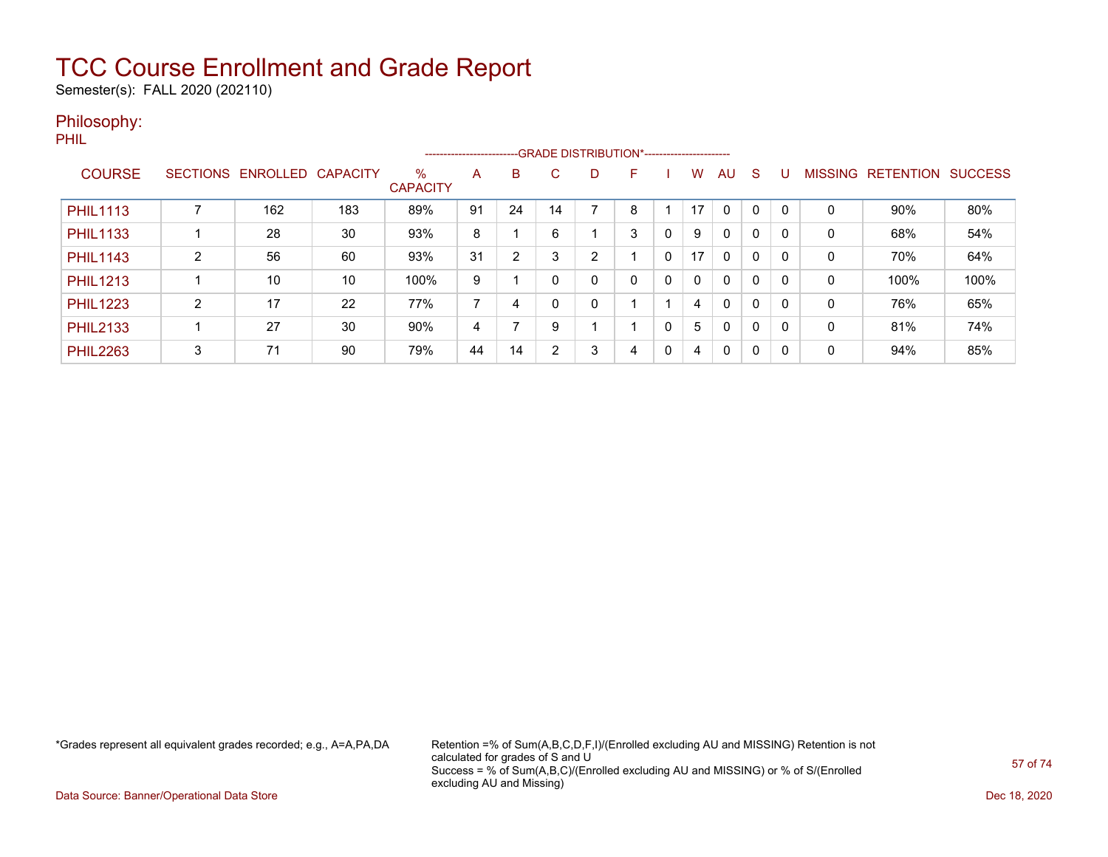Semester(s): FALL 2020 (202110)

#### Philosophy:

PHIL

|                 |                 |          |                 |                         |    | ------------------------GRADE DISTRIBUTION*---------------------- |    |   |   |          |              |              |          |          |                |                  |                |
|-----------------|-----------------|----------|-----------------|-------------------------|----|-------------------------------------------------------------------|----|---|---|----------|--------------|--------------|----------|----------|----------------|------------------|----------------|
| <b>COURSE</b>   | <b>SECTIONS</b> | ENROLLED | <b>CAPACITY</b> | $\%$<br><b>CAPACITY</b> | A  | B                                                                 | C. | D | F |          | w            | AU           | S        |          | <b>MISSING</b> | <b>RETENTION</b> | <b>SUCCESS</b> |
| <b>PHIL1113</b> |                 | 162      | 183             | 89%                     | 91 | 24                                                                | 14 |   | 8 |          | 17           | $\Omega$     |          | $\Omega$ | 0              | 90%              | 80%            |
| <b>PHIL1133</b> |                 | 28       | 30              | 93%                     | 8  |                                                                   | 6  |   | 3 | 0        | 9            | $\mathbf{0}$ | 0        | 0        | 0              | 68%              | 54%            |
| <b>PHIL1143</b> | C               | 56       | 60              | 93%                     | 31 | $\overline{2}$                                                    | 3  | 2 |   | 0        | 17           | $\mathbf{0}$ | $\Omega$ | 0        | 0              | 70%              | 64%            |
| <b>PHIL1213</b> |                 | 10       | 10              | 100%                    | 9  |                                                                   |    | 0 | 0 | 0        | $\mathbf{0}$ | $\mathbf{0}$ | 0        | 0        | 0              | 100%             | 100%           |
| <b>PHIL1223</b> | $\overline{2}$  | 17       | 22              | 77%                     | ⇁  | 4                                                                 |    | 0 |   |          | 4            | $\mathbf{0}$ | 0        | 0        | 0              | 76%              | 65%            |
| <b>PHIL2133</b> |                 | 27       | 30              | 90%                     | 4  |                                                                   | 9  |   |   | $\Omega$ | 5            | $\Omega$     | $\Omega$ | $\Omega$ | 0              | 81%              | 74%            |
| <b>PHIL2263</b> | 3               | 71       | 90              | 79%                     | 44 | 14                                                                | 2  | 3 | 4 | 0        | 4            | 0            | $\Omega$ | $\Omega$ | 0              | 94%              | 85%            |

\*Grades represent all equivalent grades recorded; e.g., A=A,PA,DA Retention =% of Sum(A,B,C,D,F,I)/(Enrolled excluding AU and MISSING) Retention is not calculated for grades of S and U Success = % of Sum(A,B,C)/(Enrolled excluding AU and MISSING) or % of S/(Enrolled excluding AU and Missing)

Data Source: Banner/Operational Data Store Dec 18, 2020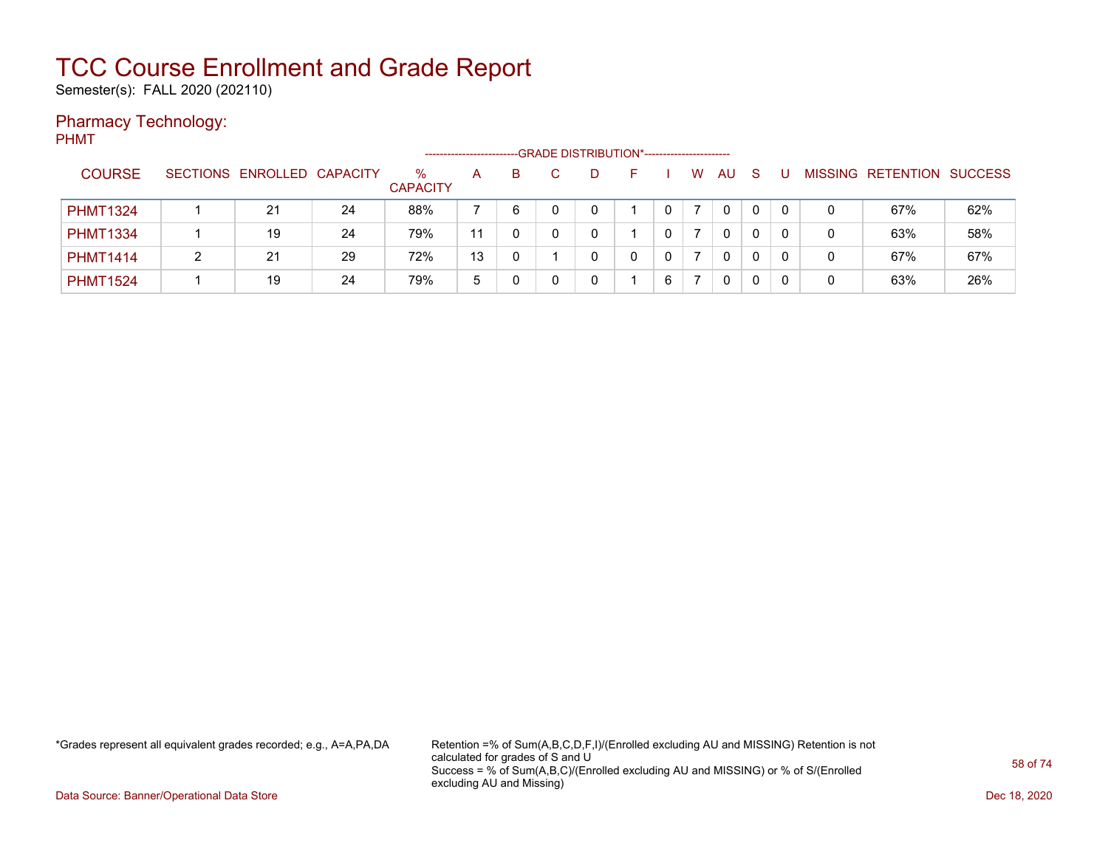Semester(s): FALL 2020 (202110)

### Pharmacy Technology:

PHMT

|                 |                            |    |                         |    |    |  | -- GRADE DISTRIBUTION*------------------------ |   |   |    |    |   |   |                           |     |
|-----------------|----------------------------|----|-------------------------|----|----|--|------------------------------------------------|---|---|----|----|---|---|---------------------------|-----|
| <b>COURSE</b>   | SECTIONS ENROLLED CAPACITY |    | $\%$<br><b>CAPACITY</b> | A  | B. |  |                                                |   | W | AU | -S |   |   | MISSING RETENTION SUCCESS |     |
| <b>PHMT1324</b> | 21                         | 24 | 88%                     |    | 6  |  |                                                |   |   | 0  | 0  | 0 | 0 | 67%                       | 62% |
| <b>PHMT1334</b> | 19                         | 24 | 79%                     | 11 |    |  |                                                |   |   | 0  | 0  | 0 | 0 | 63%                       | 58% |
| <b>PHMT1414</b> | 21                         | 29 | 72%                     | 13 |    |  |                                                |   |   | 0  | 0  |   | 0 | 67%                       | 67% |
| <b>PHMT1524</b> | 19                         | 24 | 79%                     | ა  |    |  |                                                | 6 |   | 0  |    |   | 0 | 63%                       | 26% |

\*Grades represent all equivalent grades recorded; e.g., A=A,PA,DA Retention =% of Sum(A,B,C,D,F,I)/(Enrolled excluding AU and MISSING) Retention is not calculated for grades of S and U Success = % of Sum(A,B,C)/(Enrolled excluding AU and MISSING) or % of S/(Enrolled excluding AU and Missing)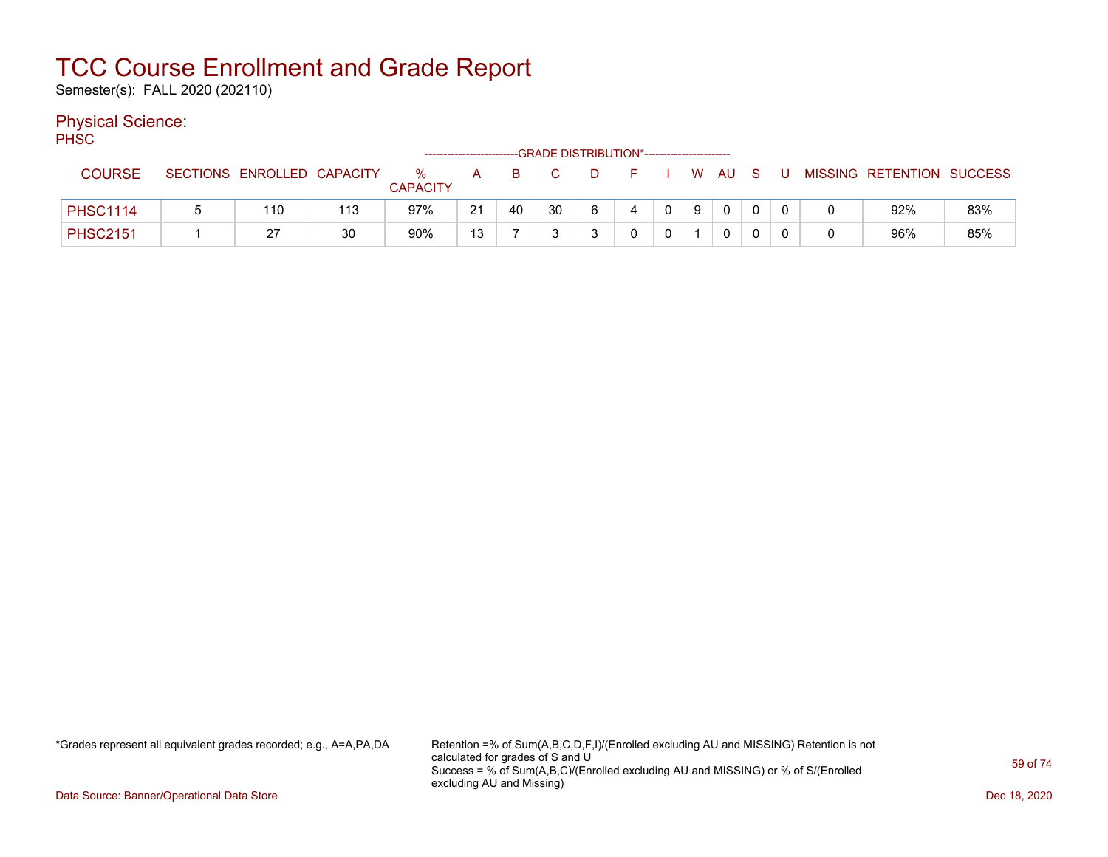Semester(s): FALL 2020 (202110)

### Physical Science:

PH<sub>SC</sub>

|                 |                 |                   |     |                      | ------------------------- |    |    | -GRADE DISTRIBUTION*----------------------- |   |              |     |             |   |                           |     |
|-----------------|-----------------|-------------------|-----|----------------------|---------------------------|----|----|---------------------------------------------|---|--------------|-----|-------------|---|---------------------------|-----|
| <b>COURSE</b>   | <b>SECTIONS</b> | ENROLLED CAPACITY |     | %<br><b>CAPACITY</b> | A                         | B  |    |                                             |   |              |     | W AU S      | U | MISSING RETENTION SUCCESS |     |
| <b>PHSC1114</b> | 5               | 110               | 113 | 97%                  | 21                        | 40 | 30 | 6                                           | 4 | $\mathbf{0}$ | - 9 | $\mathbf 0$ |   | 92%                       | 83% |
| <b>PHSC2151</b> |                 | -27               | 30  | 90%                  | 13                        |    | ົ  |                                             |   |              |     |             |   | 96%                       | 85% |

\*Grades represent all equivalent grades recorded; e.g., A=A,PA,DA Retention =% of Sum(A,B,C,D,F,I)/(Enrolled excluding AU and MISSING) Retention is not calculated for grades of S and U Success = % of Sum(A,B,C)/(Enrolled excluding AU and MISSING) or % of S/(Enrolled excluding AU and Missing)

Data Source: Banner/Operational Data Store Dec 18, 2020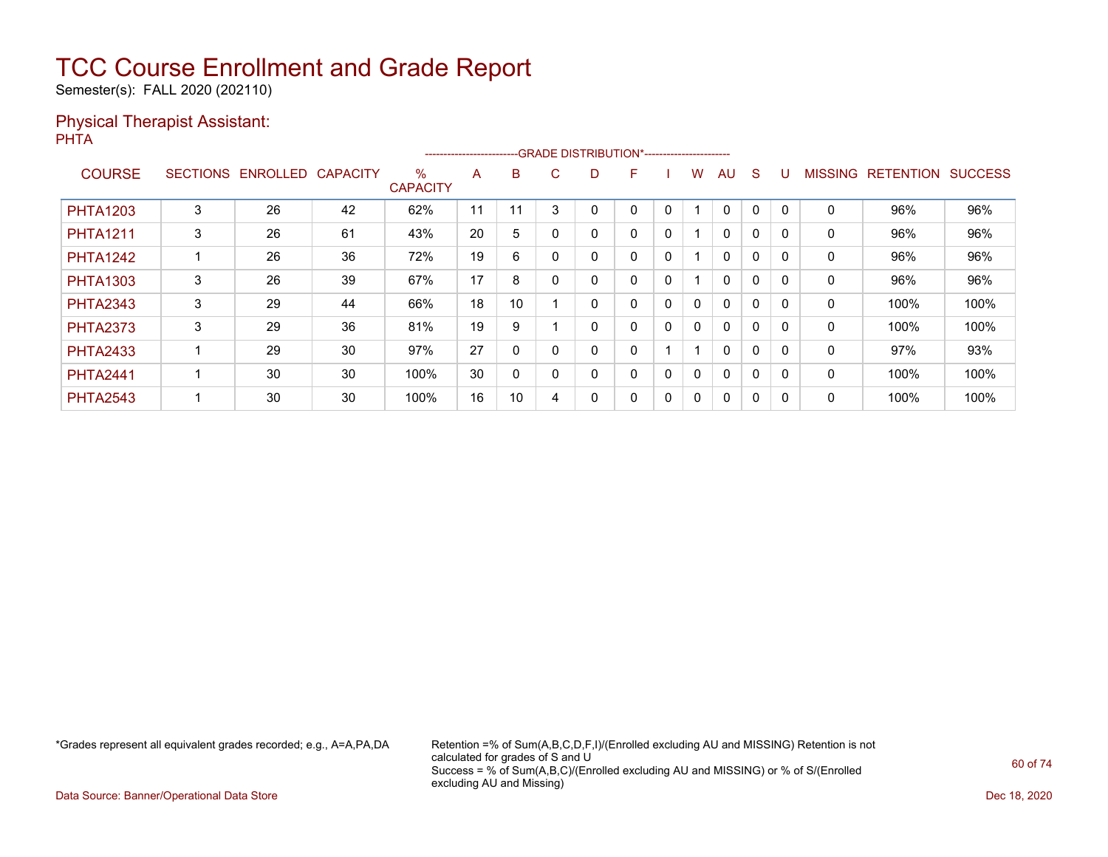Semester(s): FALL 2020 (202110)

#### Physical Therapist Assistant: PHTA

|                 |                 |                 |                 |                      | ----------------------- |        |          |   | --GRADE DISTRIBUTION*---------------------- |   |              |              |              |          |                |                  |                |
|-----------------|-----------------|-----------------|-----------------|----------------------|-------------------------|--------|----------|---|---------------------------------------------|---|--------------|--------------|--------------|----------|----------------|------------------|----------------|
| <b>COURSE</b>   | <b>SECTIONS</b> | <b>ENROLLED</b> | <b>CAPACITY</b> | %<br><b>CAPACITY</b> | A                       | B      | C.       | D | F                                           |   | w            | AU           | S            |          | <b>MISSING</b> | <b>RETENTION</b> | <b>SUCCESS</b> |
| <b>PHTA1203</b> | 3               | 26              | 42              | 62%                  | 11                      | 1<br>1 | 3        |   | 0                                           | 0 |              | $\mathbf{0}$ | 0            | $\Omega$ | 0              | 96%              | 96%            |
| <b>PHTA1211</b> | 3               | 26              | 61              | 43%                  | 20                      | 5      |          |   | 0                                           | 0 |              | $\mathbf{0}$ | $\mathbf{0}$ |          | 0              | 96%              | 96%            |
| <b>PHTA1242</b> |                 | 26              | 36              | 72%                  | 19                      | 6      |          | 0 | 0                                           | 0 |              | $\mathbf{0}$ | 0            | $\Omega$ | 0              | 96%              | 96%            |
| <b>PHTA1303</b> | 3               | 26              | 39              | 67%                  | 17                      | 8      |          |   | 0                                           | 0 |              | 0            | 0            | $\Omega$ | 0              | 96%              | 96%            |
| <b>PHTA2343</b> | 3               | 29              | 44              | 66%                  | 18                      | 10     |          |   | 0                                           | 0 | $\mathbf{0}$ | $\Omega$     | $\mathbf{0}$ |          | 0              | 100%             | 100%           |
| <b>PHTA2373</b> | 3               | 29              | 36              | 81%                  | 19                      | 9      |          | 0 | 0                                           | 0 | $\mathbf{0}$ | $\mathbf{0}$ | 0            | $\Omega$ | 0              | 100%             | 100%           |
| <b>PHTA2433</b> |                 | 29              | 30              | 97%                  | 27                      | 0      |          |   | 0                                           |   |              | $\mathbf{0}$ | 0            | $\Omega$ | 0              | 97%              | 93%            |
| <b>PHTA2441</b> |                 | 30              | 30              | 100%                 | 30                      | 0      | $\Omega$ |   | 0                                           | 0 | $\mathbf{0}$ | $\mathbf{0}$ | 0            |          | 0              | 100%             | 100%           |
| <b>PHTA2543</b> |                 | 30              | 30              | 100%                 | 16                      | 10     | 4        |   | 0                                           | 0 | 0            | 0            | 0            | $\Omega$ | 0              | 100%             | 100%           |

\*Grades represent all equivalent grades recorded; e.g., A=A,PA,DA Retention =% of Sum(A,B,C,D,F,I)/(Enrolled excluding AU and MISSING) Retention is not calculated for grades of S and U Success = % of Sum(A,B,C)/(Enrolled excluding AU and MISSING) or % of S/(Enrolled excluding AU and Missing)

Data Source: Banner/Operational Data Store Dec 18, 2020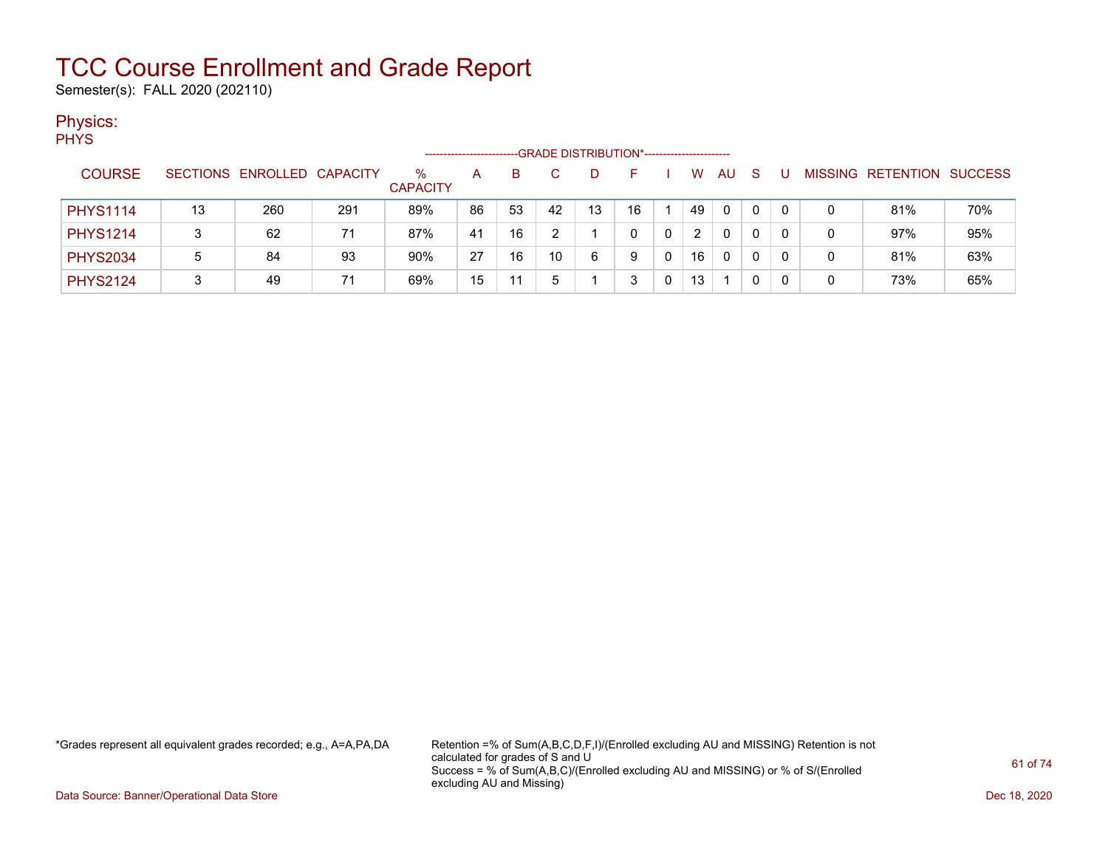Semester(s): FALL 2020 (202110)

### Physics:

|  | v.<br>۹ |
|--|---------|
|  |         |

|                 | -GRADE DISTRIBUTION*-----------------------<br>SECTIONS ENROLLED CAPACITY |     |     |                      |    |    |    |    |    |   |    |              |    |              |   |                   |                |
|-----------------|---------------------------------------------------------------------------|-----|-----|----------------------|----|----|----|----|----|---|----|--------------|----|--------------|---|-------------------|----------------|
| <b>COURSE</b>   |                                                                           |     |     | %<br><b>CAPACITY</b> | A  | B  |    |    |    |   | W  | AU           | -S |              |   | MISSING RETENTION | <b>SUCCESS</b> |
| <b>PHYS1114</b> | 13                                                                        | 260 | 291 | 89%                  | 86 | 53 | 42 | 13 | 16 |   | 49 | $\mathbf{0}$ | 0  | $\mathbf{0}$ | 0 | 81%               | 70%            |
| <b>PHYS1214</b> | 3                                                                         | 62  | 71  | 87%                  | 41 | 16 |    |    |    | 0 |    | 0            | 0  | 0            | 0 | 97%               | 95%            |
| <b>PHYS2034</b> | 5                                                                         | 84  | 93  | 90%                  | 27 | 16 | 10 | 6  | 9  | 0 | 16 | 0            | 0  | 0            | 0 | 81%               | 63%            |
| <b>PHYS2124</b> | 3                                                                         | 49  | 71  | 69%                  | 15 |    | 5  |    |    |   | 13 |              |    | 0            | 0 | 73%               | 65%            |

\*Grades represent all equivalent grades recorded; e.g., A=A,PA,DA Retention =% of Sum(A,B,C,D,F,I)/(Enrolled excluding AU and MISSING) Retention is not calculated for grades of S and U Success = % of Sum(A,B,C)/(Enrolled excluding AU and MISSING) or % of S/(Enrolled excluding AU and Missing)

Data Source: Banner/Operational Data Store Dec 18, 2020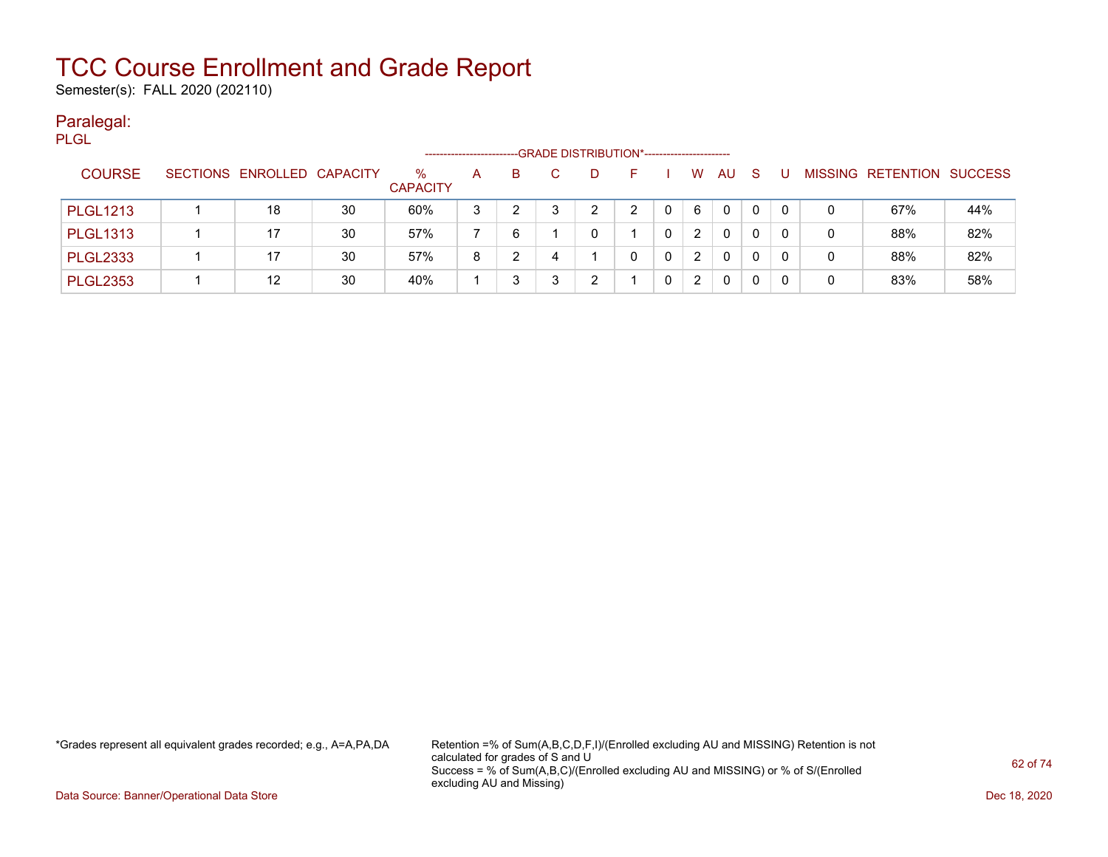Semester(s): FALL 2020 (202110)

#### Paralegal: PLGL

| .               |                            |    |                         | ---------------------- |    |    | -GRADE DISTRIBUTION*---------------------- |    |   |              |          |     |     |                           |     |
|-----------------|----------------------------|----|-------------------------|------------------------|----|----|--------------------------------------------|----|---|--------------|----------|-----|-----|---------------------------|-----|
| <b>COURSE</b>   | SECTIONS ENROLLED CAPACITY |    | $\%$<br><b>CAPACITY</b> | A                      | B. | C. | D                                          | н. |   | <b>W</b>     | AU       | - S | - U | MISSING RETENTION SUCCESS |     |
| <b>PLGL1213</b> | 18                         | 30 | 60%                     | 3                      |    |    | າ                                          | ⌒  |   | 6            | $\Omega$ | 0   |     | 67%                       | 44% |
| <b>PLGL1313</b> | 17                         | 30 | 57%                     |                        | 6  |    |                                            |    | 0 | $\mathbf{2}$ | 0        | 0   |     | 88%                       | 82% |
| <b>PLGL2333</b> | 17                         | 30 | 57%                     | 8                      |    |    |                                            |    | 0 | 2            | 0        |     |     | 88%                       | 82% |
| <b>PLGL2353</b> | 12                         | 30 | 40%                     |                        |    |    | ົ                                          |    |   | 2            | $\Omega$ |     |     | 83%                       | 58% |

\*Grades represent all equivalent grades recorded; e.g., A=A,PA,DA Retention =% of Sum(A,B,C,D,F,I)/(Enrolled excluding AU and MISSING) Retention is not calculated for grades of S and U Success = % of Sum(A,B,C)/(Enrolled excluding AU and MISSING) or % of S/(Enrolled excluding AU and Missing)

Data Source: Banner/Operational Data Store Dec 18, 2020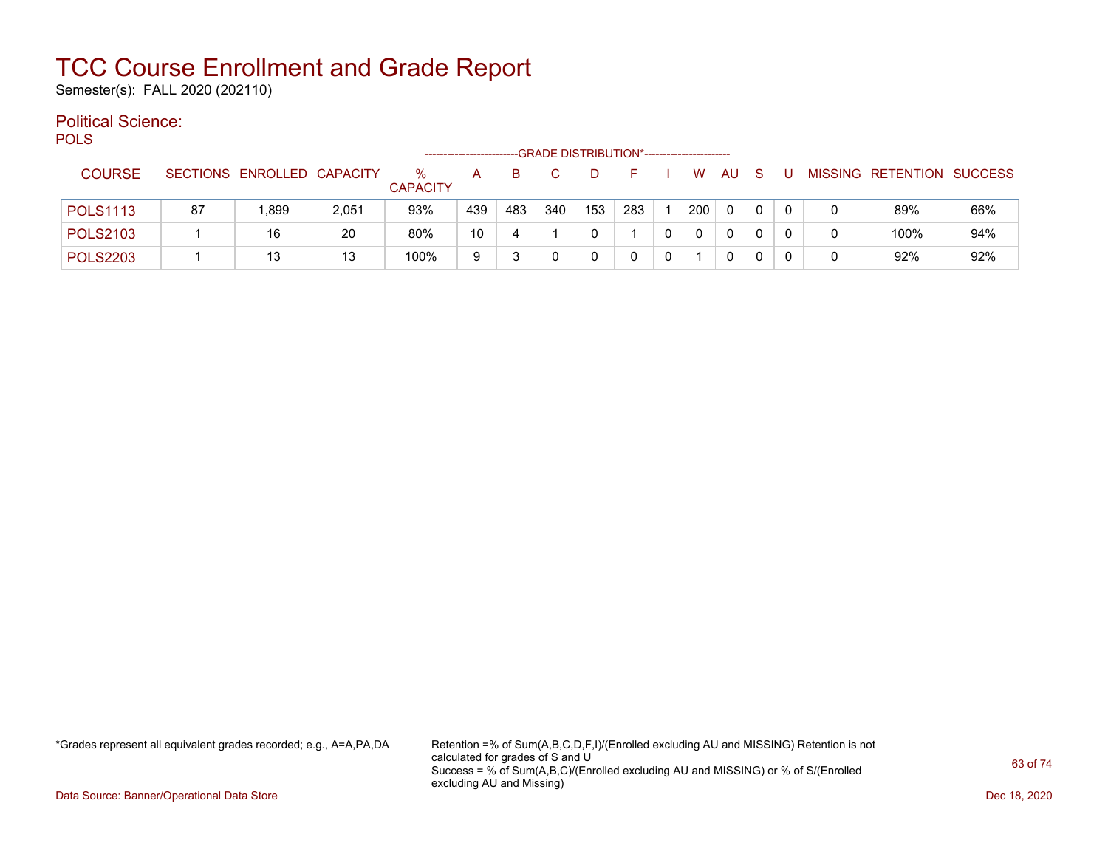Semester(s): FALL 2020 (202110)

#### Political Science: POLS

| ◡∟◡             |    |                            |       |                      |     |     |     | -GRADE DISTRIBUTION*----------------------- |     |   |     |     |   |   |                           |     |
|-----------------|----|----------------------------|-------|----------------------|-----|-----|-----|---------------------------------------------|-----|---|-----|-----|---|---|---------------------------|-----|
| <b>COURSE</b>   |    | SECTIONS ENROLLED CAPACITY |       | ℅<br><b>CAPACITY</b> | A   | B   |     |                                             |     |   | W.  | AU. | S |   | MISSING RETENTION SUCCESS |     |
| <b>POLS1113</b> | 87 | 899. ا                     | 2,051 | 93%                  | 439 | 483 | 340 | 153                                         | 283 |   | 200 | 0   | 0 | 0 | 89%                       | 66% |
| <b>POLS2103</b> |    | 16                         | 20    | 80%                  | 10  | 4   |     |                                             |     | 0 | 0   | 0   | 0 | 0 | 100%                      | 94% |
| <b>POLS2203</b> |    | 13                         | 13    | 100%                 | 9   |     |     |                                             |     | 0 |     | 0   |   | 0 | 92%                       | 92% |

\*Grades represent all equivalent grades recorded; e.g., A=A,PA,DA Retention =% of Sum(A,B,C,D,F,I)/(Enrolled excluding AU and MISSING) Retention is not calculated for grades of S and U Success = % of Sum(A,B,C)/(Enrolled excluding AU and MISSING) or % of S/(Enrolled excluding AU and Missing)

Data Source: Banner/Operational Data Store Dec 18, 2020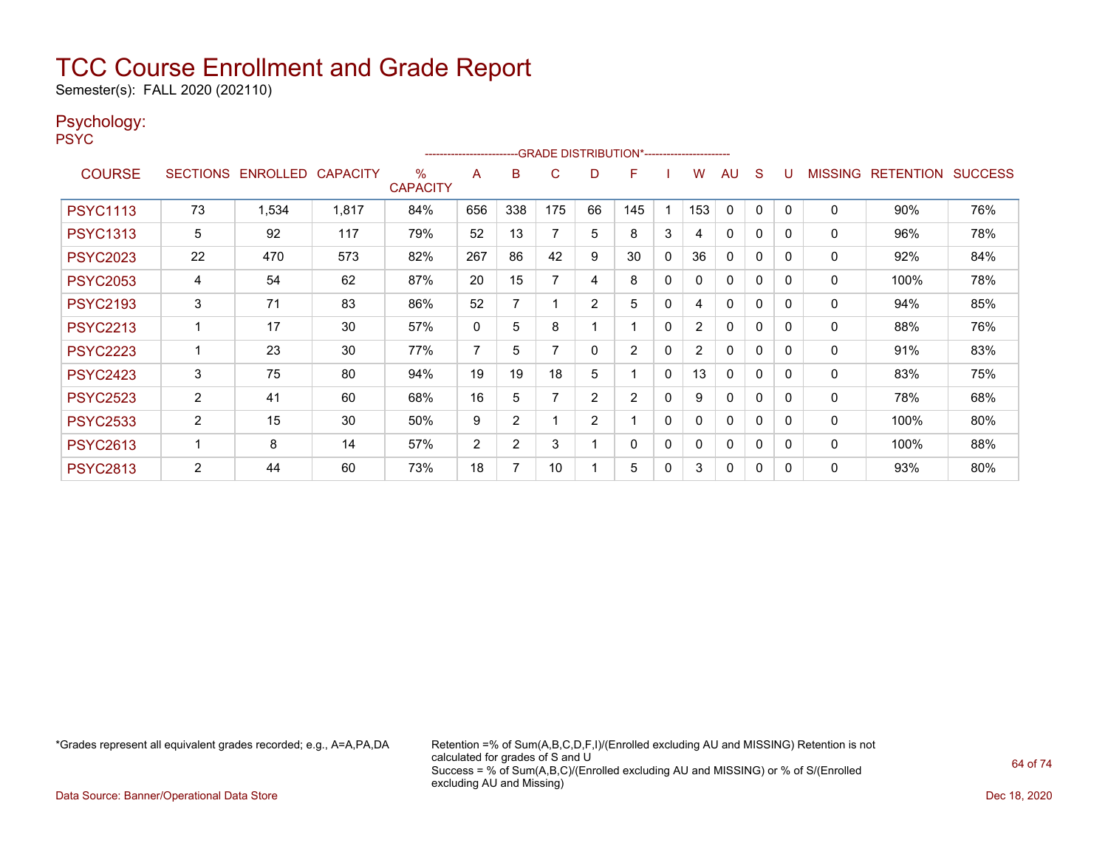Semester(s): FALL 2020 (202110)

#### Psychology:

PSYC

|                 |                       |                            |       |                      | ------------------------- |     |     |                | -GRADE DISTRIBUTION*----------------------- |              |                |              |              |          |                |                  |                |
|-----------------|-----------------------|----------------------------|-------|----------------------|---------------------------|-----|-----|----------------|---------------------------------------------|--------------|----------------|--------------|--------------|----------|----------------|------------------|----------------|
| <b>COURSE</b>   |                       | SECTIONS ENROLLED CAPACITY |       | %<br><b>CAPACITY</b> | A                         | B   | C   | D              | F                                           |              | W              | AU           | <sub>S</sub> |          | <b>MISSING</b> | <b>RETENTION</b> | <b>SUCCESS</b> |
| <b>PSYC1113</b> | 73                    | 1,534                      | 1,817 | 84%                  | 656                       | 338 | 175 | 66             | 145                                         |              | 153            | 0            | 0            | $\Omega$ | 0              | 90%              | 76%            |
| <b>PSYC1313</b> | 5                     | 92                         | 117   | 79%                  | 52                        | 13  |     | 5              | 8                                           | 3            | 4              | 0            | 0            | 0        | 0              | 96%              | 78%            |
| <b>PSYC2023</b> | 22                    | 470                        | 573   | 82%                  | 267                       | 86  | 42  | 9              | 30                                          | $\mathbf{0}$ | 36             | $\Omega$     | 0            | $\Omega$ | 0              | 92%              | 84%            |
| <b>PSYC2053</b> | 4                     | 54                         | 62    | 87%                  | 20                        | 15  | 7   | 4              | 8                                           | $\mathbf{0}$ | O              | $\mathbf{0}$ | 0            | 0        | 0              | 100%             | 78%            |
| <b>PSYC2193</b> | 3                     | 71                         | 83    | 86%                  | 52                        |     |     | $\overline{2}$ | 5                                           | $\mathbf{0}$ | 4              | $\mathbf{0}$ | 0            | 0        | 0              | 94%              | 85%            |
| <b>PSYC2213</b> | 1                     | 17                         | 30    | 57%                  | 0                         | 5   | 8   |                |                                             | $\mathbf{0}$ | $\overline{2}$ | $\Omega$     | 0            | $\Omega$ | 0              | 88%              | 76%            |
| <b>PSYC2223</b> | 1                     | 23                         | 30    | 77%                  | $\overline{7}$            | 5   | 7   | 0              | $\overline{2}$                              | $\mathbf{0}$ | $\overline{2}$ | $\mathbf{0}$ | 0            | 0        | 0              | 91%              | 83%            |
| <b>PSYC2423</b> | 3                     | 75                         | 80    | 94%                  | 19                        | 19  | 18  | 5              |                                             | $\mathbf{0}$ | 13             | $\mathbf{0}$ | 0            | 0        | 0              | 83%              | 75%            |
| <b>PSYC2523</b> | $\mathbf{2}^{\prime}$ | 41                         | 60    | 68%                  | 16                        | 5   | 7   | $\overline{2}$ | $\overline{2}$                              | $\mathbf{0}$ | 9              | $\mathbf{0}$ | $\Omega$     | 0        | 0              | 78%              | 68%            |
| <b>PSYC2533</b> | 2                     | 15                         | 30    | 50%                  | 9                         | 2   |     | $\overline{2}$ |                                             | 0            | 0              | $\Omega$     | 0            | 0        | 0              | 100%             | 80%            |
| <b>PSYC2613</b> |                       | 8                          | 14    | 57%                  | $\overline{2}$            | 2   | 3   |                | 0                                           | $\mathbf{0}$ | 0              | $\mathbf{0}$ | 0            | 0        | 0              | 100%             | 88%            |
| <b>PSYC2813</b> | $\overline{2}$        | 44                         | 60    | 73%                  | 18                        | 7   | 10  |                | 5                                           | $\mathbf{0}$ | 3              | $\mathbf{0}$ | 0            | 0        | $\Omega$       | 93%              | 80%            |

\*Grades represent all equivalent grades recorded; e.g., A=A,PA,DA Retention =% of Sum(A,B,C,D,F,I)/(Enrolled excluding AU and MISSING) Retention is not calculated for grades of S and U Success = % of Sum(A,B,C)/(Enrolled excluding AU and MISSING) or % of S/(Enrolled excluding AU and Missing)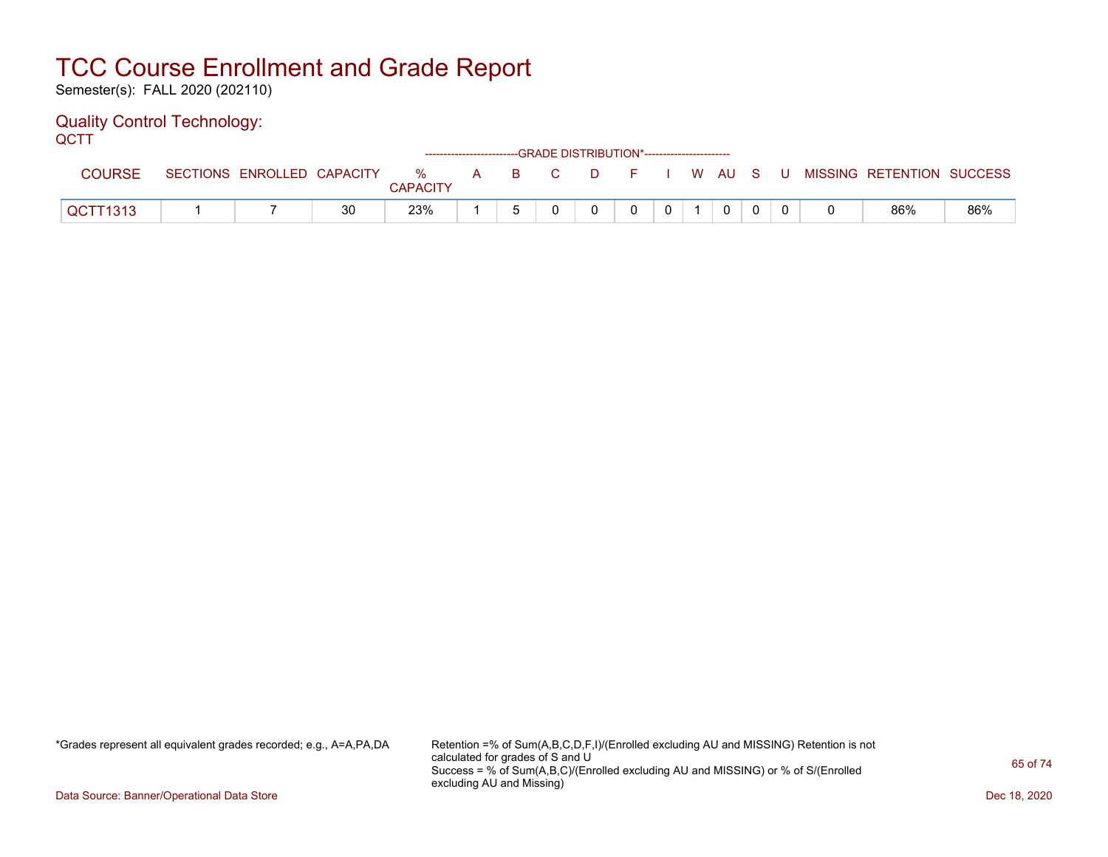Semester(s): FALL 2020 (202110)

#### Quality Control Technology: **QCTT**

| ---           |                            |    |                      |  |       | ------------------------GRADE DISTRIBUTION*----------------------- |              |          |  |                           |     |
|---------------|----------------------------|----|----------------------|--|-------|--------------------------------------------------------------------|--------------|----------|--|---------------------------|-----|
| <b>COURSE</b> | SECTIONS ENROLLED CAPACITY |    | %<br><b>CAPACITY</b> |  | A B C | <b>D</b>                                                           | F I W AU S U |          |  | MISSING RETENTION SUCCESS |     |
| QCTT1313      |                            | 30 | 23%                  |  |       |                                                                    |              | $\Omega$ |  | 86%                       | 86% |

\*Grades represent all equivalent grades recorded; e.g., A=A,PA,DA Retention =% of Sum(A,B,C,D,F,I)/(Enrolled excluding AU and MISSING) Retention is not calculated for grades of S and U Success = % of Sum(A,B,C)/(Enrolled excluding AU and MISSING) or % of S/(Enrolled excluding AU and Missing)

Data Source: Banner/Operational Data Store Dec 18, 2020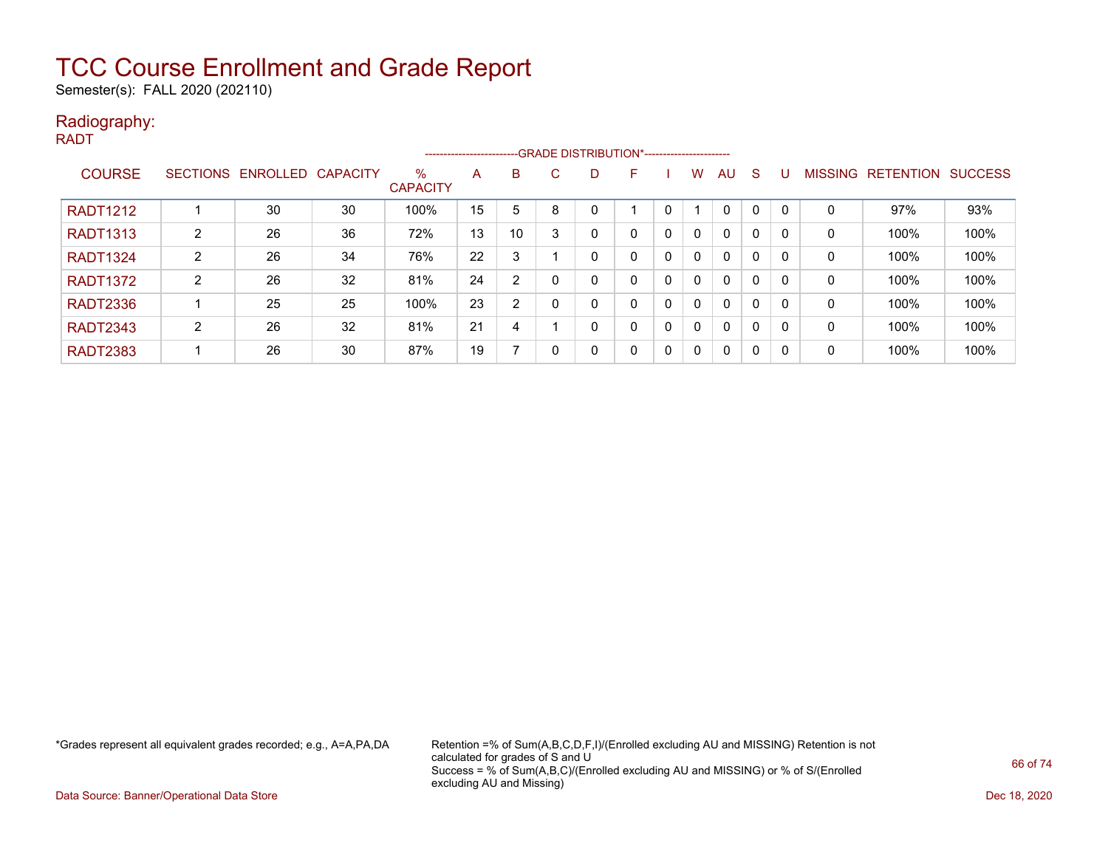Semester(s): FALL 2020 (202110)

#### Radiography: RADT

|                 |                 |                   |    |                      |    |                |    |              | ------------------------GRADE DISTRIBUTION*----------------------- |          |              |              |   |   |             |                  |                |
|-----------------|-----------------|-------------------|----|----------------------|----|----------------|----|--------------|--------------------------------------------------------------------|----------|--------------|--------------|---|---|-------------|------------------|----------------|
| <b>COURSE</b>   | <b>SECTIONS</b> | ENROLLED CAPACITY |    | %<br><b>CAPACITY</b> | Α  | B              | C. |              | F                                                                  |          | w            | AU           | S |   | MISSING     | <b>RETENTION</b> | <b>SUCCESS</b> |
| <b>RADT1212</b> |                 | 30                | 30 | 100%                 | 15 | 5              | 8  |              |                                                                    |          |              | $\mathbf{0}$ | 0 | 0 | $\mathbf 0$ | 97%              | 93%            |
| <b>RADT1313</b> | 2               | 26                | 36 | 72%                  | 13 | 10             | 3  | $\Omega$     |                                                                    | 0        | $\mathbf{0}$ | 0            | 0 | 0 | 0           | 100%             | 100%           |
| <b>RADT1324</b> | 2               | 26                | 34 | 76%                  | 22 | 3              |    |              |                                                                    | 0        | $\mathbf{0}$ | 0            | 0 | 0 | 0           | 100%             | 100%           |
| <b>RADT1372</b> | 2               | 26                | 32 | 81%                  | 24 | $\overline{2}$ | 0  | 0            |                                                                    | 0        | $\mathbf{0}$ | 0            | 0 | 0 | 0           | 100%             | 100%           |
| <b>RADT2336</b> |                 | 25                | 25 | 100%                 | 23 | $\overline{2}$ | 0  | $\Omega$     |                                                                    | 0        | $\Omega$     | 0            | 0 | 0 | 0           | 100%             | 100%           |
| <b>RADT2343</b> | 2               | 26                | 32 | 81%                  | 21 | 4              |    | $\mathbf{0}$ |                                                                    | $\Omega$ | $\Omega$     | 0            | 0 | 0 | 0           | 100%             | 100%           |
| <b>RADT2383</b> |                 | 26                | 30 | 87%                  | 19 |                | 0  | $\mathbf{0}$ |                                                                    | $\Omega$ | $\Omega$     | 0            | 0 | 0 | 0           | 100%             | 100%           |

\*Grades represent all equivalent grades recorded; e.g., A=A,PA,DA Retention =% of Sum(A,B,C,D,F,I)/(Enrolled excluding AU and MISSING) Retention is not calculated for grades of S and U Success = % of Sum(A,B,C)/(Enrolled excluding AU and MISSING) or % of S/(Enrolled excluding AU and Missing)

Data Source: Banner/Operational Data Store Dec 18, 2020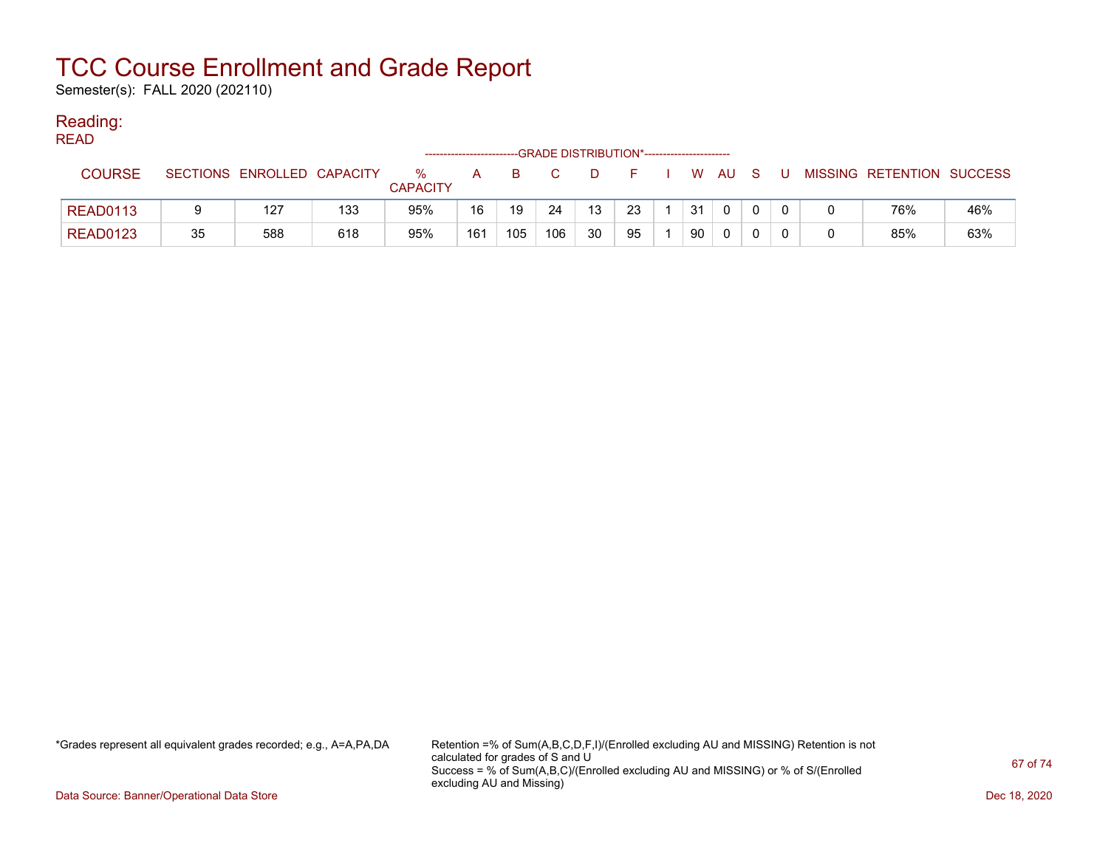Semester(s): FALL 2020 (202110)

### Reading:

| <b>READ</b>     |    |                            |     |                         |                        |     |                                             |    |    |              |      |    |    |                           |     |
|-----------------|----|----------------------------|-----|-------------------------|------------------------|-----|---------------------------------------------|----|----|--------------|------|----|----|---------------------------|-----|
|                 |    |                            |     |                         | ---------------------- |     | -GRADE DISTRIBUTION*----------------------- |    |    |              |      |    |    |                           |     |
| <b>COURSE</b>   |    | SECTIONS ENROLLED CAPACITY |     | $\%$<br><b>CAPACITY</b> | A                      | B.  |                                             | D. | F. | $\mathbf{w}$ | AU A | -S | J. | MISSING RETENTION SUCCESS |     |
| <b>READ0113</b> |    | 127                        | 133 | 95%                     | 16                     | 19  | 24                                          | 13 | 23 | 31           |      |    |    | 76%                       | 46% |
| <b>READ0123</b> | 35 | 588                        | 618 | 95%                     | 161                    | 105 | 106                                         | 30 | 95 | 90           |      |    |    | 85%                       | 63% |

\*Grades represent all equivalent grades recorded; e.g., A=A,PA,DA Retention =% of Sum(A,B,C,D,F,I)/(Enrolled excluding AU and MISSING) Retention is not calculated for grades of S and U Success = % of Sum(A,B,C)/(Enrolled excluding AU and MISSING) or % of S/(Enrolled excluding AU and Missing)

Data Source: Banner/Operational Data Store Dec 18, 2020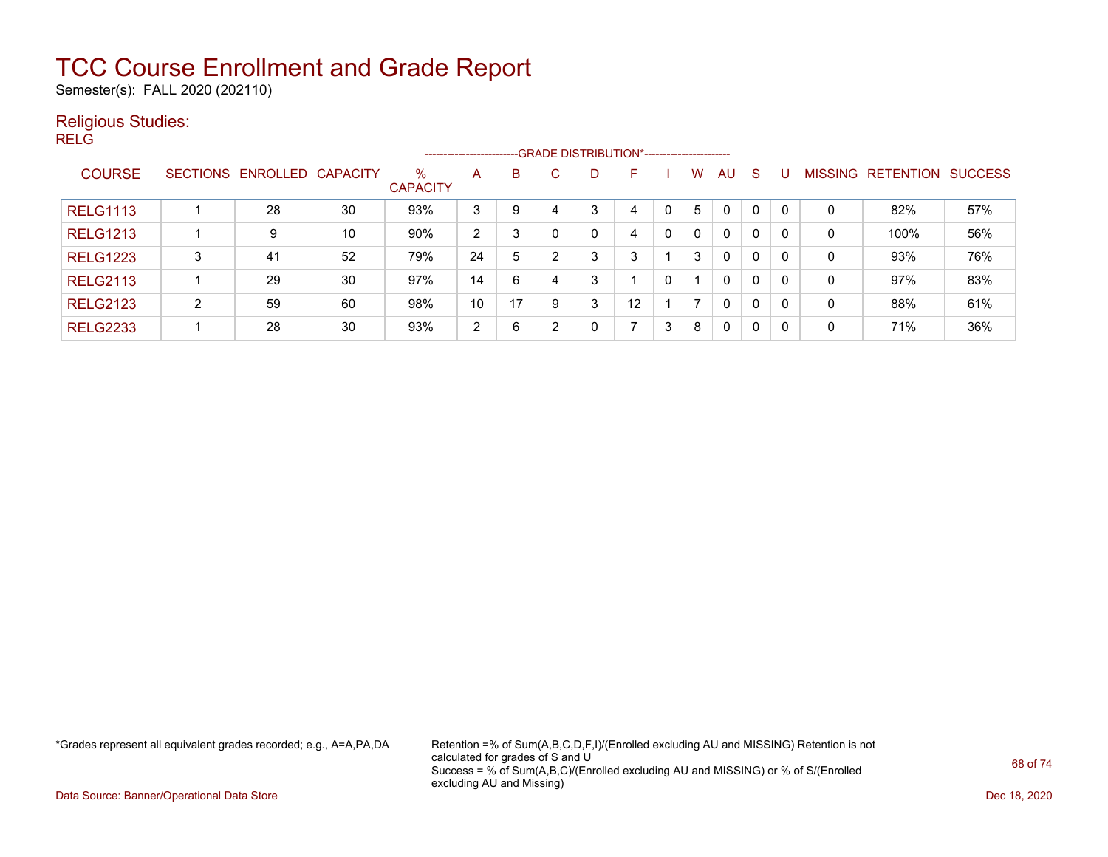Semester(s): FALL 2020 (202110)

### Religious Studies:

RELG

|                 |                 |                   |    |                         | ----------------------- |    |    |   | --GRADE DISTRIBUTION*----------------------- |   |   |              |              |                |                  |                |
|-----------------|-----------------|-------------------|----|-------------------------|-------------------------|----|----|---|----------------------------------------------|---|---|--------------|--------------|----------------|------------------|----------------|
| <b>COURSE</b>   | <b>SECTIONS</b> | ENROLLED CAPACITY |    | $\%$<br><b>CAPACITY</b> | A                       | B  | C. | D | F                                            |   | w | AU.          | -S           | <b>MISSING</b> | <b>RETENTION</b> | <b>SUCCESS</b> |
| <b>RELG1113</b> |                 | 28                | 30 | 93%                     | 3                       | 9  | 4  | 3 | 4                                            |   | 5 | $\mathbf{0}$ | 0            | 0              | 82%              | 57%            |
| <b>RELG1213</b> |                 | 9                 | 10 | 90%                     | 2                       | 3  |    |   | 4                                            | 0 | 0 | $\Omega$     | 0            | 0              | 100%             | 56%            |
| <b>RELG1223</b> | 3               | 41                | 52 | 79%                     | 24                      | 5  |    | 3 | 3                                            |   | 3 | $\mathbf{0}$ | $\mathbf{0}$ | 0              | 93%              | 76%            |
| <b>RELG2113</b> |                 | 29                | 30 | 97%                     | 14                      | 6  | 4  | 3 |                                              | 0 |   | $\mathbf{0}$ | 0            | 0              | 97%              | 83%            |
| <b>RELG2123</b> | $\overline{2}$  | 59                | 60 | 98%                     | 10                      | 17 |    | 3 | 12                                           |   |   | $\mathbf{0}$ | 0            | 0              | 88%              | 61%            |
| <b>RELG2233</b> |                 | 28                | 30 | 93%                     | $\overline{2}$          | 6  |    |   |                                              | 3 | 8 | 0            | 0            | 0              | 71%              | 36%            |

\*Grades represent all equivalent grades recorded; e.g., A=A,PA,DA Retention =% of Sum(A,B,C,D,F,I)/(Enrolled excluding AU and MISSING) Retention is not calculated for grades of S and U Success = % of Sum(A,B,C)/(Enrolled excluding AU and MISSING) or % of S/(Enrolled excluding AU and Missing)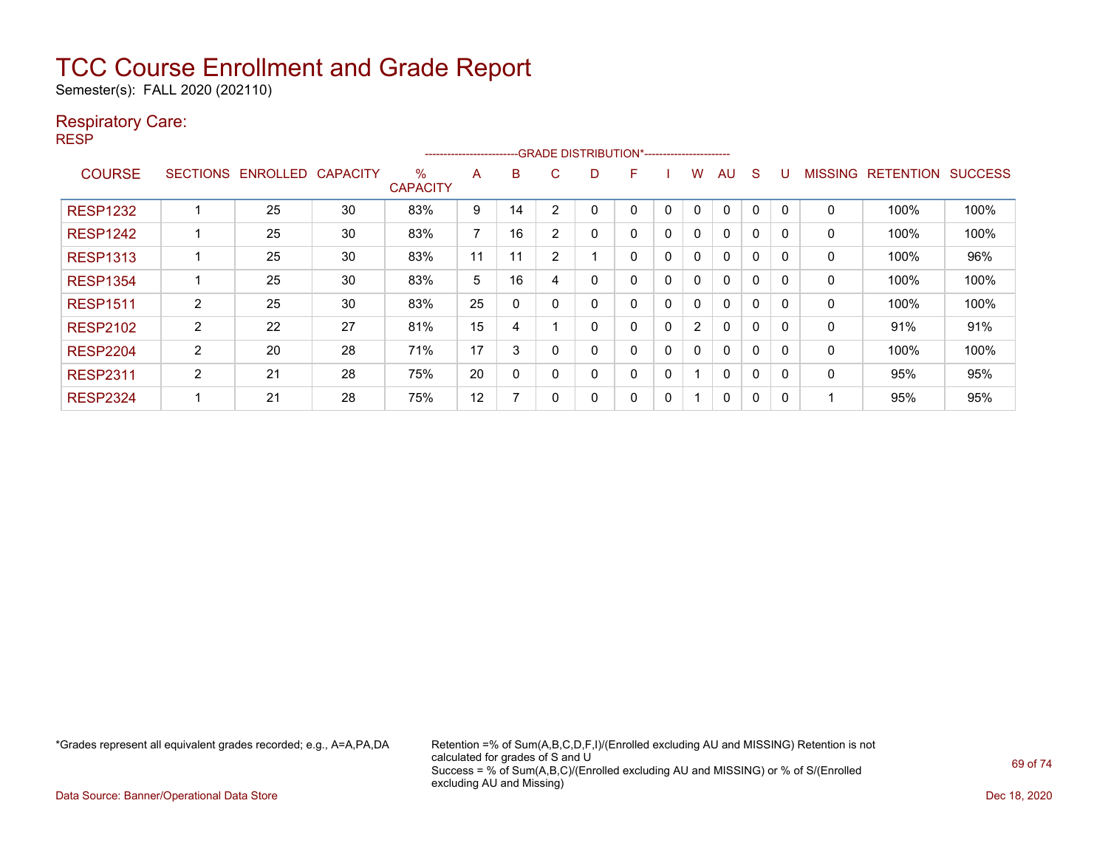Semester(s): FALL 2020 (202110)

### Respiratory Care:

RESP

|                 |                 |                 |                 |                         | -----------------------  |    |                | --GRADE DISTRIBUTION*---------------------- |   |             |                |              |             |              |                |                  |                |
|-----------------|-----------------|-----------------|-----------------|-------------------------|--------------------------|----|----------------|---------------------------------------------|---|-------------|----------------|--------------|-------------|--------------|----------------|------------------|----------------|
| <b>COURSE</b>   | <b>SECTIONS</b> | <b>ENROLLED</b> | <b>CAPACITY</b> | $\%$<br><b>CAPACITY</b> | A                        | B  | C              | D                                           | F |             | w              | AU           | S           |              | <b>MISSING</b> | <b>RETENTION</b> | <b>SUCCESS</b> |
| <b>RESP1232</b> |                 | 25              | 30              | 83%                     | 9                        | 14 | $\overline{2}$ |                                             | 0 | $\mathbf 0$ | 0              | 0            | 0           | $\Omega$     | 0              | 100%             | 100%           |
| <b>RESP1242</b> |                 | 25              | 30              | 83%                     | $\overline{\phantom{a}}$ | 16 | $\overline{2}$ | 0                                           | 0 | 0           | 0              | 0            | $\Omega$    |              | 0              | 100%             | 100%           |
| <b>RESP1313</b> |                 | 25              | 30              | 83%                     | 11                       | 11 | 2              |                                             | 0 | $\Omega$    | 0              | 0            | $\mathbf 0$ | $\Omega$     | 0              | 100%             | 96%            |
| <b>RESP1354</b> |                 | 25              | 30              | 83%                     | 5                        | 16 |                | 0                                           | 0 | 0           | 0              | 0            | $\mathbf 0$ | $\Omega$     | 0              | 100%             | 100%           |
| <b>RESP1511</b> | 2               | 25              | 30              | 83%                     | 25                       | 0  |                | 0                                           | 0 | 0           | $\mathbf{0}$   | $\mathbf{0}$ | 0           |              | 0              | 100%             | 100%           |
| <b>RESP2102</b> | 2               | 22              | 27              | 81%                     | 15                       | 4  |                | 0                                           | 0 | 0           | $\overline{2}$ | 0            | 0           | <sup>0</sup> | 0              | 91%              | 91%            |
| <b>RESP2204</b> | 2               | 20              | 28              | 71%                     | 17                       | 3  |                | 0                                           | 0 | 0           | 0              | 0            | 0           | $\Omega$     | 0              | 100%             | 100%           |
| <b>RESP2311</b> | $\overline{2}$  | 21              | 28              | 75%                     | 20                       | 0  | 0              | 0                                           | 0 | 0           |                | $\Omega$     | $\Omega$    | <sup>n</sup> | 0              | 95%              | 95%            |
| <b>RESP2324</b> |                 | 21              | 28              | 75%                     | 12                       | ⇁  |                | 0                                           | 0 | 0           |                | 0            | 0           | O            |                | 95%              | 95%            |

\*Grades represent all equivalent grades recorded; e.g., A=A,PA,DA Retention =% of Sum(A,B,C,D,F,I)/(Enrolled excluding AU and MISSING) Retention is not calculated for grades of S and U Success = % of Sum(A,B,C)/(Enrolled excluding AU and MISSING) or % of S/(Enrolled excluding AU and Missing)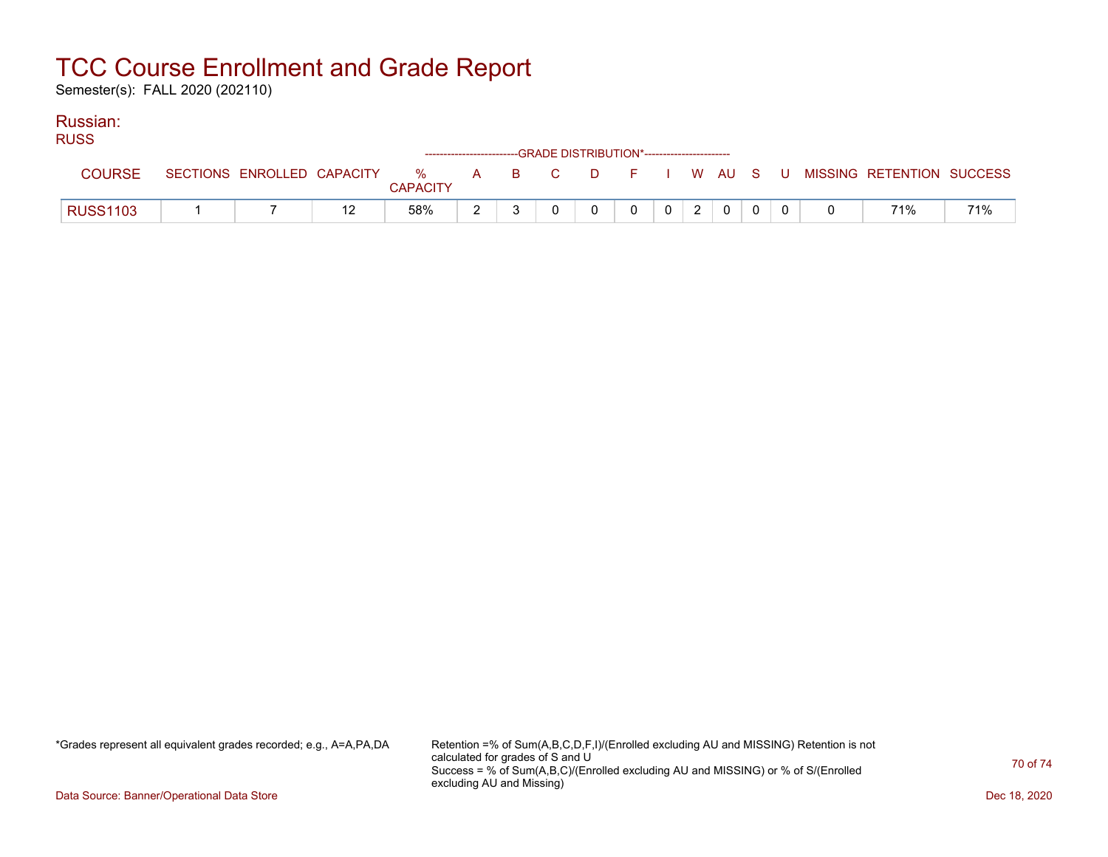Semester(s): FALL 2020 (202110)

#### Russian: RUSS

| RUSS.           |  |                 | ------------------------GRADE DISTRIBUTION*----------------------- |          |                |            |             |  |                                                                             |     |
|-----------------|--|-----------------|--------------------------------------------------------------------|----------|----------------|------------|-------------|--|-----------------------------------------------------------------------------|-----|
| <b>COURSE</b>   |  | <b>CAPACITY</b> |                                                                    |          |                |            |             |  | SECTIONS ENROLLED CAPACITY % A B C D F I W AU S U MISSING RETENTION SUCCESS |     |
| <b>RUSS1103</b> |  | 58%             |                                                                    | $\Omega$ | $\overline{0}$ | $0 \mid 2$ | $\mathbf 0$ |  | 71%                                                                         | 71% |

\*Grades represent all equivalent grades recorded; e.g., A=A,PA,DA Retention =% of Sum(A,B,C,D,F,I)/(Enrolled excluding AU and MISSING) Retention is not calculated for grades of S and U Success = % of Sum(A,B,C)/(Enrolled excluding AU and MISSING) or % of S/(Enrolled excluding AU and Missing)

Data Source: Banner/Operational Data Store Dec 18, 2020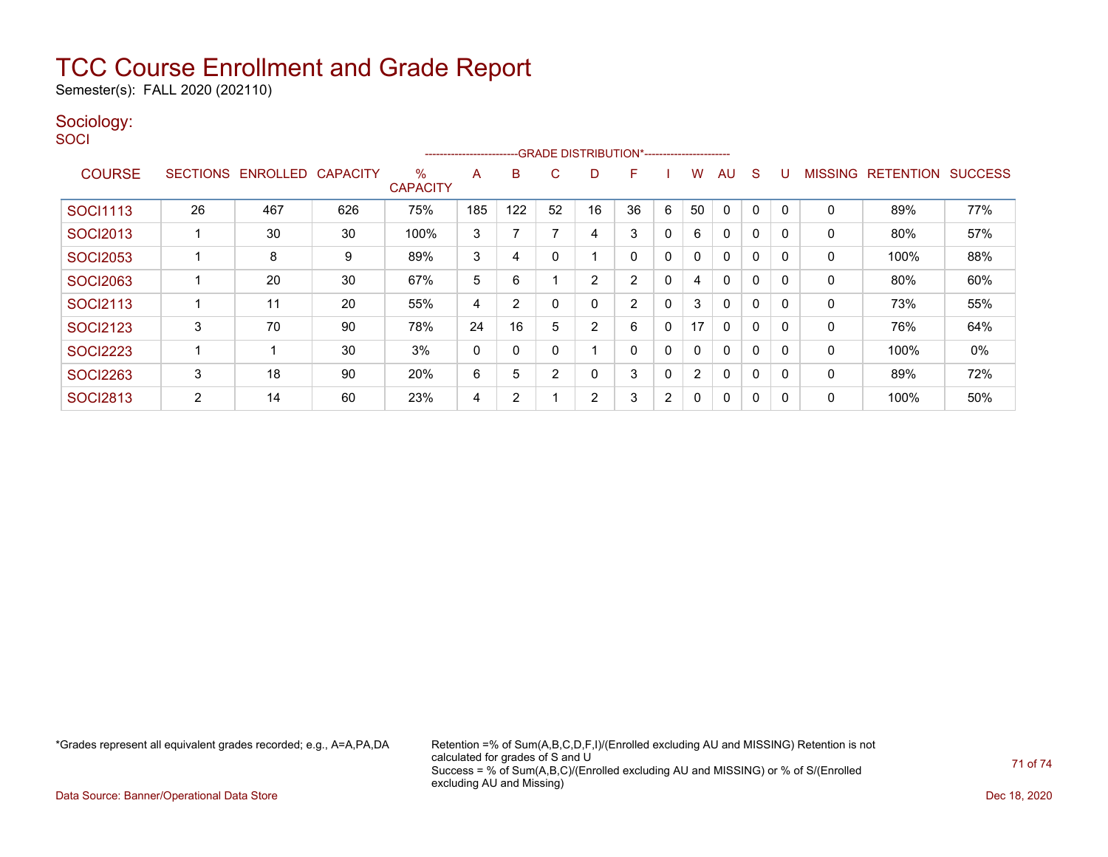Semester(s): FALL 2020 (202110)

### Sociology:

**SOCI** 

|                 | --GRADE DISTRIBUTION*----------------------<br>----------------------- |                 |                 |                      |     |     |                |                |    |                |                |              |             |          |                |                  |                |
|-----------------|------------------------------------------------------------------------|-----------------|-----------------|----------------------|-----|-----|----------------|----------------|----|----------------|----------------|--------------|-------------|----------|----------------|------------------|----------------|
| <b>COURSE</b>   | <b>SECTIONS</b>                                                        | <b>ENROLLED</b> | <b>CAPACITY</b> | %<br><b>CAPACITY</b> | A   | B   | C              | D              | F  |                | W              | AU           | S           |          | <b>MISSING</b> | <b>RETENTION</b> | <b>SUCCESS</b> |
| <b>SOCI1113</b> | 26                                                                     | 467             | 626             | 75%                  | 185 | 122 | 52             | 16             | 36 | 6              | 50             | 0            | 0           |          | 0              | 89%              | 77%            |
| <b>SOCI2013</b> |                                                                        | 30              | 30              | 100%                 | 3   |     |                | 4              | 3  | 0              | 6              | $\mathbf{0}$ | 0           |          | 0              | 80%              | 57%            |
| <b>SOCI2053</b> |                                                                        | 8               | 9               | 89%                  | 3   | 4   |                |                | 0  | $\Omega$       | 0              | $\mathbf{0}$ | 0           |          | 0              | 100%             | 88%            |
| <b>SOCI2063</b> |                                                                        | 20              | 30              | 67%                  | 5   | 6   |                | 2              | 2  | 0              | 4              | 0            | $\mathbf 0$ |          | 0              | 80%              | 60%            |
| <b>SOCI2113</b> |                                                                        | 11              | 20              | 55%                  | 4   | 2   |                | 0              | 2  | 0              | 3              | $\mathbf{0}$ | 0           |          | 0              | 73%              | 55%            |
| <b>SOCI2123</b> | 3                                                                      | 70              | 90              | 78%                  | 24  | 16  | 5              | $\overline{2}$ | 6  | 0              | 17             | $\mathbf{0}$ | 0           |          | 0              | 76%              | 64%            |
| <b>SOCI2223</b> |                                                                        |                 | 30              | 3%                   | 0   | 0   |                |                | 0  | 0              | $\mathbf{0}$   | $\mathbf{0}$ | 0           |          | $\mathbf{0}$   | 100%             | 0%             |
| <b>SOCI2263</b> | 3                                                                      | 18              | 90              | 20%                  | 6   | 5   | $\overline{2}$ | 0              | 3  | $\Omega$       | $\overline{2}$ | $\Omega$     | 0           | $\Omega$ | 0              | 89%              | 72%            |
| <b>SOCI2813</b> | 2                                                                      | 14              | 60              | 23%                  | 4   | 2   |                | 2              | 3  | $\overline{2}$ | 0              | $\mathbf{0}$ | 0           |          | 0              | 100%             | 50%            |

\*Grades represent all equivalent grades recorded; e.g., A=A,PA,DA Retention =% of Sum(A,B,C,D,F,I)/(Enrolled excluding AU and MISSING) Retention is not calculated for grades of S and U Success = % of Sum(A,B,C)/(Enrolled excluding AU and MISSING) or % of S/(Enrolled excluding AU and Missing)

Data Source: Banner/Operational Data Store Dec 18, 2020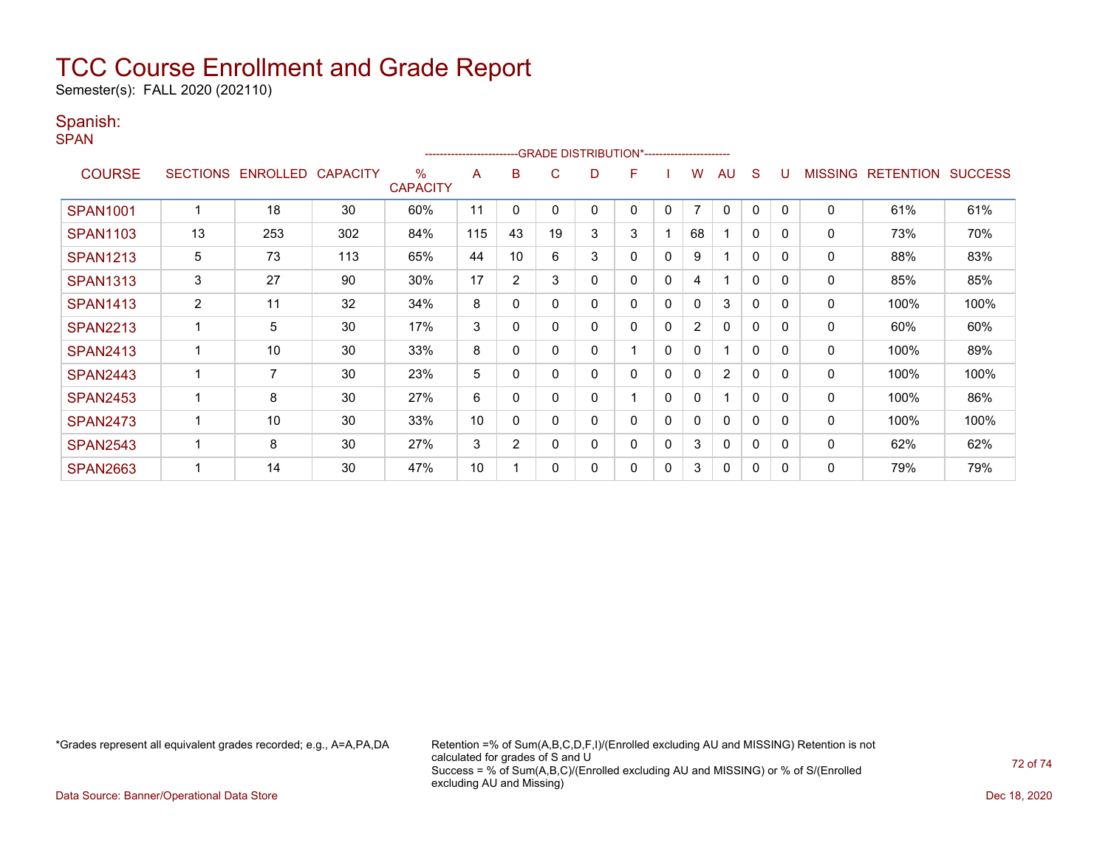Semester(s): FALL 2020 (202110)

### Spanish:

SPAN

| --GRADE DISTRIBUTION*-----------------------<br>----------------------- |                |                   |                 |                      |     |                |    |   |   |              |                |                |              |          |                |                  |                |
|-------------------------------------------------------------------------|----------------|-------------------|-----------------|----------------------|-----|----------------|----|---|---|--------------|----------------|----------------|--------------|----------|----------------|------------------|----------------|
| <b>COURSE</b>                                                           |                | SECTIONS ENROLLED | <b>CAPACITY</b> | %<br><b>CAPACITY</b> | A   | в              | C  | D | F |              | W              | AU             | S            |          | <b>MISSING</b> | <b>RETENTION</b> | <b>SUCCESS</b> |
| <b>SPAN1001</b>                                                         |                | 18                | 30              | 60%                  | 11  | 0              | 0  | 0 | 0 | 0            | $\overline{7}$ | $\mathbf{0}$   | 0            | $\Omega$ | $\mathbf 0$    | 61%              | 61%            |
| <b>SPAN1103</b>                                                         | 13             | 253               | 302             | 84%                  | 115 | 43             | 19 | 3 | 3 |              | 68             |                | $\mathbf{0}$ | $\Omega$ | 0              | 73%              | 70%            |
| <b>SPAN1213</b>                                                         | 5              | 73                | 113             | 65%                  | 44  | 10             | 6  | 3 | 0 | $\Omega$     | 9              | 4              | $\mathbf{0}$ | $\Omega$ | 0              | 88%              | 83%            |
| <b>SPAN1313</b>                                                         | 3              | 27                | 90              | 30%                  | 17  | $\overline{2}$ | 3  | 0 | 0 | 0            | 4              | 1              | $\mathbf{0}$ | $\Omega$ | 0              | 85%              | 85%            |
| <b>SPAN1413</b>                                                         | $\overline{2}$ | 11                | 32              | 34%                  | 8   | 0              | 0  | 0 | 0 | 0            | 0              | 3              | 0            | $\Omega$ | 0              | 100%             | 100%           |
| <b>SPAN2213</b>                                                         |                | 5                 | 30              | 17%                  | 3   | 0              |    | 0 | 0 | $\mathbf{0}$ | $\overline{2}$ | $\mathbf{0}$   | $\mathbf{0}$ | $\Omega$ | 0              | 60%              | 60%            |
| <b>SPAN2413</b>                                                         |                | 10                | 30              | 33%                  | 8   | 0              |    | 0 |   | 0            | 0              | 1              | $\mathbf{0}$ | 0        | $\mathbf 0$    | 100%             | 89%            |
| <b>SPAN2443</b>                                                         |                | 7                 | 30              | 23%                  | 5   | 0              | 0  | 0 | 0 | $\mathbf{0}$ | 0              | $\overline{2}$ | $\mathbf{0}$ | $\Omega$ | 0              | 100%             | 100%           |
| <b>SPAN2453</b>                                                         |                | 8                 | 30              | 27%                  | 6   | 0              |    | 0 |   | $\mathbf{0}$ | 0              | 4              | $\mathbf{0}$ | $\Omega$ | $\mathbf 0$    | 100%             | 86%            |
| <b>SPAN2473</b>                                                         |                | 10                | 30              | 33%                  | 10  | 0              |    | 0 | 0 | 0            | 0              | $\mathbf{0}$   | $\mathbf{0}$ | $\Omega$ | 0              | 100%             | 100%           |
| <b>SPAN2543</b>                                                         |                | 8                 | 30              | 27%                  | 3   | $\overline{2}$ | 0  | 0 | 0 | 0            | 3              | $\mathbf{0}$   | 0            | $\Omega$ | 0              | 62%              | 62%            |
| <b>SPAN2663</b>                                                         |                | 14                | 30              | 47%                  | 10  |                | O  | 0 | 0 | 0            | 3              | $\mathbf{0}$   | 0            | $\Omega$ | 0              | 79%              | 79%            |

\*Grades represent all equivalent grades recorded; e.g., A=A,PA,DA Retention =% of Sum(A,B,C,D,F,I)/(Enrolled excluding AU and MISSING) Retention is not calculated for grades of S and U Success = % of Sum(A,B,C)/(Enrolled excluding AU and MISSING) or % of S/(Enrolled excluding AU and Missing)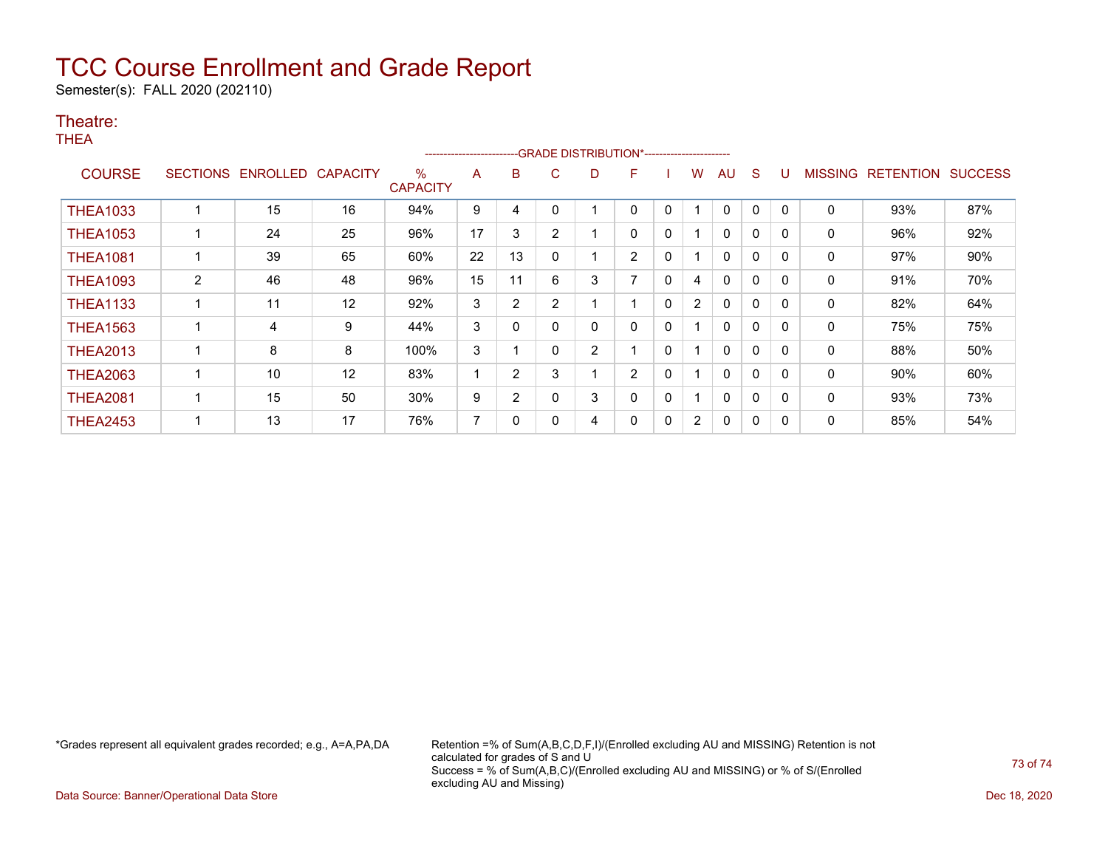## TCC Course Enrollment and Grade Report

Semester(s): FALL 2020 (202110)

## Theatre:

THEA

|                 | -GRADE DISTRIBUTION*-----------------------<br>---------------------- |          |                 |                         |    |    |                |                |                |              |                |              |              |          |                |                  |                |
|-----------------|-----------------------------------------------------------------------|----------|-----------------|-------------------------|----|----|----------------|----------------|----------------|--------------|----------------|--------------|--------------|----------|----------------|------------------|----------------|
| <b>COURSE</b>   | <b>SECTIONS</b>                                                       | ENROLLED | <b>CAPACITY</b> | $\%$<br><b>CAPACITY</b> | A  | B  | C.             | D              | F.             |              | w              | AU           | S            | U        | <b>MISSING</b> | <b>RETENTION</b> | <b>SUCCESS</b> |
| <b>THEA1033</b> |                                                                       | 15       | 16              | 94%                     | 9  | 4  | 0              |                |                | 0            |                | $\mathbf{0}$ | 0            | 0        | 0              | 93%              | 87%            |
| <b>THEA1053</b> |                                                                       | 24       | 25              | 96%                     | 17 | 3  | $\overline{2}$ |                | 0              | 0            |                | $\mathbf{0}$ | $\mathbf{0}$ | 0        | $\mathbf{0}$   | 96%              | 92%            |
| <b>THEA1081</b> |                                                                       | 39       | 65              | 60%                     | 22 | 13 | 0              |                | $\overline{2}$ | 0            |                | 0            | 0            | $\Omega$ | 0              | 97%              | 90%            |
| <b>THEA1093</b> | $\overline{2}$                                                        | 46       | 48              | 96%                     | 15 | 11 | 6              | 3              | ⇁              | $\mathbf{0}$ | 4              | 0            | 0            | 0        | 0              | 91%              | 70%            |
| <b>THEA1133</b> |                                                                       | 11       | 12              | 92%                     | 3  | 2  | $\overline{2}$ |                |                | 0            | $\overline{2}$ | 0            | $\mathbf{0}$ | $\Omega$ | 0              | 82%              | 64%            |
| <b>THEA1563</b> |                                                                       | 4        | 9               | 44%                     | 3  | 0  | $\Omega$       | 0              | 0              | $\mathbf{0}$ |                | 0            | $\mathbf{0}$ | $\Omega$ | 0              | 75%              | 75%            |
| <b>THEA2013</b> |                                                                       | 8        | 8               | 100%                    | 3  |    | $\mathbf{0}$   | $\overline{2}$ |                | $\mathbf{0}$ |                | 0            | $\mathbf{0}$ | $\Omega$ | 0              | 88%              | 50%            |
| <b>THEA2063</b> |                                                                       | 10       | 12              | 83%                     |    | 2  | 3              |                | 2              | 0            |                | 0            | $\mathbf{0}$ | $\Omega$ | 0              | 90%              | 60%            |
| <b>THEA2081</b> |                                                                       | 15       | 50              | 30%                     | 9  | 2  | 0              | 3              | 0              | 0            |                | 0            | 0            | 0        | 0              | 93%              | 73%            |
| <b>THEA2453</b> |                                                                       | 13       | 17              | 76%                     | 7  | 0  | 0              | 4              | 0              | 0            | $\overline{2}$ | 0            | 0            | 0        | 0              | 85%              | 54%            |

\*Grades represent all equivalent grades recorded; e.g., A=A,PA,DA Retention =% of Sum(A,B,C,D,F,I)/(Enrolled excluding AU and MISSING) Retention is not calculated for grades of S and U Success = % of Sum(A,B,C)/(Enrolled excluding AU and MISSING) or % of S/(Enrolled excluding AU and Missing)

Data Source: Banner/Operational Data Store Dec 18, 2020

73 of 74